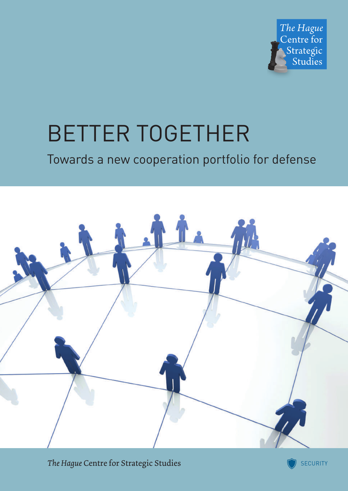

## BETTER TOGETHER

Towards a new cooperation portfolio for defense



**The Hague Centre for Strategic Studies** Security SECURITY

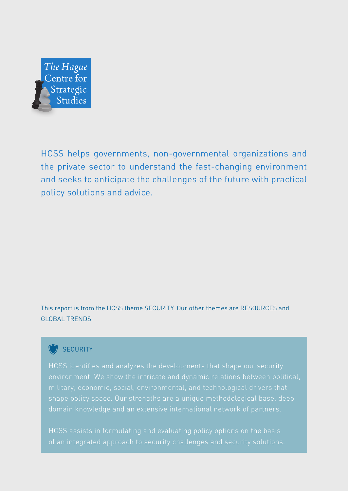

HCSS helps governments, non-governmental organizations and the private sector to understand the fast-changing environment and seeks to anticipate the challenges of the future with practical policy solutions and advice.

This report is from the HCSS theme SECURITY. Our other themes are RESOURCES and GLOBAL TRENDS.

#### **SECURITY**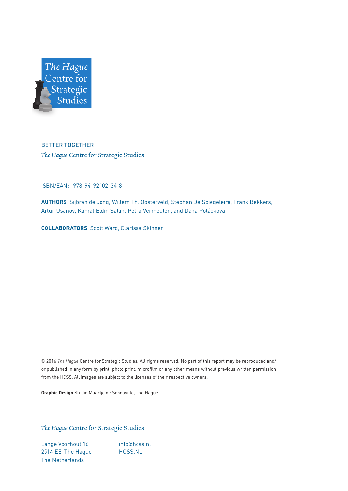

BETTER TOGETHER *The Hague* Centre for Strategic Studies

ISBN/EAN: 978-94-92102-34-8

**AUTHORS** Sijbren de Jong, Willem Th. Oosterveld, Stephan De Spiegeleire, Frank Bekkers, Artur Usanov, Kamal Eldin Salah, Petra Vermeulen, and Dana Polácková

**COLLABORATORS** Scott Ward, Clarissa Skinner

© 2016 *The Hague* Centre for Strategic Studies. All rights reserved. No part of this report may be reproduced and/ or published in any form by print, photo print, microfilm or any other means without previous written permission from the HCSS. All images are subject to the licenses of their respective owners.

**Graphic Design** Studio Maartje de Sonnaville, The Hague

#### *The Hague* Centre for Strategic Studies

Lange Voorhout 16 [info@hcss.nl](mailto:info@hcss.nl) 2514 EE The Hague <HCSS.NL> The Netherlands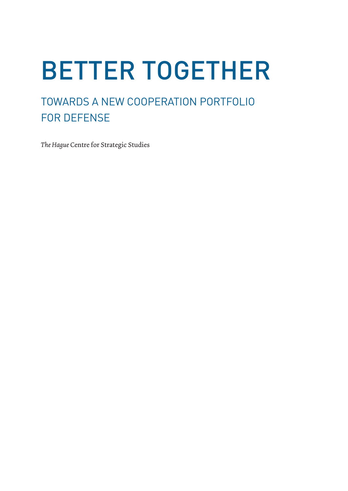# BETTER TOGETHER

### TOWARDS A NEW COOPERATION PORTFOLIO FOR DEFENSE

*The Hague* Centre for Strategic Studies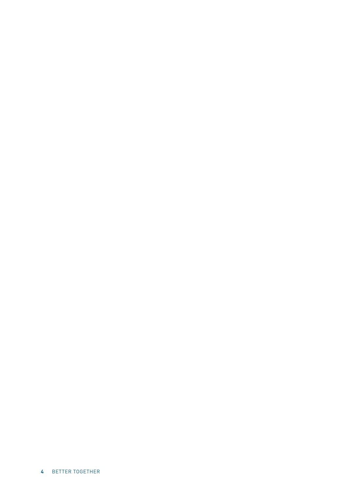#### BETTER TOGETHER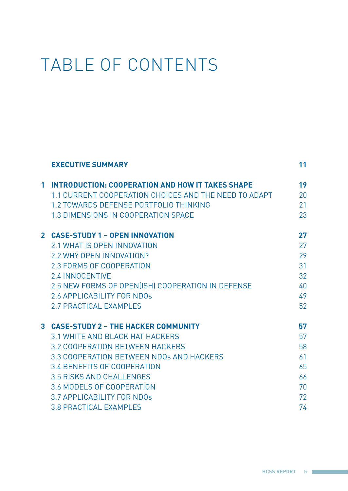### TABLE OF CONTENTS

|              | <b>EXECUTIVE SUMMARY</b>                                | 11 |
|--------------|---------------------------------------------------------|----|
| $\mathbf{1}$ | <b>INTRODUCTION: COOPERATION AND HOW IT TAKES SHAPE</b> | 19 |
|              | 1.1 CURRENT COOPERATION CHOICES AND THE NEED TO ADAPT   | 20 |
|              | 1.2 TOWARDS DEFENSE PORTFOLIO THINKING                  | 21 |
|              | 1.3 DIMENSIONS IN COOPERATION SPACE                     | 23 |
|              | 2 CASE-STUDY 1 - OPEN INNOVATION                        | 27 |
|              | 2.1 WHAT IS OPEN INNOVATION                             | 27 |
|              | 2.2 WHY OPEN INNOVATION?                                | 29 |
|              | 2.3 FORMS OF COOPFRATION                                | 31 |
|              | <b>2.4 INNOCENTIVE</b>                                  | 32 |
|              | 2.5 NEW FORMS OF OPEN(ISH) COOPERATION IN DEFENSE       | 40 |
|              | 2.6 APPLICABILITY FOR NDOS                              | 49 |
|              | 2.7 PRACTICAL FXAMPLES                                  | 52 |
|              | 3 CASE-STUDY 2 – THE HACKER COMMUNITY                   | 57 |
|              | 31 WHITE AND BLACK HAT HACKERS                          | 57 |
|              | 3.2 COOPERATION RETWEEN HACKERS                         | 58 |
|              | 3.3 COOPFRATION BETWEEN NDOs AND HACKERS                | 61 |
|              | 3.4 BENEFITS OF COOPERATION                             | 65 |
|              | 3.5 RISKS AND CHALL ENGES                               | 66 |
|              | 3.6 MODELS OF COOPERATION                               | 70 |
|              | <b>3.7 APPLICABILITY FOR NDOS</b>                       | 72 |
|              | <b>3.8 PRACTICAL FXAMPLES</b>                           | 74 |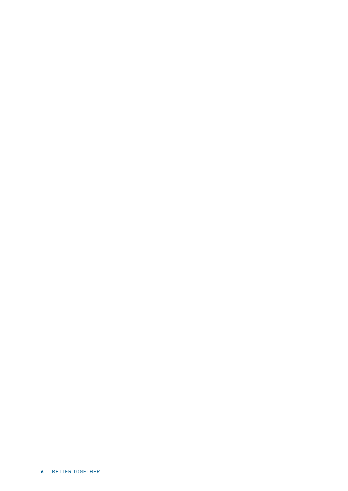#### BETTER TOGETHER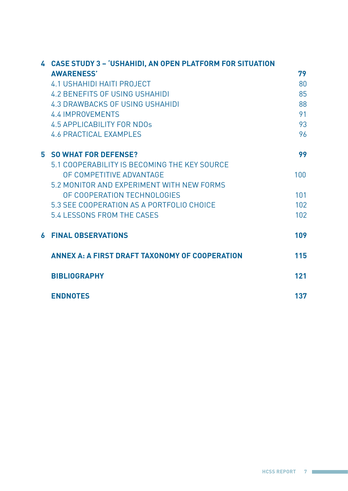|   | 4 CASE STUDY 3 - 'USHAHIDI, AN OPEN PLATFORM FOR SITUATION |                 |  |
|---|------------------------------------------------------------|-----------------|--|
|   | <b>AWARENESS'</b>                                          | 79              |  |
|   | 4.1 USHAHIDI HAITI PROJECT                                 | 80              |  |
|   | 4.2 BENEFITS OF USING USHAHIDI                             | 85              |  |
|   | 4.3 DRAWBACKS OF USING USHAHIDI                            | 88              |  |
|   | 44 IMPROVEMENTS                                            | 91              |  |
|   | 4.5 APPLICABILITY FOR NDOS                                 | 93              |  |
|   | <b>4.6 PRACTICAL FXAMPLES</b>                              | 96              |  |
|   | 5 SO WHAT FOR DEFENSE?                                     | 99              |  |
|   | 5.1 COOPFRABILITY IS BECOMING THE KEY SOURCE               |                 |  |
|   | OF COMPETITIVE ADVANTAGE                                   | 100             |  |
|   | 52 MONITOR AND EXPERIMENT WITH NEW FORMS                   |                 |  |
|   | OF COOPFRATION TECHNOLOGIES                                | 1 <sub>01</sub> |  |
|   | 5.3 SFF COOPFRATION AS A PORTFOLIO CHOICF                  | 102             |  |
|   | 5.4 LESSONS FROM THE CASES                                 | 10 <sub>2</sub> |  |
| 6 | <b>FINAL OBSERVATIONS</b>                                  | 109             |  |
|   | ANNEX A: A FIRST DRAFT TAXONOMY OF COOPERATION             | 115             |  |
|   | <b>BIBLIOGRAPHY</b>                                        | 121             |  |
|   | <b>ENDNOTES</b>                                            | 137             |  |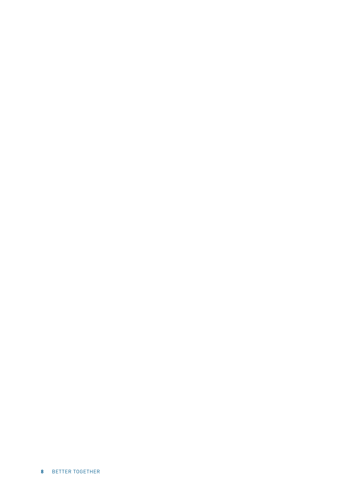#### BETTER TOGETHER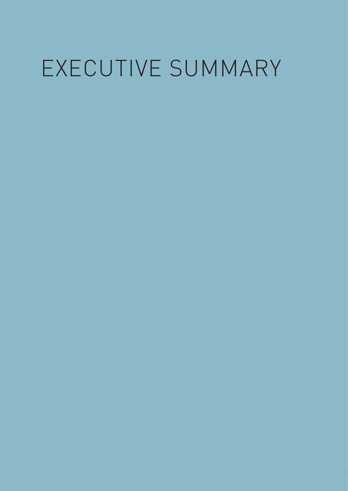## EXECUTIVE SUMMARY

- 
- 
- 
- 
- 
- 
- 
- 
-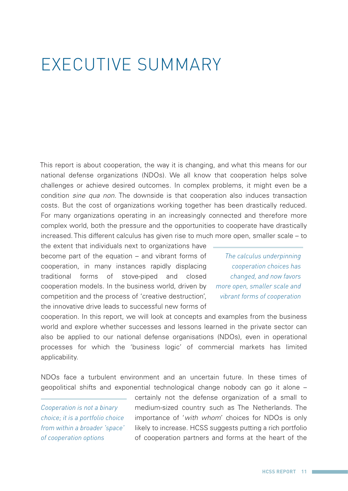### <span id="page-12-0"></span>EXECUTIVE SUMMARY

This report is about cooperation, the way it is changing, and what this means for our national defense organizations (NDOs). We all know that cooperation helps solve challenges or achieve desired outcomes. In complex problems, it might even be a condition *sine qua non*. The downside is that cooperation also induces transaction costs. But the cost of organizations working together has been drastically reduced. For many organizations operating in an increasingly connected and therefore more complex world, both the pressure and the opportunities to cooperate have drastically increased. This different calculus has given rise to much more open, smaller scale – to

the extent that individuals next to organizations have become part of the equation – and vibrant forms of cooperation, in many instances rapidly displacing traditional forms of stove-piped and closed cooperation models. In the business world, driven by competition and the process of 'creative destruction', the innovative drive leads to successful new forms of

*The calculus underpinning cooperation choices has changed, and now favors more open, smaller scale and vibrant forms of cooperation*

cooperation. In this report, we will look at concepts and examples from the business world and explore whether successes and lessons learned in the private sector can also be applied to our national defense organisations (NDOs), even in operational processes for which the 'business logic' of commercial markets has limited applicability.

NDOs face a turbulent environment and an uncertain future. In these times of geopolitical shifts and exponential technological change nobody can go it alone –

*Cooperation is not a binary choice; it is a portfolio choice from within a broader 'space' of cooperation options* 

certainly not the defense organization of a small to medium-sized country such as The Netherlands. The importance of '*with whom*' choices for NDOs is only likely to increase. HCSS suggests putting a rich portfolio of cooperation partners and forms at the heart of the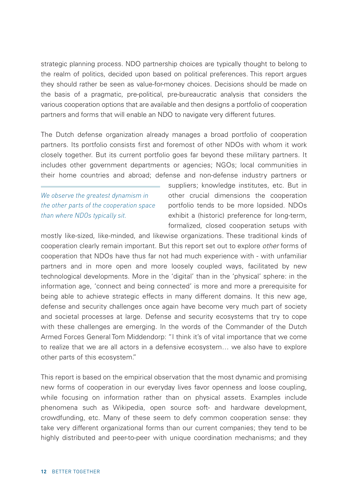strategic planning process. NDO partnership choices are typically thought to belong to the realm of politics, decided upon based on political preferences. This report argues they should rather be seen as value-for-money choices. Decisions should be made on the basis of a pragmatic, pre-political, pre-bureaucratic analysis that considers the various cooperation options that are available and then designs a portfolio of cooperation partners and forms that will enable an NDO to navigate very different futures.

The Dutch defense organization already manages a broad portfolio of cooperation partners. Its portfolio consists first and foremost of other NDOs with whom it work closely together. But its current portfolio goes far beyond these military partners. It includes other government departments or agencies; NGOs; local communities in their home countries and abroad; defense and non-defense industry partners or

*We observe the greatest dynamism in the other parts of the cooperation space than where NDOs typically sit.*

suppliers; knowledge institutes, etc. But in other crucial dimensions the cooperation portfolio tends to be more lopsided. NDOs exhibit a (historic) preference for long-term, formalized, closed cooperation setups with

mostly like-sized, like-minded, and likewise organizations. These traditional kinds of cooperation clearly remain important. But this report set out to explore *other* forms of cooperation that NDOs have thus far not had much experience with - with unfamiliar partners and in more open and more loosely coupled ways, facilitated by new technological developments. More in the 'digital' than in the 'physical' sphere: in the information age, 'connect and being connected' is more and more a prerequisite for being able to achieve strategic effects in many different domains. It this new age, defense and security challenges once again have become very much part of society and societal processes at large. Defense and security ecosystems that try to cope with these challenges are emerging. In the words of the Commander of the Dutch Armed Forces General Tom Middendorp: "I think it's of vital importance that we come to realize that we are all actors in a defensive ecosystem… we also have to explore other parts of this ecosystem."

This report is based on the empirical observation that the most dynamic and promising new forms of cooperation in our everyday lives favor openness and loose coupling, while focusing on information rather than on physical assets. Examples include phenomena such as Wikipedia, open source soft- and hardware development, crowdfunding, etc. Many of these seem to defy common cooperation sense: they take very different organizational forms than our current companies; they tend to be highly distributed and peer-to-peer with unique coordination mechanisms; and they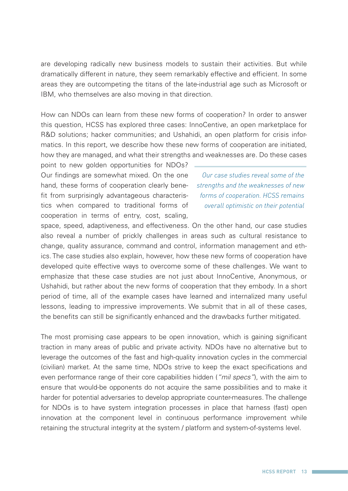are developing radically new business models to sustain their activities. But while dramatically different in nature, they seem remarkably effective and efficient. In some areas they are outcompeting the titans of the late-industrial age such as Microsoft or IBM, who themselves are also moving in that direction.

How can NDOs can learn from these new forms of cooperation? In order to answer this question, HCSS has explored three cases: InnoCentive, an open marketplace for R&D solutions; hacker communities; and Ushahidi, an open platform for crisis informatics. In this report, we describe how these new forms of cooperation are initiated, how they are managed, and what their strengths and weaknesses are. Do these cases

point to new golden opportunities for NDOs? Our findings are somewhat mixed. On the one hand, these forms of cooperation clearly benefit from surprisingly advantageous characteristics when compared to traditional forms of cooperation in terms of entry, cost, scaling,

*Our case studies reveal some of the strengths and the weaknesses of new forms of cooperation. HCSS remains overall optimistic on their potential*

space, speed, adaptiveness, and effectiveness. On the other hand, our case studies also reveal a number of prickly challenges in areas such as cultural resistance to change, quality assurance, command and control, information management and ethics. The case studies also explain, however, how these new forms of cooperation have developed quite effective ways to overcome some of these challenges. We want to emphasize that these case studies are not just about InnoCentive, Anonymous, or Ushahidi, but rather about the new forms of cooperation that they embody. In a short period of time, all of the example cases have learned and internalized many useful lessons, leading to impressive improvements. We submit that in all of these cases, the benefits can still be significantly enhanced and the drawbacks further mitigated.

The most promising case appears to be open innovation, which is gaining significant traction in many areas of public and private activity. NDOs have no alternative but to leverage the outcomes of the fast and high-quality innovation cycles in the commercial (civilian) market. At the same time, NDOs strive to keep the exact specifications and even performance range of their core capabilities hidden (*"mil specs"*), with the aim to ensure that would-be opponents do not acquire the same possibilities and to make it harder for potential adversaries to develop appropriate counter-measures. The challenge for NDOs is to have system integration processes in place that harness (fast) open innovation at the component level in continuous performance improvement while retaining the structural integrity at the system / platform and system-of-systems level.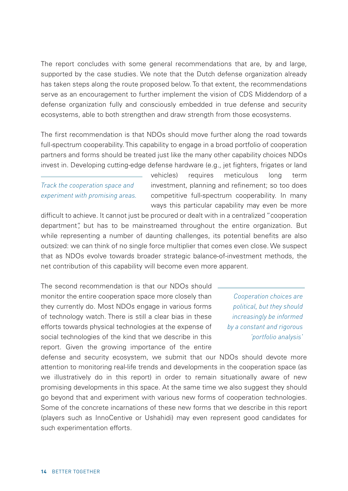The report concludes with some general recommendations that are, by and large, supported by the case studies. We note that the Dutch defense organization already has taken steps along the route proposed below. To that extent, the recommendations serve as an encouragement to further implement the vision of CDS Middendorp of a defense organization fully and consciously embedded in true defense and security ecosystems, able to both strengthen and draw strength from those ecosystems.

The first recommendation is that NDOs should move further along the road towards full*-*spectrum cooperability. This capability to engage in a broad portfolio of cooperation partners and forms should be treated just like the many other capability choices NDOs invest in. Developing cutting-edge defense hardware (e.g., jet fighters, frigates or land

*Track the cooperation space and experiment with promising areas.* vehicles) requires meticulous long term investment, planning and refinement; so too does competitive full-spectrum cooperability. In many ways this particular capability may even be more

difficult to achieve. It cannot just be procured or dealt with in a centralized "cooperation department", but has to be mainstreamed throughout the entire organization. But while representing a number of daunting challenges, its potential benefits are also outsized: we can think of no single force multiplier that comes even close. We suspect that as NDOs evolve towards broader strategic balance-of-investment methods, the net contribution of this capability will become even more apparent.

The second recommendation is that our NDOs should monitor the entire cooperation space more closely than they currently do. Most NDOs engage in various forms of technology watch. There is still a clear bias in these efforts towards physical technologies at the expense of social technologies of the kind that we describe in this report. Given the growing importance of the entire

*Cooperation choices are political, but they should increasingly be informed by a constant and rigorous 'portfolio analysis'*

defense and security ecosystem, we submit that our NDOs should devote more attention to monitoring real-life trends and developments in the cooperation space (as we illustratively do in this report) in order to remain situationally aware of new promising developments in this space. At the same time we also suggest they should go beyond that and experiment with various new forms of cooperation technologies. Some of the concrete incarnations of these new forms that we describe in this report (players such as InnoCentive or Ushahidi) may even represent good candidates for such experimentation efforts.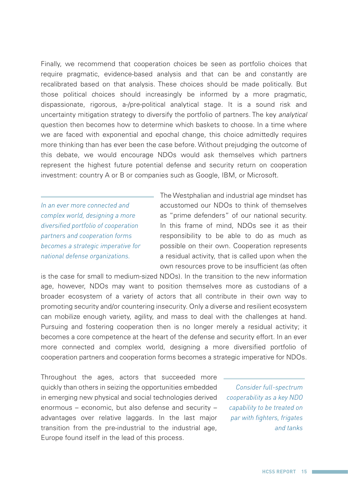Finally, we recommend that cooperation choices be seen as portfolio choices that require pragmatic, evidence-based analysis and that can be and constantly are recalibrated based on that analysis. These choices should be made politically. But those political choices should increasingly be informed by a more pragmatic, dispassionate, rigorous, a-/pre-political analytical stage. It is a sound risk and uncertainty mitigation strategy to diversify the portfolio of partners. The key *analytical* question then becomes how to determine which baskets to choose. In a time where we are faced with exponential and epochal change, this choice admittedly requires more thinking than has ever been the case before. Without prejudging the outcome of this debate, we would encourage NDOs would ask themselves which partners represent the highest future potential defense and security return on cooperation investment: country A or B or companies such as Google, IBM, or Microsoft.

*In an ever more connected and complex world, designing a more diversified portfolio of cooperation partners and cooperation forms becomes a strategic imperative for national defense organizations.*

The Westphalian and industrial age mindset has accustomed our NDOs to think of themselves as "prime defenders" of our national security. In this frame of mind, NDOs see it as their responsibility to be able to do as much as possible on their own. Cooperation represents a residual activity, that is called upon when the own resources prove to be insufficient (as often

is the case for small to medium-sized NDOs). In the transition to the new information age, however, NDOs may want to position themselves more as custodians of a broader ecosystem of a variety of actors that all contribute in their own way to promoting security and/or countering insecurity. Only a diverse and resilient ecosystem can mobilize enough variety, agility, and mass to deal with the challenges at hand. Pursuing and fostering cooperation then is no longer merely a residual activity; it becomes a core competence at the heart of the defense and security effort. In an ever more connected and complex world, designing a more diversified portfolio of cooperation partners and cooperation forms becomes a strategic imperative for NDOs.

Throughout the ages, actors that succeeded more quickly than others in seizing the opportunities embedded in emerging new physical and social technologies derived enormous – economic, but also defense and security – advantages over relative laggards. In the last major transition from the pre-industrial to the industrial age, Europe found itself in the lead of this process.

*Consider full-spectrum cooperability as a key NDO capability to be treated on par with fighters, frigates and tanks*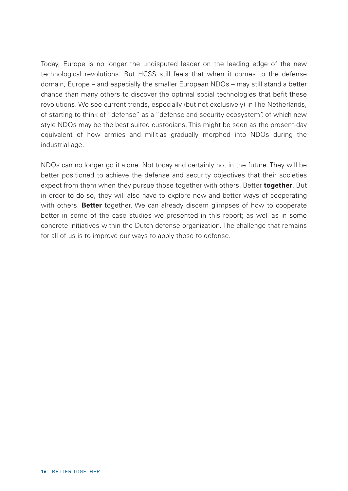Today, Europe is no longer the undisputed leader on the leading edge of the new technological revolutions. But HCSS still feels that when it comes to the defense domain, Europe – and especially the smaller European NDOs – may still stand a better chance than many others to discover the optimal social technologies that befit these revolutions. We see current trends, especially (but not exclusively) in The Netherlands, of starting to think of "defense" as a "defense and security ecosystem", of which new style NDOs may be the best suited custodians. This might be seen as the present-day equivalent of how armies and militias gradually morphed into NDOs during the industrial age.

NDOs can no longer go it alone. Not today and certainly not in the future. They will be better positioned to achieve the defense and security objectives that their societies expect from them when they pursue those together with others. Better **together**. But in order to do so, they will also have to explore new and better ways of cooperating with others. **Better** together. We can already discern glimpses of how to cooperate better in some of the case studies we presented in this report; as well as in some concrete initiatives within the Dutch defense organization. The challenge that remains for all of us is to improve our ways to apply those to defense.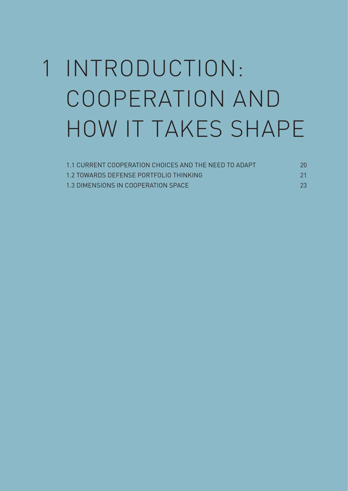## 1 INTRODUCTION: COOPERATION AND HOW IT TAKES SHAPE

| 1.1 CURRENT COOPERATION CHOICES AND THE NEED TO ADAPT |  |
|-------------------------------------------------------|--|
| 1.2 TOWARDS DEFENSE PORTFOLIO THINKING                |  |
| 1.3 DIMENSIONS IN COOPERATION SPACE.                  |  |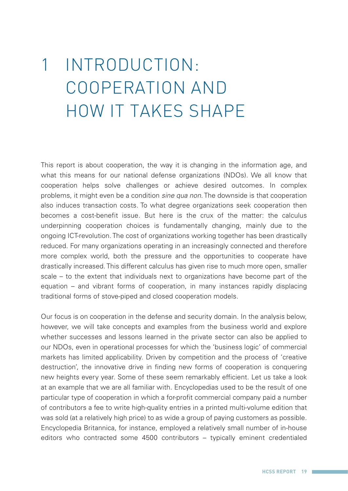## <span id="page-20-0"></span>1 INTRODUCTION: COOPERATION AND HOW IT TAKES SHAPE

This report is about cooperation, the way it is changing in the information age, and what this means for our national defense organizations (NDOs). We all know that cooperation helps solve challenges or achieve desired outcomes. In complex problems, it might even be a condition *sine qua non*. The downside is that cooperation also induces transaction costs. To what degree organizations seek cooperation then becomes a cost-benefit issue. But here is the crux of the matter: the calculus underpinning cooperation choices is fundamentally changing, mainly due to the ongoing ICT-revolution. The cost of organizations working together has been drastically reduced. For many organizations operating in an increasingly connected and therefore more complex world, both the pressure and the opportunities to cooperate have drastically increased. This different calculus has given rise to much more open, smaller scale – to the extent that individuals next to organizations have become part of the equation – and vibrant forms of cooperation, in many instances rapidly displacing traditional forms of stove-piped and closed cooperation models.

Our focus is on cooperation in the defense and security domain. In the analysis below, however, we will take concepts and examples from the business world and explore whether successes and lessons learned in the private sector can also be applied to our NDOs, even in operational processes for which the 'business logic' of commercial markets has limited applicability. Driven by competition and the process of 'creative destruction', the innovative drive in finding new forms of cooperation is conquering new heights every year. Some of these seem remarkably efficient. Let us take a look at an example that we are all familiar with. Encyclopedias used to be the result of one particular type of cooperation in which a for-profit commercial company paid a number of contributors a fee to write high-quality entries in a printed multi-volume edition that was sold (at a relatively high price) to as wide a group of paying customers as possible. Encyclopedia Britannica, for instance, employed a relatively small number of in-house editors who contracted some 4500 contributors – typically eminent credentialed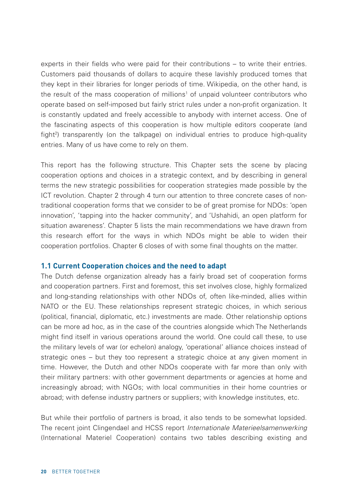<span id="page-21-0"></span>experts in their fields who were paid for their contributions – to write their entries. Customers paid thousands of dollars to acquire these lavishly produced tomes that they kept in their libraries for longer periods of time. Wikipedia, on the other hand, is the result of the mass cooperation of millions<sup>1</sup> of unpaid volunteer contributors who operate based on self-imposed but fairly strict rules under a non-profit organization. It is constantly updated and freely accessible to anybody with internet access. One of the fascinating aspects of this cooperation is how multiple editors cooperate (and fight2 ) transparently (on the talkpage) on individual entries to produce high-quality entries. Many of us have come to rely on them.

This report has the following structure. This Chapter sets the scene by placing cooperation options and choices in a strategic context, and by describing in general terms the new strategic possibilities for cooperation strategies made possible by the ICT revolution. Chapter 2 through 4 turn our attention to three concrete cases of nontraditional cooperation forms that we consider to be of great promise for NDOs: 'open innovation', 'tapping into the hacker community', and 'Ushahidi, an open platform for situation awareness'. Chapter 5 lists the main recommendations we have drawn from this research effort for the ways in which NDOs might be able to widen their cooperation portfolios. Chapter 6 closes of with some final thoughts on the matter.

#### **1.1 Current Cooperation choices and the need to adapt**

The Dutch defense organization already has a fairly broad set of cooperation forms and cooperation partners. First and foremost, this set involves close, highly formalized and long-standing relationships with other NDOs of, often like-minded, allies within NATO or the EU. These relationships represent strategic choices, in which serious (political, financial, diplomatic, etc.) investments are made. Other relationship options can be more ad hoc, as in the case of the countries alongside which The Netherlands might find itself in various operations around the world. One could call these, to use the military levels of war (or echelon) analogy, 'operational' alliance choices instead of strategic ones – but they too represent a strategic choice at any given moment in time. However, the Dutch and other NDOs cooperate with far more than only with their military partners: with other government departments or agencies at home and increasingly abroad; with NGOs; with local communities in their home countries or abroad; with defense industry partners or suppliers; with knowledge institutes, etc.

But while their portfolio of partners is broad, it also tends to be somewhat lopsided. The recent joint Clingendael and HCSS report *Internationale Materieelsamenwerking* (International Materiel Cooperation) contains two tables describing existing and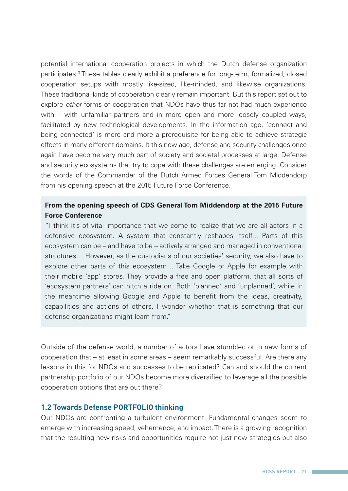<span id="page-22-0"></span>potential international cooperation projects in which the Dutch defense organization participates.<sup>3</sup> These tables clearly exhibit a preference for long-term, formalized, closed cooperation setups with mostly like-sized, like-minded, and likewise organizations. These traditional kinds of cooperation clearly remain important. But this report set out to explore *other* forms of cooperation that NDOs have thus far not had much experience with – with unfamiliar partners and in more open and more loosely coupled ways, facilitated by new technological developments. In the information age, 'connect and being connected' is more and more a prerequisite for being able to achieve strategic effects in many different domains. It this new age, defense and security challenges once again have become very much part of society and societal processes at large. Defense and security ecosystems that try to cope with these challenges are emerging. Consider the words of the Commander of the Dutch Armed Forces General Tom Middendorp from his opening speech at the 2015 Future Force Conference.

#### **From the opening speech of CDS General Tom Middendorp at the 2015 Future Force Conference**

"I think it's of vital importance that we come to realize that we are all actors in a defensive ecosystem. A system that constantly reshapes itself... Parts of this ecosystem can be – and have to be – actively arranged and managed in conventional structures… However, as the custodians of our societies' security, we also have to explore other parts of this ecosystem… Take Google or Apple for example with their mobile 'app' stores. They provide a free and open platform, that all sorts of 'ecosystem partners' can hitch a ride on. Both 'planned' and 'unplanned', while in the meantime allowing Google and Apple to benefit from the ideas, creativity, capabilities and actions of others. I wonder whether that is something that our defense organizations might learn from."

Outside of the defense world, a number of actors have stumbled onto new forms of cooperation that – at least in some areas – seem remarkably successful. Are there any lessons in this for NDOs and successes to be replicated? Can and should the current partnership portfolio of our NDOs become more diversified to leverage all the possible cooperation options that are out there?

#### **1.2 Towards Defense PORTFOLIO thinking**

Our NDOs are confronting a turbulent environment. Fundamental changes seem to emerge with increasing speed, vehemence, and impact. There is a growing recognition that the resulting new risks and opportunities require not just new strategies but also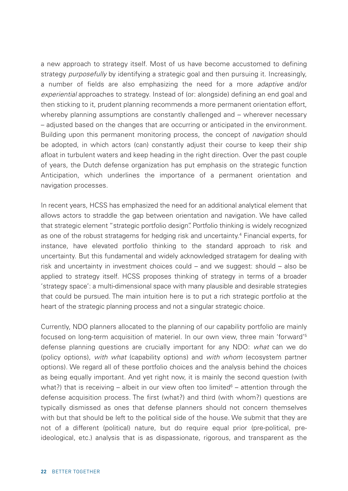a new approach to strategy itself. Most of us have become accustomed to defining strategy *purposefully* by identifying a strategic goal and then pursuing it. Increasingly, a number of fields are also emphasizing the need for a more *adaptive* and/or *experiential* approaches to strategy. Instead of (or: alongside) defining an end goal and then sticking to it, prudent planning recommends a more permanent orientation effort, whereby planning assumptions are constantly challenged and – wherever necessary – adjusted based on the changes that are occurring or anticipated in the environment. Building upon this permanent monitoring process, the concept of *navigation* should be adopted, in which actors (can) constantly adjust their course to keep their ship afloat in turbulent waters and keep heading in the right direction. Over the past couple of years, the Dutch defense organization has put emphasis on the strategic function Anticipation, which underlines the importance of a permanent orientation and navigation processes.

In recent years, HCSS has emphasized the need for an additional analytical element that allows actors to straddle the gap between orientation and navigation. We have called that strategic element "strategic portfolio design". Portfolio thinking is widely recognized as one of the robust stratagems for hedging risk and uncertainty.4 Financial experts, for instance, have elevated portfolio thinking to the standard approach to risk and uncertainty. But this fundamental and widely acknowledged stratagem for dealing with risk and uncertainty in investment choices could – and we suggest: should – also be applied to strategy itself. HCSS proposes thinking of strategy in terms of a broader 'strategy space': a multi-dimensional space with many plausible and desirable strategies that could be pursued. The main intuition here is to put a rich strategic portfolio at the heart of the strategic planning process and not a singular strategic choice.

Currently, NDO planners allocated to the planning of our capability portfolio are mainly focused on long-term acquisition of materiel. In our own view, three main 'forward'5 defense planning questions are crucially important for any NDO: *what* can we do (policy options), *with what* (capability options) and *with whom* (ecosystem partner options). We regard all of these portfolio choices and the analysis behind the choices as being equally important. And yet right now, it is mainly the second question (with what?) that is receiving  $-$  albeit in our view often too limited<sup>6</sup>  $-$  attention through the defense acquisition process. The first (what?) and third (with whom?) questions are typically dismissed as ones that defense planners should not concern themselves with but that should be left to the political side of the house. We submit that they are not of a different (political) nature, but do require equal prior (pre-political, preideological, etc.) analysis that is as dispassionate, rigorous, and transparent as the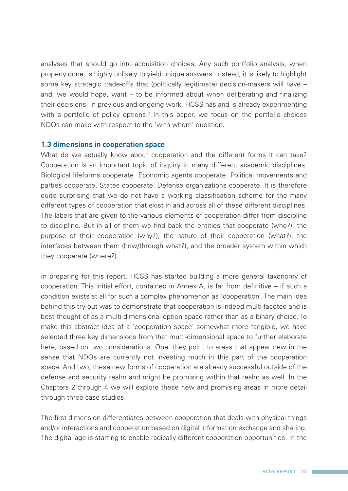<span id="page-24-0"></span>analyses that should go into acquisition choices. Any such portfolio analysis, when properly done, is highly unlikely to yield unique answers. Instead, it is likely to highlight some key strategic trade-offs that (politically legitimate) decision-makers will have – and, we would hope, want – to be informed about when deliberating and finalizing their decisions. In previous and ongoing work, HCSS has and is already experimenting with a portfolio of policy options.<sup>7</sup> In this paper, we focus on the portfolio choices NDOs can make with respect to the 'with whom' question.

#### **1.3 dimensions in cooperation space**

What do we actually know about cooperation and the different forms it can take? Cooperation is an important topic of inquiry in many different academic disciplines. Biological lifeforms cooperate. Economic agents cooperate. Political movements and parties cooperate. States cooperate. Defense organizations cooperate. It is therefore quite surprising that we do not have a working classification scheme for the many different types of cooperation that exist in and across all of these different disciplines. The labels that are given to the various elements of cooperation differ from discipline to discipline. But in all of them we find back the entities that cooperate (who?), the purpose of their cooperation (why?), the nature of their cooperation (what?), the interfaces between them (how/through what?), and the broader system within which they cooperate (where?).

In preparing for this report, HCSS has started building a more general taxonomy of cooperation. This initial effort, contained in Annex A, is far from definitive – if such a condition exists at all for such a complex phenomenon as 'cooperation'. The main idea behind this try-out was to demonstrate that cooperation is indeed multi-faceted and is best thought of as a multi-dimensional option space rather than as a binary choice. To make this abstract idea of a 'cooperation space' somewhat more tangible, we have selected three key dimensions from that multi-dimensional space to further elaborate here, based on two considerations. One, they point to areas that appear new in the sense that NDOs are currently not investing much in this part of the cooperation space. And two, these new forms of cooperation are already successful outside of the defense and security realm and might be promising within that realm as well. In the Chapters 2 through 4 we will explore these new and promising areas in more detail through three case studies.

The first dimension differentiates between cooperation that deals with physical things and/or interactions and cooperation based on digital information exchange and sharing. The digital age is starting to enable radically different cooperation opportunities. In the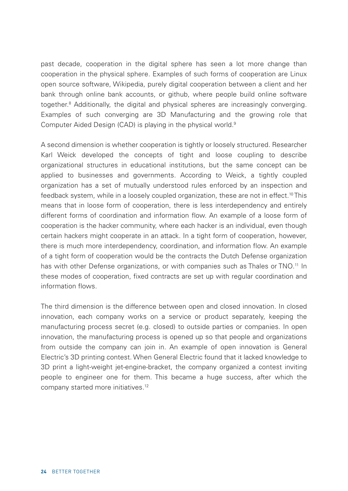past decade, cooperation in the digital sphere has seen a lot more change than cooperation in the physical sphere. Examples of such forms of cooperation are Linux open source software, Wikipedia, purely digital cooperation between a client and her bank through online bank accounts, or github, where people build online software together.<sup>8</sup> Additionally, the digital and physical spheres are increasingly converging. Examples of such converging are 3D Manufacturing and the growing role that Computer Aided Design (CAD) is playing in the physical world.9

A second dimension is whether cooperation is tightly or loosely structured. Researcher Karl Weick developed the concepts of tight and loose coupling to describe organizational structures in educational institutions, but the same concept can be applied to businesses and governments. According to Weick, a tightly coupled organization has a set of mutually understood rules enforced by an inspection and feedback system, while in a loosely coupled organization, these are not in effect.10 This means that in loose form of cooperation, there is less interdependency and entirely different forms of coordination and information flow. An example of a loose form of cooperation is the hacker community, where each hacker is an individual, even though certain hackers might cooperate in an attack. In a tight form of cooperation, however, there is much more interdependency, coordination, and information flow. An example of a tight form of cooperation would be the contracts the Dutch Defense organization has with other Defense organizations, or with companies such as Thales or TNO.<sup>11</sup> In these modes of cooperation, fixed contracts are set up with regular coordination and information flows.

The third dimension is the difference between open and closed innovation. In closed innovation, each company works on a service or product separately, keeping the manufacturing process secret (e.g. closed) to outside parties or companies. In open innovation, the manufacturing process is opened up so that people and organizations from outside the company can join in. An example of open innovation is General Electric's 3D printing contest. When General Electric found that it lacked knowledge to 3D print a light-weight jet-engine-bracket, the company organized a contest inviting people to engineer one for them. This became a huge success, after which the company started more initiatives.12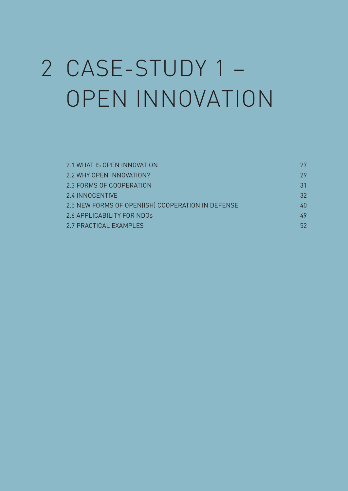## 2 CASE-STUDY 1 – OPEN INNOVATION

| 2.1 WHAT IS OPEN INNOVATION                       | 27 |
|---------------------------------------------------|----|
| 2.2 WHY OPEN INNOVATION?                          | 29 |
| 2.3 FORMS OF COOPERATION                          | 31 |
| 2.4 INNOCENTIVE                                   | 32 |
| 2.5 NEW FORMS OF OPENIISHI COOPERATION IN DEFENSE | 40 |
| 2.6 APPLICABILITY FOR NDOS                        | 49 |
| 2.7 PRACTICAL FXAMPLES                            | 52 |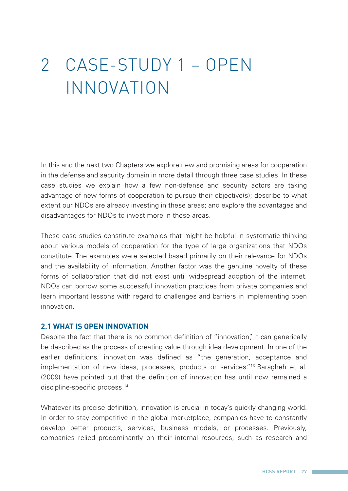## <span id="page-28-0"></span>2 CASE-STUDY 1 – OPEN INNOVATION

In this and the next two Chapters we explore new and promising areas for cooperation in the defense and security domain in more detail through three case studies. In these case studies we explain how a few non-defense and security actors are taking advantage of new forms of cooperation to pursue their objective(s); describe to what extent our NDOs are already investing in these areas; and explore the advantages and disadvantages for NDOs to invest more in these areas.

These case studies constitute examples that might be helpful in systematic thinking about various models of cooperation for the type of large organizations that NDOs constitute. The examples were selected based primarily on their relevance for NDOs and the availability of information. Another factor was the genuine novelty of these forms of collaboration that did not exist until widespread adoption of the internet. NDOs can borrow some successful innovation practices from private companies and learn important lessons with regard to challenges and barriers in implementing open innovation.

#### **2.1 WHAT IS OPEN INNOVATION**

Despite the fact that there is no common definition of "innovation", it can generically be described as the process of creating value through idea development. In one of the earlier definitions, innovation was defined as "the generation, acceptance and implementation of new ideas, processes, products or services."13 Baragheh et al. (2009) have pointed out that the definition of innovation has until now remained a discipline-specific process.<sup>14</sup>

Whatever its precise definition, innovation is crucial in today's quickly changing world. In order to stay competitive in the global marketplace, companies have to constantly develop better products, services, business models, or processes. Previously, companies relied predominantly on their internal resources, such as research and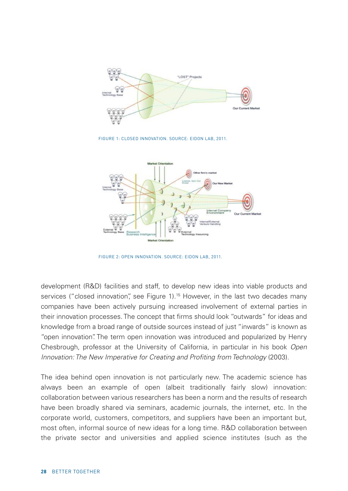

<span id="page-29-0"></span>FIGURE 1: CLOSED INNOVATION. SOURCE: EIDON LAB, 2011.



FIGURE 2: OPEN INNOVATION. SOURCE: EIDON LAB, 2011.

development (R&D) facilities and staff, to develop new ideas into viable products and services ("closed innovation", see Figure 1).<sup>15</sup> However, in the last two decades many companies have been actively pursuing increased involvement of external parties in their innovation processes. The concept that firms should look "outwards" for ideas and knowledge from a broad range of outside sources instead of just "inwards" is known as "open innovation". The term open innovation was introduced and popularized by Henry Chesbrough, professor at the University of California, in particular in his book *Open Innovation: The New Imperative for Creating and Profiting from Technology* (2003).

The idea behind open innovation is not particularly new. The academic science has always been an example of open (albeit traditionally fairly slow) innovation: collaboration between various researchers has been a norm and the results of research have been broadly shared via seminars, academic journals, the internet, etc. In the corporate world, customers, competitors, and suppliers have been an important but, most often, informal source of new ideas for a long time. R&D collaboration between the private sector and universities and applied science institutes (such as the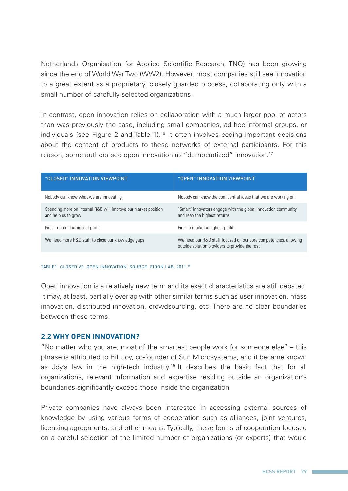<span id="page-30-0"></span>Netherlands Organisation for Applied Scientific Research, TNO) has been growing since the end of World War Two (WW2). However, most companies still see innovation to a great extent as a proprietary, closely guarded process, collaborating only with a small number of carefully selected organizations.

In contrast, open innovation relies on collaboration with a much larger pool of actors than was previously the case, including small companies, ad hoc informal groups, or individuals (see [Figure](#page-29-0) 2 and [Table](#page-30-1) 1).16 It often involves ceding important decisions about the content of products to these networks of external participants. For this reason, some authors see open innovation as "democratized" innovation.17

| "CLOSED" INNOVATION VIEWPOINT                                                         | "OPEN" INNOVATION VIEWPOINT                                                                                        |
|---------------------------------------------------------------------------------------|--------------------------------------------------------------------------------------------------------------------|
| Nobody can know what we are innovating                                                | Nobody can know the confidential ideas that we are working on                                                      |
| Spending more on internal R&D will improve our market position<br>and help us to grow | "Smart" innovators engage with the global innovation community<br>and reap the highest returns                     |
| First-to-patent = highest profit                                                      | First-to-market = highest profit                                                                                   |
| We need more R&D staff to close our knowledge gaps                                    | We need our R&D staff focused on our core competencies, allowing<br>outside solution providers to provide the rest |

<span id="page-30-1"></span>TABLE1: CLOSED VS. OPEN INNOVATION. SOURCE: EIDON LAB, 2011.18

Open innovation is a relatively new term and its exact characteristics are still debated. It may, at least, partially overlap with other similar terms such as user innovation, mass innovation, distributed innovation, crowdsourcing, etc. There are no clear boundaries between these terms.

#### **2.2 WHY OPEN INNOVATION?**

"No matter who you are, most of the smartest people work for someone else" – this phrase is attributed to Bill Joy, co-founder of Sun Microsystems, and it became known as Joy's law in the high-tech industry.19 It describes the basic fact that for all organizations, relevant information and expertise residing outside an organization's boundaries significantly exceed those inside the organization.

Private companies have always been interested in accessing external sources of knowledge by using various forms of cooperation such as alliances, joint ventures, licensing agreements, and other means. Typically, these forms of cooperation focused on a careful selection of the limited number of organizations (or experts) that would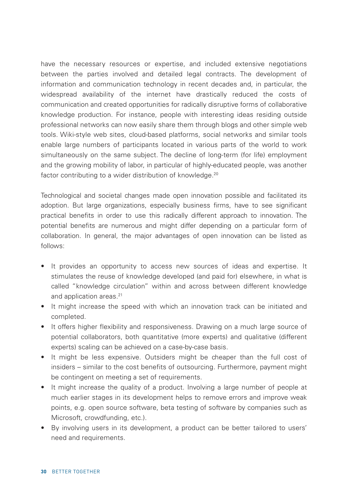have the necessary resources or expertise, and included extensive negotiations between the parties involved and detailed legal contracts. The development of information and communication technology in recent decades and, in particular, the widespread availability of the internet have drastically reduced the costs of communication and created opportunities for radically disruptive forms of collaborative knowledge production. For instance, people with interesting ideas residing outside professional networks can now easily share them through blogs and other simple web tools. Wiki-style web sites, cloud-based platforms, social networks and similar tools enable large numbers of participants located in various parts of the world to work simultaneously on the same subject. The decline of long-term (for life) employment and the growing mobility of labor, in particular of highly-educated people, was another factor contributing to a wider distribution of knowledge.<sup>20</sup>

Technological and societal changes made open innovation possible and facilitated its adoption. But large organizations, especially business firms, have to see significant practical benefits in order to use this radically different approach to innovation. The potential benefits are numerous and might differ depending on a particular form of collaboration. In general, the major advantages of open innovation can be listed as follows:

- It provides an opportunity to access new sources of ideas and expertise. It stimulates the reuse of knowledge developed (and paid for) elsewhere, in what is called "knowledge circulation" within and across between different knowledge and application areas.<sup>21</sup>
- It might increase the speed with which an innovation track can be initiated and completed.
- It offers higher flexibility and responsiveness. Drawing on a much large source of potential collaborators, both quantitative (more experts) and qualitative (different experts) scaling can be achieved on a case-by-case basis.
- It might be less expensive. Outsiders might be cheaper than the full cost of insiders – similar to the cost benefits of outsourcing. Furthermore, payment might be contingent on meeting a set of requirements.
- It might increase the quality of a product. Involving a large number of people at much earlier stages in its development helps to remove errors and improve weak points, e.g. open source software, beta testing of software by companies such as Microsoft, crowdfunding, etc.).
- By involving users in its development, a product can be better tailored to users' need and requirements.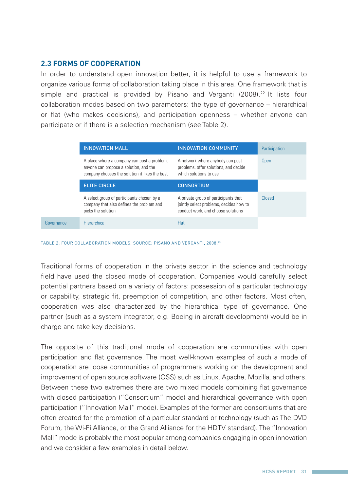#### <span id="page-32-0"></span>**2.3 FORMS OF COOPERATION**

In order to understand open innovation better, it is helpful to use a framework to organize various forms of collaboration taking place in this area. One framework that is simple and practical is provided by Pisano and Verganti (2008).<sup>22</sup> It lists four collaboration modes based on two parameters: the type of governance – hierarchical or flat (who makes decisions), and participation openness – whether anyone can participate or if there is a selection mechanism (see [Table](#page-32-1) 2).

<span id="page-32-1"></span>

| <b>INNOVATION MALL</b>                                                                                                                  | <b>INNOVATION COMMUNITY</b>                                                                                           | Participation |
|-----------------------------------------------------------------------------------------------------------------------------------------|-----------------------------------------------------------------------------------------------------------------------|---------------|
| A place where a company can post a problem,<br>anyone can propose a solution, and the<br>company chooses the solution it likes the best | A network where anybody can post<br>problems, offer solutions, and decide<br>which solutions to use                   | Open          |
| <b>ELITE CIRCLE</b>                                                                                                                     | <b>CONSORTIUM</b>                                                                                                     |               |
| A select group of participants chosen by a<br>company that also defines the problem and<br>picks the solution                           | A private group of participants that<br>jointly select problems, decides how to<br>conduct work, and choose solutions | Closed        |
| Hierarchical                                                                                                                            | Flat                                                                                                                  |               |

TABLE 2: FOUR COLLABORATION MODELS. SOURCE: PISANO AND VERGANTI, 2008.23

Traditional forms of cooperation in the private sector in the science and technology field have used the closed mode of cooperation. Companies would carefully select potential partners based on a variety of factors: possession of a particular technology or capability, strategic fit, preemption of competition, and other factors. Most often, cooperation was also characterized by the hierarchical type of governance. One partner (such as a system integrator, e.g. Boeing in aircraft development) would be in charge and take key decisions.

The opposite of this traditional mode of cooperation are communities with open participation and flat governance. The most well-known examples of such a mode of cooperation are loose communities of programmers working on the development and improvement of open source software (OSS) such as Linux, Apache, Mozilla, and others. Between these two extremes there are two mixed models combining flat governance with closed participation ("Consortium" mode) and hierarchical governance with open participation ("Innovation Mall" mode). Examples of the former are consortiums that are often created for the promotion of a particular standard or technology (such as The DVD Forum, the Wi-Fi Alliance, or the Grand Alliance for the HDTV standard). The "Innovation Mall" mode is probably the most popular among companies engaging in open innovation and we consider a few examples in detail below.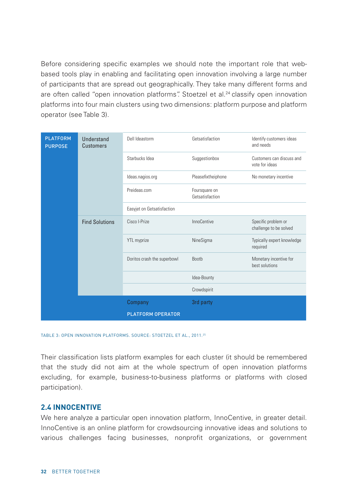<span id="page-33-0"></span>Before considering specific examples we should note the important role that webbased tools play in enabling and facilitating open innovation involving a large number of participants that are spread out geographically. They take many different forms and are often called "open innovation platforms". Stoetzel et al.<sup>24</sup> classify open innovation platforms into four main clusters using two dimensions: platform purpose and platform operator (see [Table 3](#page-33-1)).

<span id="page-33-1"></span>

| <b>PLATFORM</b><br><b>PURPOSE</b> | Understand<br><b>Customers</b> | Dell Ideastorm              | Getsatisfaction                  | Identify customers ideas<br>and needs         |
|-----------------------------------|--------------------------------|-----------------------------|----------------------------------|-----------------------------------------------|
|                                   |                                | Starbucks Idea              | Suggestionbox                    | Customers can discuss and<br>vote for ideas   |
|                                   |                                | Ideas.nagios.org            | Pleasefixtheiphone               | No monetary incentive                         |
|                                   |                                | Preideas.com                | Foursquare on<br>Getsatisfaction |                                               |
|                                   |                                | Easyjet on Getsatisfaction  |                                  |                                               |
|                                   | <b>Find Solutions</b>          | Cisco I-Prize               | <b>InnoCentive</b>               | Specific problem or<br>challenge to be solved |
|                                   |                                | <b>YTL</b> myprize          | NineSigma                        | Typically expert knowledge<br>required        |
|                                   |                                | Doritos crash the superbowl | Bootb                            | Monetary incentive for<br>best solutions      |
|                                   |                                |                             | Idea-Bounty                      |                                               |
|                                   |                                |                             | Crowdspirit                      |                                               |
|                                   |                                | Company                     | 3rd party                        |                                               |
|                                   |                                | <b>PLATFORM OPERATOR</b>    |                                  |                                               |

TABLE 3: OPEN INNOVATION PLATFORMS. SOURCE: STOETZEL ET AL., 2011.25

Their classification lists platform examples for each cluster (it should be remembered that the study did not aim at the whole spectrum of open innovation platforms excluding, for example, business-to-business platforms or platforms with closed participation).

#### **2.4 INNOCENTIVE**

We here analyze a particular open innovation platform, InnoCentive, in greater detail. InnoCentive is an online platform for crowdsourcing innovative ideas and solutions to various challenges facing businesses, nonprofit organizations, or government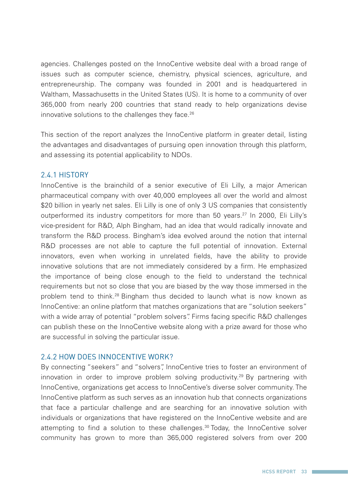agencies. Challenges posted on the InnoCentive website deal with a broad range of issues such as computer science, chemistry, physical sciences, agriculture, and entrepreneurship. The company was founded in 2001 and is headquartered in Waltham, Massachusetts in the United States (US). It is home to a community of over 365,000 from nearly 200 countries that stand ready to help organizations devise innovative solutions to the challenges they face.<sup>26</sup>

This section of the report analyzes the InnoCentive platform in greater detail, listing the advantages and disadvantages of pursuing open innovation through this platform, and assessing its potential applicability to NDOs.

#### 2.4.1 HISTORY

InnoCentive is the brainchild of a senior executive of Eli Lilly, a major American pharmaceutical company with over 40,000 employees all over the world and almost \$20 billion in yearly net sales. Eli Lilly is one of only 3 US companies that consistently outperformed its industry competitors for more than 50 years.27 In 2000, Eli Lilly's vice-president for R&D, Alph Bingham, had an idea that would radically innovate and transform the R&D process. Bingham's idea evolved around the notion that internal R&D processes are not able to capture the full potential of innovation. External innovators, even when working in unrelated fields, have the ability to provide innovative solutions that are not immediately considered by a firm. He emphasized the importance of being close enough to the field to understand the technical requirements but not so close that you are biased by the way those immersed in the problem tend to think.28 Bingham thus decided to launch what is now known as InnoCentive: an online platform that matches organizations that are "solution seekers" with a wide array of potential "problem solvers". Firms facing specific R&D challenges can publish these on the InnoCentive website along with a prize award for those who are successful in solving the particular issue.

#### 2.4.2 HOW DOES INNOCENTIVE WORK?

By connecting "seekers" and "solvers", InnoCentive tries to foster an environment of innovation in order to improve problem solving productivity.29 By partnering with InnoCentive, organizations get access to InnoCentive's diverse solver community. The InnoCentive platform as such serves as an innovation hub that connects organizations that face a particular challenge and are searching for an innovative solution with individuals or organizations that have registered on the InnoCentive website and are attempting to find a solution to these challenges.30 Today, the InnoCentive solver community has grown to more than 365,000 registered solvers from over 200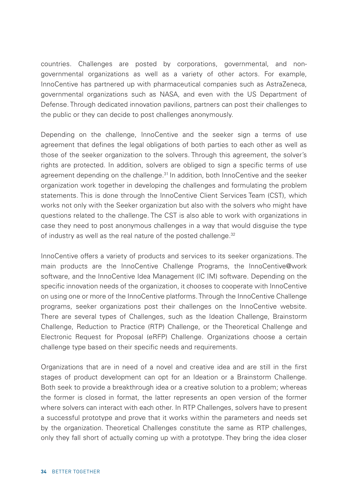countries. Challenges are posted by corporations, governmental, and nongovernmental organizations as well as a variety of other actors. For example, InnoCentive has partnered up with pharmaceutical companies such as AstraZeneca, governmental organizations such as NASA, and even with the US Department of Defense. Through dedicated innovation pavilions, partners can post their challenges to the public or they can decide to post challenges anonymously.

Depending on the challenge, InnoCentive and the seeker sign a terms of use agreement that defines the legal obligations of both parties to each other as well as those of the seeker organization to the solvers. Through this agreement, the solver's rights are protected. In addition, solvers are obliged to sign a specific terms of use agreement depending on the challenge.<sup>31</sup> In addition, both InnoCentive and the seeker organization work together in developing the challenges and formulating the problem statements. This is done through the InnoCentive Client Services Team (CST), which works not only with the Seeker organization but also with the solvers who might have questions related to the challenge. The CST is also able to work with organizations in case they need to post anonymous challenges in a way that would disguise the type of industry as well as the real nature of the posted challenge.<sup>32</sup>

InnoCentive offers a variety of products and services to its seeker organizations. The main products are the InnoCentive Challenge Programs, the InnoCentive@work software, and the InnoCentive Idea Management (IC IM) software. Depending on the specific innovation needs of the organization, it chooses to cooperate with InnoCentive on using one or more of the InnoCentive platforms. Through the InnoCentive Challenge programs, seeker organizations post their challenges on the InnoCentive website. There are several types of Challenges, such as the Ideation Challenge, Brainstorm Challenge, Reduction to Practice (RTP) Challenge, or the Theoretical Challenge and Electronic Request for Proposal (eRFP) Challenge. Organizations choose a certain challenge type based on their specific needs and requirements.

Organizations that are in need of a novel and creative idea and are still in the first stages of product development can opt for an Ideation or a Brainstorm Challenge. Both seek to provide a breakthrough idea or a creative solution to a problem; whereas the former is closed in format, the latter represents an open version of the former where solvers can interact with each other. In RTP Challenges, solvers have to present a successful prototype and prove that it works within the parameters and needs set by the organization. Theoretical Challenges constitute the same as RTP challenges, only they fall short of actually coming up with a prototype. They bring the idea closer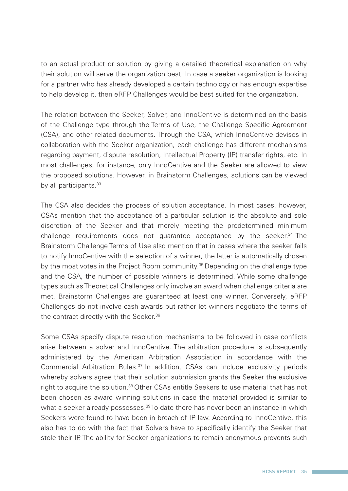to an actual product or solution by giving a detailed theoretical explanation on why their solution will serve the organization best. In case a seeker organization is looking for a partner who has already developed a certain technology or has enough expertise to help develop it, then eRFP Challenges would be best suited for the organization.

The relation between the Seeker, Solver, and InnoCentive is determined on the basis of the Challenge type through the Terms of Use, the Challenge Specific Agreement (CSA), and other related documents. Through the CSA, which InnoCentive devises in collaboration with the Seeker organization, each challenge has different mechanisms regarding payment, dispute resolution, Intellectual Property (IP) transfer rights, etc. In most challenges, for instance, only InnoCentive and the Seeker are allowed to view the proposed solutions. However, in Brainstorm Challenges, solutions can be viewed by all participants.<sup>33</sup>

The CSA also decides the process of solution acceptance. In most cases, however, CSAs mention that the acceptance of a particular solution is the absolute and sole discretion of the Seeker and that merely meeting the predetermined minimum challenge requirements does not quarantee acceptance by the seeker.<sup>34</sup> The Brainstorm Challenge Terms of Use also mention that in cases where the seeker fails to notify InnoCentive with the selection of a winner, the latter is automatically chosen by the most votes in the Project Room community.<sup>35</sup> Depending on the challenge type and the CSA, the number of possible winners is determined. While some challenge types such as Theoretical Challenges only involve an award when challenge criteria are met, Brainstorm Challenges are guaranteed at least one winner. Conversely, eRFP Challenges do not involve cash awards but rather let winners negotiate the terms of the contract directly with the Seeker.<sup>36</sup>

Some CSAs specify dispute resolution mechanisms to be followed in case conflicts arise between a solver and InnoCentive. The arbitration procedure is subsequently administered by the American Arbitration Association in accordance with the Commercial Arbitration Rules.37 In addition, CSAs can include exclusivity periods whereby solvers agree that their solution submission grants the Seeker the exclusive right to acquire the solution.<sup>38</sup> Other CSAs entitle Seekers to use material that has not been chosen as award winning solutions in case the material provided is similar to what a seeker already possesses.<sup>39</sup> To date there has never been an instance in which Seekers were found to have been in breach of IP law. According to InnoCentive, this also has to do with the fact that Solvers have to specifically identify the Seeker that stole their IP. The ability for Seeker organizations to remain anonymous prevents such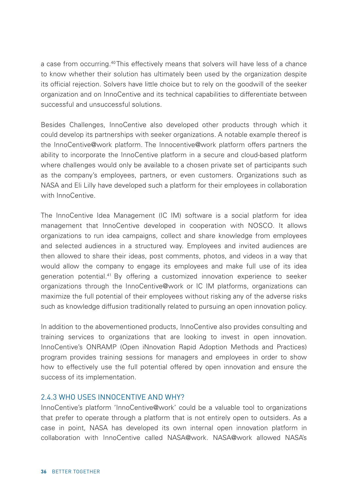a case from occurring.40 This effectively means that solvers will have less of a chance to know whether their solution has ultimately been used by the organization despite its official rejection. Solvers have little choice but to rely on the goodwill of the seeker organization and on InnoCentive and its technical capabilities to differentiate between successful and unsuccessful solutions.

Besides Challenges, InnoCentive also developed other products through which it could develop its partnerships with seeker organizations. A notable example thereof is the InnoCentive@work platform. The Innocentive@work platform offers partners the ability to incorporate the InnoCentive platform in a secure and cloud-based platform where challenges would only be available to a chosen private set of participants such as the company's employees, partners, or even customers. Organizations such as NASA and Eli Lilly have developed such a platform for their employees in collaboration with InnoCentive.

The InnoCentive Idea Management (IC IM) software is a social platform for idea management that InnoCentive developed in cooperation with NOSCO. It allows organizations to run idea campaigns, collect and share knowledge from employees and selected audiences in a structured way. Employees and invited audiences are then allowed to share their ideas, post comments, photos, and videos in a way that would allow the company to engage its employees and make full use of its idea generation potential.41 By offering a customized innovation experience to seeker organizations through the InnoCentive@work or IC IM platforms, organizations can maximize the full potential of their employees without risking any of the adverse risks such as knowledge diffusion traditionally related to pursuing an open innovation policy.

In addition to the abovementioned products, InnoCentive also provides consulting and training services to organizations that are looking to invest in open innovation. InnoCentive's ONRAMP (Open iNnovation Rapid Adoption Methods and Practices) program provides training sessions for managers and employees in order to show how to effectively use the full potential offered by open innovation and ensure the success of its implementation.

#### 2.4.3 WHO USES INNOCENTIVE AND WHY?

InnoCentive's platform 'InnoCentive@work' could be a valuable tool to organizations that prefer to operate through a platform that is not entirely open to outsiders. As a case in point, NASA has developed its own internal open innovation platform in collaboration with InnoCentive called NASA@work. NASA@work allowed NASA's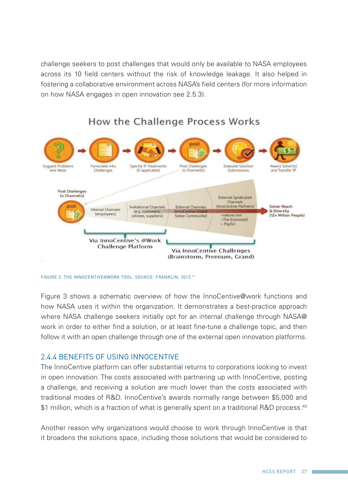<span id="page-38-0"></span>challenge seekers to post challenges that would only be available to NASA employees across its 10 field centers without the risk of knowledge leakage. It also helped in fostering a collaborative environment across NASA's field centers (for more information on how NASA engages in open innovation see 2.5.3).



# How the Challenge Process Works

FIGURE 3: THE INNOCENTIVE@WORK TOOL. SOURCE: FRANKLIN, 2013.42

[Figure 3](#page-38-0) shows a schematic overview of how the InnoCentive@work functions and how NASA uses it within the organization. It demonstrates a best-practice approach where NASA challenge seekers initially opt for an internal challenge through NASA@ work in order to either find a solution, or at least fine-tune a challenge topic, and then follow it with an open challenge through one of the external open innovation platforms.

# 2.4.4 BENEFITS OF USING INNOCENTIVE

The InnoCentive platform can offer substantial returns to corporations looking to invest in open innovation. The costs associated with partnering up with InnoCentive, posting a challenge, and receiving a solution are much lower than the costs associated with traditional modes of R&D. InnoCentive's awards normally range between \$5,000 and \$1 million, which is a fraction of what is generally spent on a traditional R&D process.<sup>43</sup>

Another reason why organizations would choose to work through InnoCentive is that it broadens the solutions space, including those solutions that would be considered to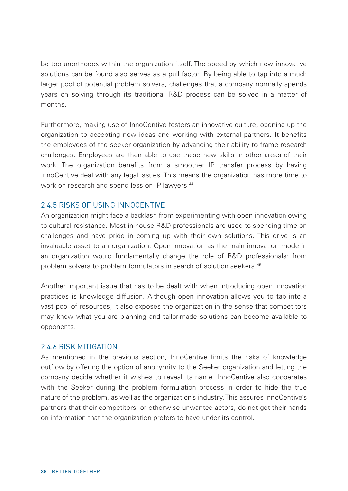be too unorthodox within the organization itself. The speed by which new innovative solutions can be found also serves as a pull factor. By being able to tap into a much larger pool of potential problem solvers, challenges that a company normally spends years on solving through its traditional R&D process can be solved in a matter of months.

Furthermore, making use of InnoCentive fosters an innovative culture, opening up the organization to accepting new ideas and working with external partners. It benefits the employees of the seeker organization by advancing their ability to frame research challenges. Employees are then able to use these new skills in other areas of their work. The organization benefits from a smoother IP transfer process by having InnoCentive deal with any legal issues. This means the organization has more time to work on research and spend less on IP lawyers.<sup>44</sup>

# 2.4.5 RISKS OF USING INNOCENTIVE

An organization might face a backlash from experimenting with open innovation owing to cultural resistance. Most in-house R&D professionals are used to spending time on challenges and have pride in coming up with their own solutions. This drive is an invaluable asset to an organization. Open innovation as the main innovation mode in an organization would fundamentally change the role of R&D professionals: from problem solvers to problem formulators in search of solution seekers.45

Another important issue that has to be dealt with when introducing open innovation practices is knowledge diffusion. Although open innovation allows you to tap into a vast pool of resources, it also exposes the organization in the sense that competitors may know what you are planning and tailor-made solutions can become available to opponents.

# 2.4.6 RISK MITIGATION

As mentioned in the previous section, InnoCentive limits the risks of knowledge outflow by offering the option of anonymity to the Seeker organization and letting the company decide whether it wishes to reveal its name. InnoCentive also cooperates with the Seeker during the problem formulation process in order to hide the true nature of the problem, as well as the organization's industry. This assures InnoCentive's partners that their competitors, or otherwise unwanted actors, do not get their hands on information that the organization prefers to have under its control.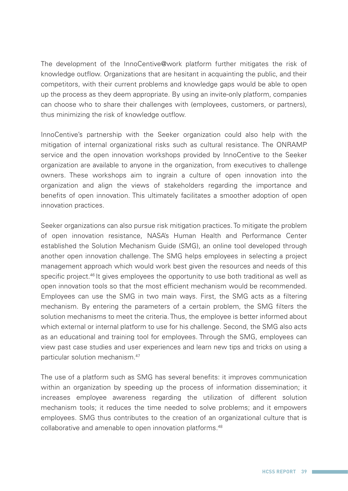The development of the InnoCentive@work platform further mitigates the risk of knowledge outflow. Organizations that are hesitant in acquainting the public, and their competitors, with their current problems and knowledge gaps would be able to open up the process as they deem appropriate. By using an invite-only platform, companies can choose who to share their challenges with (employees, customers, or partners), thus minimizing the risk of knowledge outflow.

InnoCentive's partnership with the Seeker organization could also help with the mitigation of internal organizational risks such as cultural resistance. The ONRAMP service and the open innovation workshops provided by InnoCentive to the Seeker organization are available to anyone in the organization, from executives to challenge owners. These workshops aim to ingrain a culture of open innovation into the organization and align the views of stakeholders regarding the importance and benefits of open innovation. This ultimately facilitates a smoother adoption of open innovation practices.

Seeker organizations can also pursue risk mitigation practices. To mitigate the problem of open innovation resistance, NASA's Human Health and Performance Center established the Solution Mechanism Guide (SMG), an online tool developed through another open innovation challenge. The SMG helps employees in selecting a project management approach which would work best given the resources and needs of this specific project.<sup>46</sup> It gives employees the opportunity to use both traditional as well as open innovation tools so that the most efficient mechanism would be recommended. Employees can use the SMG in two main ways. First, the SMG acts as a filtering mechanism. By entering the parameters of a certain problem, the SMG filters the solution mechanisms to meet the criteria. Thus, the employee is better informed about which external or internal platform to use for his challenge. Second, the SMG also acts as an educational and training tool for employees. Through the SMG, employees can view past case studies and user experiences and learn new tips and tricks on using a particular solution mechanism.47

The use of a platform such as SMG has several benefits: it improves communication within an organization by speeding up the process of information dissemination; it increases employee awareness regarding the utilization of different solution mechanism tools; it reduces the time needed to solve problems; and it empowers employees. SMG thus contributes to the creation of an organizational culture that is collaborative and amenable to open innovation platforms.<sup>48</sup>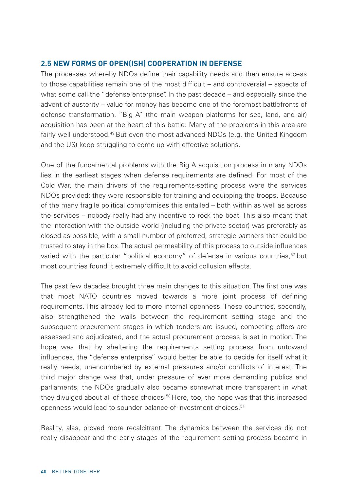# **2.5 NEW FORMS OF OPEN(ISH) COOPERATION IN DEFENSE**

The processes whereby NDOs define their capability needs and then ensure access to those capabilities remain one of the most difficult – and controversial – aspects of what some call the "defense enterprise". In the past decade – and especially since the advent of austerity – value for money has become one of the foremost battlefronts of defense transformation. "Big A" (the main weapon platforms for sea, land, and air) acquisition has been at the heart of this battle. Many of the problems in this area are fairly well understood.49 But even the most advanced NDOs (e.g. the United Kingdom and the US) keep struggling to come up with effective solutions.

One of the fundamental problems with the Big A acquisition process in many NDOs lies in the earliest stages when defense requirements are defined. For most of the Cold War, the main drivers of the requirements-setting process were the services NDOs provided: they were responsible for training and equipping the troops. Because of the many fragile political compromises this entailed – both within as well as across the services – nobody really had any incentive to rock the boat. This also meant that the interaction with the outside world (including the private sector) was preferably as closed as possible, with a small number of preferred, strategic partners that could be trusted to stay in the box. The actual permeability of this process to outside influences varied with the particular "political economy" of defense in various countries.<sup>57</sup> but most countries found it extremely difficult to avoid collusion effects.

The past few decades brought three main changes to this situation. The first one was that most NATO countries moved towards a more joint process of defining requirements. This already led to more internal openness. These countries, secondly, also strengthened the walls between the requirement setting stage and the subsequent procurement stages in which tenders are issued, competing offers are assessed and adjudicated, and the actual procurement process is set in motion. The hope was that by sheltering the requirements setting process from untoward influences, the "defense enterprise" would better be able to decide for itself what it really needs, unencumbered by external pressures and/or conflicts of interest. The third major change was that, under pressure of ever more demanding publics and parliaments, the NDOs gradually also became somewhat more transparent in what they divulged about all of these choices.<sup>50</sup> Here, too, the hope was that this increased openness would lead to sounder balance-of-investment choices.<sup>51</sup>

Reality, alas, proved more recalcitrant. The dynamics between the services did not really disappear and the early stages of the requirement setting process became in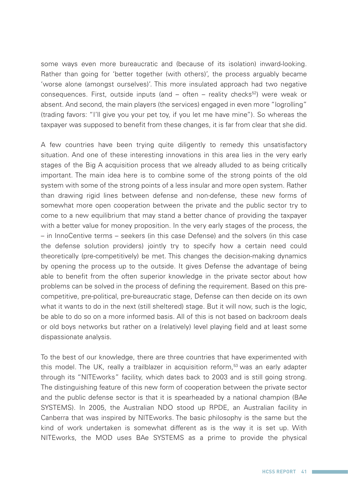some ways even more bureaucratic and (because of its isolation) inward-looking. Rather than going for 'better together (with others)', the process arguably became 'worse alone (amongst ourselves)'. This more insulated approach had two negative consequences. First, outside inputs (and  $-$  often  $-$  reality checks<sup>52</sup>) were weak or absent. And second, the main players (the services) engaged in even more "logrolling" (trading favors: "I'll give you your pet toy, if you let me have mine"). So whereas the taxpayer was supposed to benefit from these changes, it is far from clear that she did.

A few countries have been trying quite diligently to remedy this unsatisfactory situation. And one of these interesting innovations in this area lies in the very early stages of the Big A acquisition process that we already alluded to as being critically important. The main idea here is to combine some of the strong points of the old system with some of the strong points of a less insular and more open system. Rather than drawing rigid lines between defense and non-defense, these new forms of somewhat more open cooperation between the private and the public sector try to come to a new equilibrium that may stand a better chance of providing the taxpayer with a better value for money proposition. In the very early stages of the process, the – in InnoCentive terms – seekers (in this case Defense) and the solvers (in this case the defense solution providers) jointly try to specify how a certain need could theoretically (pre-competitively) be met. This changes the decision-making dynamics by opening the process up to the outside. It gives Defense the advantage of being able to benefit from the often superior knowledge in the private sector about how problems can be solved in the process of defining the requirement. Based on this precompetitive, pre-political, pre-bureaucratic stage, Defense can then decide on its own what it wants to do in the next (still sheltered) stage. But it will now, such is the logic, be able to do so on a more informed basis. All of this is not based on backroom deals or old boys networks but rather on a (relatively) level playing field and at least some dispassionate analysis.

To the best of our knowledge, there are three countries that have experimented with this model. The UK, really a trailblazer in acquisition reform,<sup>53</sup> was an early adapter through its "NITEworks" facility, which dates back to 2003 and is still going strong. The distinguishing feature of this new form of cooperation between the private sector and the public defense sector is that it is spearheaded by a national champion (BAe SYSTEMS). In 2005, the Australian NDO stood up RPDE, an Australian facility in Canberra that was inspired by NITEworks. The basic philosophy is the same but the kind of work undertaken is somewhat different as is the way it is set up. With NITEworks, the MOD uses BAe SYSTEMS as a prime to provide the physical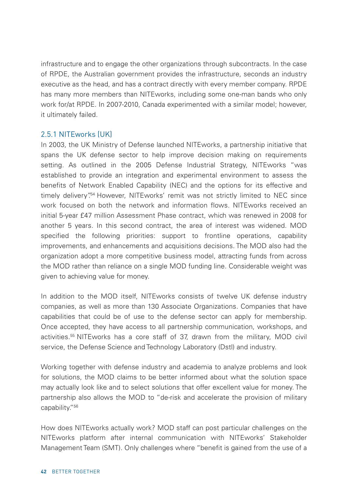infrastructure and to engage the other organizations through subcontracts. In the case of RPDE, the Australian government provides the infrastructure, seconds an industry executive as the head, and has a contract directly with every member company. RPDE has many more members than NITEworks, including some one-man bands who only work for/at RPDE. In 2007-2010, Canada experimented with a similar model; however, it ultimately failed.

#### 2.5.1 NITEworks (UK)

In 2003, the UK Ministry of Defense launched NITEworks, a partnership initiative that spans the UK defense sector to help improve decision making on requirements setting. As outlined in the 2005 Defense Industrial Strategy, NITEworks "was established to provide an integration and experimental environment to assess the benefits of Network Enabled Capability (NEC) and the options for its effective and timely delivery"<sup>54</sup> However, NITEworks' remit was not strictly limited to NEC since work focused on both the network and information flows. NITEworks received an initial 5-year £47 million Assessment Phase contract, which was renewed in 2008 for another 5 years. In this second contract, the area of interest was widened. MOD specified the following priorities: support to frontline operations, capability improvements, and enhancements and acquisitions decisions. The MOD also had the organization adopt a more competitive business model, attracting funds from across the MOD rather than reliance on a single MOD funding line. Considerable weight was given to achieving value for money.

In addition to the MOD itself, NITEworks consists of twelve UK defense industry companies, as well as more than 130 Associate Organizations. Companies that have capabilities that could be of use to the defense sector can apply for membership. Once accepted, they have access to all partnership communication, workshops, and activities.55 NITEworks has a core staff of 37, drawn from the military, MOD civil service, the Defense Science and Technology Laboratory (Dstl) and industry.

Working together with defense industry and academia to analyze problems and look for solutions, the MOD claims to be better informed about what the solution space may actually look like and to select solutions that offer excellent value for money. The partnership also allows the MOD to "de-risk and accelerate the provision of military capability."56

How does NITEworks actually work? MOD staff can post particular challenges on the NITEworks platform after internal communication with NITEworks' Stakeholder Management Team (SMT). Only challenges where "benefit is gained from the use of a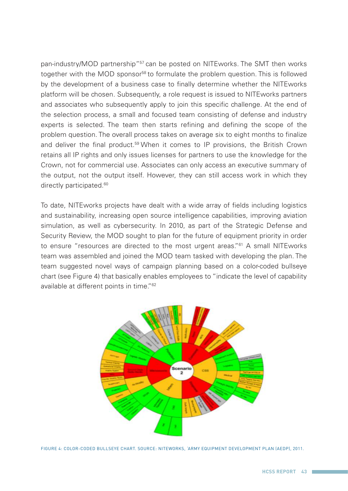pan-industry/MOD partnership"<sup>57</sup> can be posted on NITEworks. The SMT then works together with the MOD sponsor<sup>58</sup> to formulate the problem question. This is followed by the development of a business case to finally determine whether the NITEworks platform will be chosen. Subsequently, a role request is issued to NITEworks partners and associates who subsequently apply to join this specific challenge. At the end of the selection process, a small and focused team consisting of defense and industry experts is selected. The team then starts refining and defining the scope of the problem question. The overall process takes on average six to eight months to finalize and deliver the final product.59 When it comes to IP provisions, the British Crown retains all IP rights and only issues licenses for partners to use the knowledge for the Crown, not for commercial use. Associates can only access an executive summary of the output, not the output itself. However, they can still access work in which they directly participated.<sup>60</sup>

To date, NITEworks projects have dealt with a wide array of fields including logistics and sustainability, increasing open source intelligence capabilities, improving aviation simulation, as well as cybersecurity. In 2010, as part of the Strategic Defense and Security Review, the MOD sought to plan for the future of equipment priority in order to ensure "resources are directed to the most urgent areas."<sup>61</sup> A small NITEworks team was assembled and joined the MOD team tasked with developing the plan. The team suggested novel ways of campaign planning based on a color-coded bullseye chart (see Figure 4) that basically enables employees to "indicate the level of capability available at different points in time."62



FIGURE 4: COLOR-CODED BULLSEYE CHART. SOURCE: NITEWORKS, 'ARMY EQUIPMENT DEVELOPMENT PLAN (AEDP), 2011.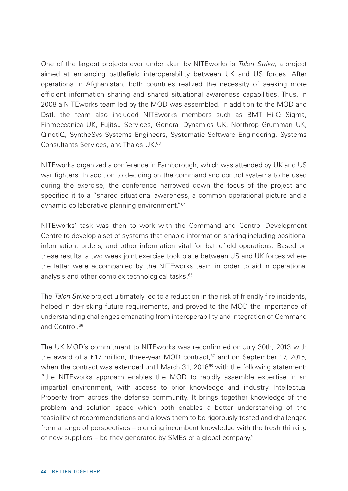One of the largest projects ever undertaken by NITEworks is *Talon Strike*, a project aimed at enhancing battlefield interoperability between UK and US forces. After operations in Afghanistan, both countries realized the necessity of seeking more efficient information sharing and shared situational awareness capabilities. Thus, in 2008 a NITEworks team led by the MOD was assembled. In addition to the MOD and Dstl, the team also included NITEworks members such as BMT Hi-Q Sigma, Finmeccanica UK, Fujitsu Services, General Dynamics UK, Northrop Grumman UK, QinetiQ, SyntheSys Systems Engineers, Systematic Software Engineering, Systems Consultants Services, and Thales UK.<sup>63</sup>

NITEworks organized a conference in Farnborough, which was attended by UK and US war fighters. In addition to deciding on the command and control systems to be used during the exercise, the conference narrowed down the focus of the project and specified it to a "shared situational awareness, a common operational picture and a dynamic collaborative planning environment."64

NITEworks' task was then to work with the Command and Control Development Centre to develop a set of systems that enable information sharing including positional information, orders, and other information vital for battlefield operations. Based on these results, a two week joint exercise took place between US and UK forces where the latter were accompanied by the NITEworks team in order to aid in operational analysis and other complex technological tasks.<sup>65</sup>

The *Talon Strike* project ultimately led to a reduction in the risk of friendly fire incidents, helped in de-risking future requirements, and proved to the MOD the importance of understanding challenges emanating from interoperability and integration of Command and Control.<sup>66</sup>

The UK MOD's commitment to NITEworks was reconfirmed on July 30th, 2013 with the award of a £17 million, three-year MOD contract, $67$  and on September 17, 2015, when the contract was extended until March 31, 2018 $^{68}$  with the following statement: "the NITEworks approach enables the MOD to rapidly assemble expertise in an impartial environment, with access to prior knowledge and industry Intellectual Property from across the defense community. It brings together knowledge of the problem and solution space which both enables a better understanding of the feasibility of recommendations and allows them to be rigorously tested and challenged from a range of perspectives – blending incumbent knowledge with the fresh thinking of new suppliers – be they generated by SMEs or a global company."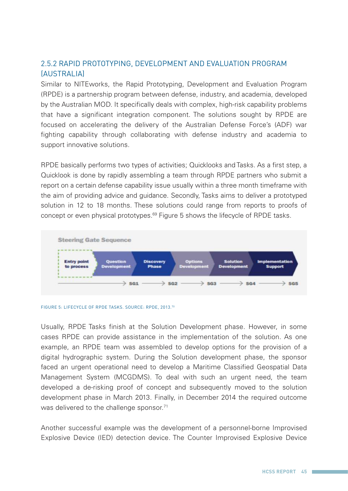# 2.5.2 RAPID PROTOTYPING, DEVELOPMENT AND EVALUATION PROGRAM (AUSTRALIA)

Similar to NITEworks, the Rapid Prototyping, Development and Evaluation Program (RPDE) is a partnership program between defense, industry, and academia, developed by the Australian MOD. It specifically deals with complex, high-risk capability problems that have a significant integration component. The solutions sought by RPDE are focused on accelerating the delivery of the Australian Defense Force's (ADF) war fighting capability through collaborating with defense industry and academia to support innovative solutions.

RPDE basically performs two types of activities; Quicklooks and Tasks. As a first step, a Quicklook is done by rapidly assembling a team through RPDE partners who submit a report on a certain defense capability issue usually within a three month timeframe with the aim of providing advice and guidance. Secondly, Tasks aims to deliver a prototyped solution in 12 to 18 months. These solutions could range from reports to proofs of concept or even physical prototypes.<sup>69</sup> [Figure](#page-46-0) 5 shows the lifecycle of RPDE tasks.



<span id="page-46-0"></span>FIGURE 5: LIFECYCLE OF RPDE TASKS. SOURCE: RPDE, 2013.70

Usually, RPDE Tasks finish at the Solution Development phase. However, in some cases RPDE can provide assistance in the implementation of the solution. As one example, an RPDE team was assembled to develop options for the provision of a digital hydrographic system. During the Solution development phase, the sponsor faced an urgent operational need to develop a Maritime Classified Geospatial Data Management System (MCGDMS). To deal with such an urgent need, the team developed a de-risking proof of concept and subsequently moved to the solution development phase in March 2013. Finally, in December 2014 the required outcome was delivered to the challenge sponsor.<sup>71</sup>

Another successful example was the development of a personnel-borne Improvised Explosive Device (IED) detection device. The Counter Improvised Explosive Device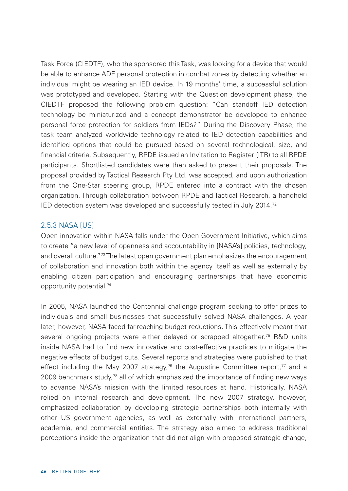Task Force (CIEDTF), who the sponsored this Task, was looking for a device that would be able to enhance ADF personal protection in combat zones by detecting whether an individual might be wearing an IED device. In 19 months' time, a successful solution was prototyped and developed. Starting with the Question development phase, the CIEDTF proposed the following problem question: "Can standoff IED detection technology be miniaturized and a concept demonstrator be developed to enhance personal force protection for soldiers from IEDs?" During the Discovery Phase, the task team analyzed worldwide technology related to IED detection capabilities and identified options that could be pursued based on several technological, size, and financial criteria. Subsequently, RPDE issued an Invitation to Register (ITR) to all RPDE participants. Shortlisted candidates were then asked to present their proposals. The proposal provided by Tactical Research Pty Ltd. was accepted, and upon authorization from the One-Star steering group, RPDE entered into a contract with the chosen organization. Through collaboration between RPDE and Tactical Research, a handheld IED detection system was developed and successfully tested in July 2014.72

#### 2.5.3 NASA (US)

Open innovation within NASA falls under the Open Government Initiative, which aims to create "a new level of openness and accountability in [NASA's] policies, technology, and overall culture."<sup>73</sup> The latest open government plan emphasizes the encouragement of collaboration and innovation both within the agency itself as well as externally by enabling citizen participation and encouraging partnerships that have economic opportunity potential.<sup>74</sup>

In 2005, NASA launched the Centennial challenge program seeking to offer prizes to individuals and small businesses that successfully solved NASA challenges. A year later, however, NASA faced far-reaching budget reductions. This effectively meant that several ongoing projects were either delayed or scrapped altogether.<sup>75</sup> R&D units inside NASA had to find new innovative and cost-effective practices to mitigate the negative effects of budget cuts. Several reports and strategies were published to that effect including the May 2007 strategy, $7^6$  the Augustine Committee report, $7^7$  and a 2009 benchmark study,78 all of which emphasized the importance of finding new ways to advance NASA's mission with the limited resources at hand. Historically, NASA relied on internal research and development. The new 2007 strategy, however, emphasized collaboration by developing strategic partnerships both internally with other US government agencies, as well as externally with international partners, academia, and commercial entities. The strategy also aimed to address traditional perceptions inside the organization that did not align with proposed strategic change,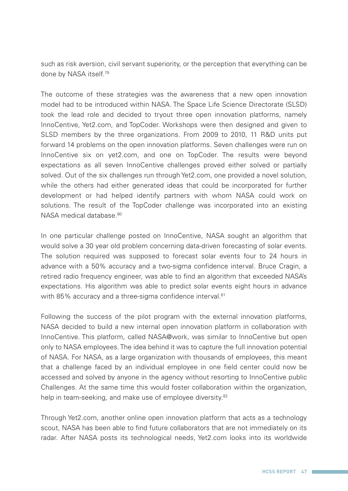such as risk aversion, civil servant superiority, or the perception that everything can be done by NASA itself.79

The outcome of these strategies was the awareness that a new open innovation model had to be introduced within NASA. The Space Life Science Directorate (SLSD) took the lead role and decided to tryout three open innovation platforms, namely InnoCentive, Yet2.com, and TopCoder. Workshops were then designed and given to SLSD members by the three organizations. From 2009 to 2010, 11 R&D units put forward 14 problems on the open innovation platforms. Seven challenges were run on InnoCentive six on yet2.com, and one on TopCoder. The results were beyond expectations as all seven InnoCentive challenges proved either solved or partially solved. Out of the six challenges run through Yet2.com, one provided a novel solution, while the others had either generated ideas that could be incorporated for further development or had helped identify partners with whom NASA could work on solutions. The result of the TopCoder challenge was incorporated into an existing NASA medical database.<sup>80</sup>

In one particular challenge posted on InnoCentive, NASA sought an algorithm that would solve a 30 year old problem concerning data-driven forecasting of solar events. The solution required was supposed to forecast solar events four to 24 hours in advance with a 50% accuracy and a two-sigma confidence interval. Bruce Cragin, a retired radio frequency engineer, was able to find an algorithm that exceeded NASA's expectations. His algorithm was able to predict solar events eight hours in advance with 85% accuracy and a three-sigma confidence interval.<sup>81</sup>

Following the success of the pilot program with the external innovation platforms, NASA decided to build a new internal open innovation platform in collaboration with InnoCentive. This platform, called NASA@work, was similar to InnoCentive but open only to NASA employees. The idea behind it was to capture the full innovation potential of NASA. For NASA, as a large organization with thousands of employees, this meant that a challenge faced by an individual employee in one field center could now be accessed and solved by anyone in the agency without resorting to InnoCentive public Challenges. At the same time this would foster collaboration within the organization, help in team-seeking, and make use of employee diversity.<sup>82</sup>

Through Yet2.com, another online open innovation platform that acts as a technology scout, NASA has been able to find future collaborators that are not immediately on its radar. After NASA posts its technological needs, Yet2.com looks into its worldwide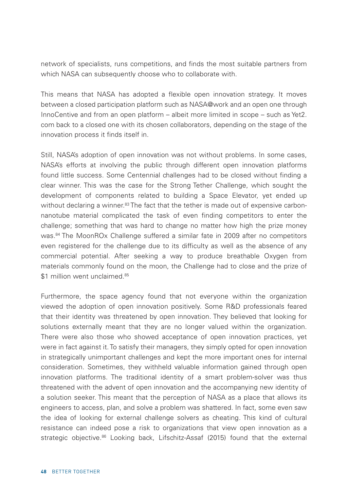network of specialists, runs competitions, and finds the most suitable partners from which NASA can subsequently choose who to collaborate with.

This means that NASA has adopted a flexible open innovation strategy. It moves between a closed participation platform such as NASA@work and an open one through InnoCentive and from an open platform – albeit more limited in scope – such as Yet2. com back to a closed one with its chosen collaborators, depending on the stage of the innovation process it finds itself in.

Still, NASA's adoption of open innovation was not without problems. In some cases, NASA's efforts at involving the public through different open innovation platforms found little success. Some Centennial challenges had to be closed without finding a clear winner. This was the case for the Strong Tether Challenge, which sought the development of components related to building a Space Elevator, yet ended up without declaring a winner.<sup>83</sup> The fact that the tether is made out of expensive carbonnanotube material complicated the task of even finding competitors to enter the challenge; something that was hard to change no matter how high the prize money was.84 The MoonROx Challenge suffered a similar fate in 2009 after no competitors even registered for the challenge due to its difficulty as well as the absence of any commercial potential. After seeking a way to produce breathable Oxygen from materials commonly found on the moon, the Challenge had to close and the prize of \$1 million went unclaimed.<sup>85</sup>

Furthermore, the space agency found that not everyone within the organization viewed the adoption of open innovation positively. Some R&D professionals feared that their identity was threatened by open innovation. They believed that looking for solutions externally meant that they are no longer valued within the organization. There were also those who showed acceptance of open innovation practices, yet were in fact against it. To satisfy their managers, they simply opted for open innovation in strategically unimportant challenges and kept the more important ones for internal consideration. Sometimes, they withheld valuable information gained through open innovation platforms. The traditional identity of a smart problem-solver was thus threatened with the advent of open innovation and the accompanying new identity of a solution seeker. This meant that the perception of NASA as a place that allows its engineers to access, plan, and solve a problem was shattered. In fact, some even saw the idea of looking for external challenge solvers as cheating. This kind of cultural resistance can indeed pose a risk to organizations that view open innovation as a strategic objective.<sup>86</sup> Looking back, Lifschitz-Assaf (2015) found that the external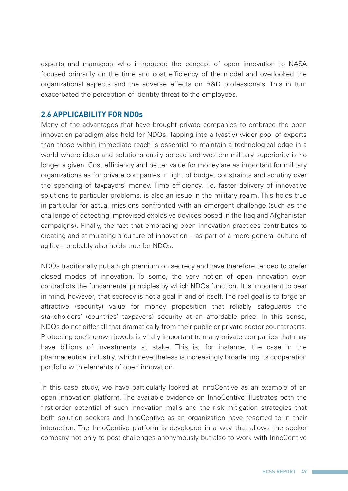experts and managers who introduced the concept of open innovation to NASA focused primarily on the time and cost efficiency of the model and overlooked the organizational aspects and the adverse effects on R&D professionals. This in turn exacerbated the perception of identity threat to the employees.

# **2.6 APPLICABILITY FOR NDOs**

Many of the advantages that have brought private companies to embrace the open innovation paradigm also hold for NDOs. Tapping into a (vastly) wider pool of experts than those within immediate reach is essential to maintain a technological edge in a world where ideas and solutions easily spread and western military superiority is no longer a given. Cost efficiency and better value for money are as important for military organizations as for private companies in light of budget constraints and scrutiny over the spending of taxpayers' money. Time efficiency, i.e. faster delivery of innovative solutions to particular problems, is also an issue in the military realm. This holds true in particular for actual missions confronted with an emergent challenge (such as the challenge of detecting improvised explosive devices posed in the Iraq and Afghanistan campaigns). Finally, the fact that embracing open innovation practices contributes to creating and stimulating a culture of innovation – as part of a more general culture of agility – probably also holds true for NDOs.

NDOs traditionally put a high premium on secrecy and have therefore tended to prefer closed modes of innovation. To some, the very notion of open innovation even contradicts the fundamental principles by which NDOs function. It is important to bear in mind, however, that secrecy is not a goal in and of itself. The real goal is to forge an attractive (security) value for money proposition that reliably safeguards the stakeholders' (countries' taxpayers) security at an affordable price. In this sense, NDOs do not differ all that dramatically from their public or private sector counterparts. Protecting one's crown jewels is vitally important to many private companies that may have billions of investments at stake. This is, for instance, the case in the pharmaceutical industry, which nevertheless is increasingly broadening its cooperation portfolio with elements of open innovation.

In this case study, we have particularly looked at InnoCentive as an example of an open innovation platform. The available evidence on InnoCentive illustrates both the first-order potential of such innovation malls and the risk mitigation strategies that both solution seekers and InnoCentive as an organization have resorted to in their interaction. The InnoCentive platform is developed in a way that allows the seeker company not only to post challenges anonymously but also to work with InnoCentive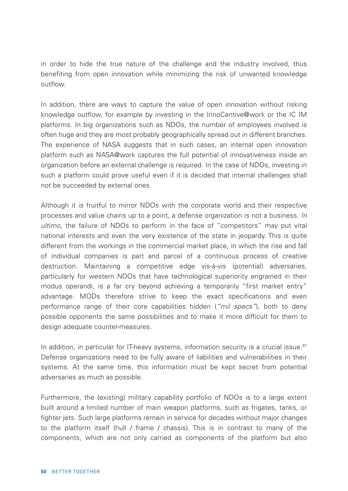in order to hide the true nature of the challenge and the industry involved, thus benefiting from open innovation while minimizing the risk of unwanted knowledge outflow.

In addition, there are ways to capture the value of open innovation without risking knowledge outflow, for example by investing in the InnoCentive@work or the IC IM platforms. In big organizations such as NDOs, the number of employees involved is often huge and they are most probably geographically spread out in different branches. The experience of NASA suggests that in such cases, an internal open innovation platform such as NASA@work captures the full potential of innovativeness inside an organization before an external challenge is required. In the case of NDOs, investing in such a platform could prove useful even if it is decided that internal challenges shall not be succeeded by external ones.

Although it is fruitful to mirror NDOs with the corporate world and their respective processes and value chains up to a point, a defense organization is not a business. *In ultimo*, the failure of NDOs to perform in the face of "competitors" may put vital national interests and even the very existence of the state in jeopardy. This is quite different from the workings in the commercial market place, in which the rise and fall of individual companies is part and parcel of a continuous process of creative destruction. Maintaining a competitive edge vis-à-vis (potential) adversaries, particularly for western NDOs that have technological superiority engrained in their modus operandi, is a far cry beyond achieving a temporarily "first market entry" advantage. MODs therefore strive to keep the exact specifications and even performance range of their core capabilities hidden (*"mil specs"*), both to deny possible opponents the same possibilities and to make it more difficult for them to design adequate counter-measures.

In addition, in particular for IT-heavy systems, information security is a crucial issue. $87$ Defense organizations need to be fully aware of liabilities and vulnerabilities in their systems. At the same time, this information must be kept secret from potential adversaries as much as possible.

Furthermore, the (existing) military capability portfolio of NDOs is to a large extent built around a limited number of main weapon platforms, such as frigates, tanks, or fighter jets. Such large platforms remain in service for decades without major changes to the platform itself (hull / frame / chassis). This is in contrast to many of the components, which are not only carried as components of the platform but also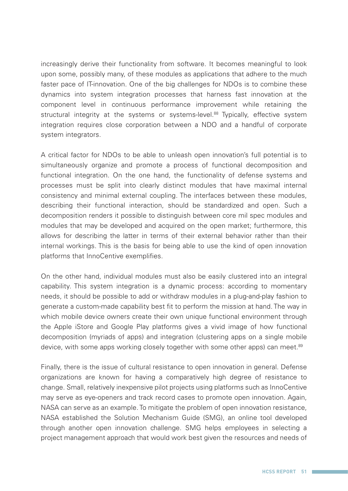increasingly derive their functionality from software. It becomes meaningful to look upon some, possibly many, of these modules as applications that adhere to the much faster pace of IT-innovation. One of the big challenges for NDOs is to combine these dynamics into system integration processes that harness fast innovation at the component level in continuous performance improvement while retaining the structural integrity at the systems or systems-level.<sup>88</sup> Typically, effective system integration requires close corporation between a NDO and a handful of corporate system integrators.

A critical factor for NDOs to be able to unleash open innovation's full potential is to simultaneously organize and promote a process of functional decomposition and functional integration. On the one hand, the functionality of defense systems and processes must be split into clearly distinct modules that have maximal internal consistency and minimal external coupling. The interfaces between these modules, describing their functional interaction, should be standardized and open. Such a decomposition renders it possible to distinguish between core mil spec modules and modules that may be developed and acquired on the open market; furthermore, this allows for describing the latter in terms of their external behavior rather than their internal workings. This is the basis for being able to use the kind of open innovation platforms that InnoCentive exemplifies.

On the other hand, individual modules must also be easily clustered into an integral capability. This system integration is a dynamic process: according to momentary needs, it should be possible to add or withdraw modules in a plug-and-play fashion to generate a custom-made capability best fit to perform the mission at hand. The way in which mobile device owners create their own unique functional environment through the Apple iStore and Google Play platforms gives a vivid image of how functional decomposition (myriads of apps) and integration (clustering apps on a single mobile device, with some apps working closely together with some other apps) can meet.<sup>89</sup>

Finally, there is the issue of cultural resistance to open innovation in general. Defense organizations are known for having a comparatively high degree of resistance to change. Small, relatively inexpensive pilot projects using platforms such as InnoCentive may serve as eye-openers and track record cases to promote open innovation. Again, NASA can serve as an example. To mitigate the problem of open innovation resistance, NASA established the Solution Mechanism Guide (SMG), an online tool developed through another open innovation challenge. SMG helps employees in selecting a project management approach that would work best given the resources and needs of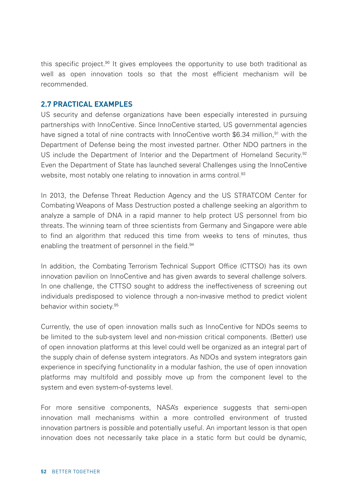this specific project.<sup>90</sup> It gives employees the opportunity to use both traditional as well as open innovation tools so that the most efficient mechanism will be recommended.

# **2.7 PRACTICAL EXAMPLES**

US security and defense organizations have been especially interested in pursuing partnerships with InnoCentive. Since InnoCentive started, US governmental agencies have signed a total of nine contracts with InnoCentive worth \$6.34 million.<sup>91</sup> with the Department of Defense being the most invested partner. Other NDO partners in the US include the Department of Interior and the Department of Homeland Security.<sup>92</sup> Even the Department of State has launched several Challenges using the InnoCentive website, most notably one relating to innovation in arms control.<sup>93</sup>

In 2013, the Defense Threat Reduction Agency and the US STRATCOM Center for Combating Weapons of Mass Destruction posted a challenge seeking an algorithm to analyze a sample of DNA in a rapid manner to help protect US personnel from bio threats. The winning team of three scientists from Germany and Singapore were able to find an algorithm that reduced this time from weeks to tens of minutes, thus enabling the treatment of personnel in the field.<sup>94</sup>

In addition, the Combating Terrorism Technical Support Office (CTTSO) has its own innovation pavilion on InnoCentive and has given awards to several challenge solvers. In one challenge, the CTTSO sought to address the ineffectiveness of screening out individuals predisposed to violence through a non-invasive method to predict violent behavior within society.95

Currently, the use of open innovation malls such as InnoCentive for NDOs seems to be limited to the sub-system level and non-mission critical components. (Better) use of open innovation platforms at this level could well be organized as an integral part of the supply chain of defense system integrators. As NDOs and system integrators gain experience in specifying functionality in a modular fashion, the use of open innovation platforms may multifold and possibly move up from the component level to the system and even system-of-systems level.

For more sensitive components, NASA's experience suggests that semi-open innovation mall mechanisms within a more controlled environment of trusted innovation partners is possible and potentially useful. An important lesson is that open innovation does not necessarily take place in a static form but could be dynamic,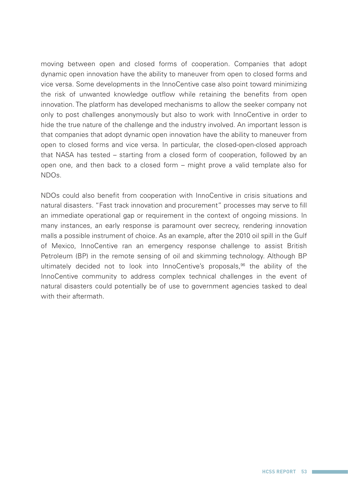moving between open and closed forms of cooperation. Companies that adopt dynamic open innovation have the ability to maneuver from open to closed forms and vice versa. Some developments in the InnoCentive case also point toward minimizing the risk of unwanted knowledge outflow while retaining the benefits from open innovation. The platform has developed mechanisms to allow the seeker company not only to post challenges anonymously but also to work with InnoCentive in order to hide the true nature of the challenge and the industry involved. An important lesson is that companies that adopt dynamic open innovation have the ability to maneuver from open to closed forms and vice versa. In particular, the closed-open-closed approach that NASA has tested – starting from a closed form of cooperation, followed by an open one, and then back to a closed form – might prove a valid template also for NDOs.

NDOs could also benefit from cooperation with InnoCentive in crisis situations and natural disasters. "Fast track innovation and procurement" processes may serve to fill an immediate operational gap or requirement in the context of ongoing missions. In many instances, an early response is paramount over secrecy, rendering innovation malls a possible instrument of choice. As an example, after the 2010 oil spill in the Gulf of Mexico, InnoCentive ran an emergency response challenge to assist British Petroleum (BP) in the remote sensing of oil and skimming technology. Although BP ultimately decided not to look into InnoCentive's proposals,<sup>96</sup> the ability of the InnoCentive community to address complex technical challenges in the event of natural disasters could potentially be of use to government agencies tasked to deal with their aftermath.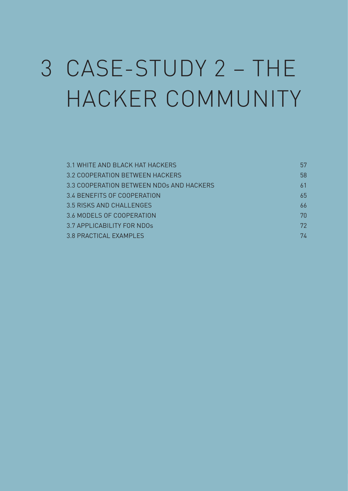# 3 CASE-STUDY 2 – THE HACKER COMMUNITY

| 3.1 WHITE AND BLACK HAT HACKERS          | 57 |
|------------------------------------------|----|
| 3.2 COOPERATION BETWEEN HACKERS          | 58 |
| 3.3 COOPERATION BETWEEN NDOs AND HACKERS | 61 |
| 3.4 BENEFITS OF COOPERATION              | 65 |
| 3.5 RISKS AND CHALLENGES                 | 66 |
| 3.6 MODELS OF COOPERATION                | 70 |
| 3.7 APPLICABILITY FOR NDOS               | 72 |
| 3.8 PRACTICAL FXAMPLES                   | 74 |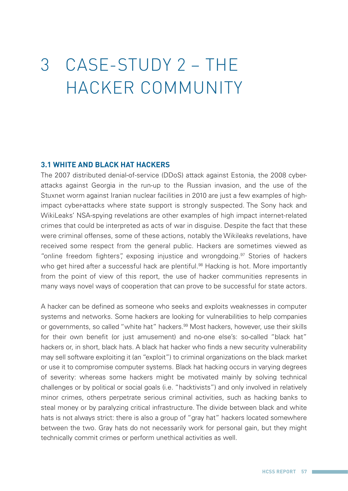# <span id="page-58-0"></span>3 CASE-STUDY 2 – THE HACKER COMMUNITY

#### <span id="page-58-1"></span>**3.1 WHITE AND BLACK HAT HACKERS**

The 2007 distributed denial-of-service (DDoS) attack against Estonia, the 2008 cyberattacks against Georgia in the run-up to the Russian invasion, and the use of the Stuxnet worm against Iranian nuclear facilities in 2010 are just a few examples of highimpact cyber-attacks where state support is strongly suspected. The Sony hack and WikiLeaks' NSA-spying revelations are other examples of high impact internet-related crimes that could be interpreted as acts of war in disguise. Despite the fact that these were criminal offenses, some of these actions, notably the Wikileaks revelations, have received some respect from the general public. Hackers are sometimes viewed as "online freedom fighters", exposing injustice and wrongdoing.97 Stories of hackers who get hired after a successful hack are plentiful.<sup>98</sup> Hacking is hot. More importantly from the point of view of this report, the use of hacker communities represents in many ways novel ways of cooperation that can prove to be successful for state actors.

A hacker can be defined as someone who seeks and exploits weaknesses in computer systems and networks. Some hackers are looking for vulnerabilities to help companies or governments, so called "white hat" hackers.99 Most hackers, however, use their skills for their own benefit (or just amusement) and no-one else's: so-called "black hat" hackers or, in short, black hats. A black hat hacker who finds a new security vulnerability may sell software exploiting it (an "exploit") to criminal organizations on the black market or use it to compromise computer systems. Black hat hacking occurs in varying degrees of severity: whereas some hackers might be motivated mainly by solving technical challenges or by political or social goals (i.e. "hacktivists") and only involved in relatively minor crimes, others perpetrate serious criminal activities, such as hacking banks to steal money or by paralyzing critical infrastructure. The divide between black and white hats is not always strict: there is also a group of "gray hat" hackers located somewhere between the two. Gray hats do not necessarily work for personal gain, but they might technically commit crimes or perform unethical activities as well.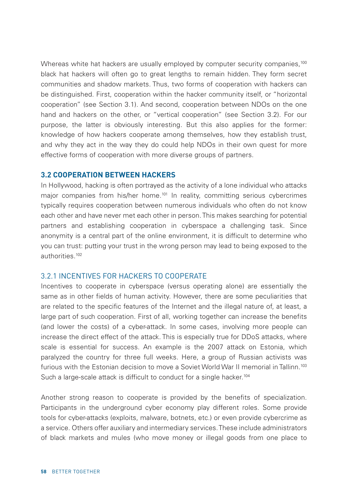<span id="page-59-0"></span>Whereas white hat hackers are usually employed by computer security companies,<sup>100</sup> black hat hackers will often go to great lengths to remain hidden. They form secret communities and shadow markets. Thus, two forms of cooperation with hackers can be distinguished. First, cooperation within the hacker community itself, or "horizontal cooperation" (see Section [3.1](#page-58-1)). And second, cooperation between NDOs on the one hand and hackers on the other, or "vertical cooperation" (see Section [3.2](#page-59-1)). For our purpose, the latter is obviously interesting. But this also applies for the former: knowledge of how hackers cooperate among themselves, how they establish trust, and why they act in the way they do could help NDOs in their own quest for more effective forms of cooperation with more diverse groups of partners.

#### <span id="page-59-1"></span>**3.2 COOPERATION BETWEEN HACKERS**

In Hollywood, hacking is often portrayed as the activity of a lone individual who attacks major companies from his/her home.<sup>101</sup> In reality, committing serious cybercrimes typically requires cooperation between numerous individuals who often do not know each other and have never met each other in person. This makes searching for potential partners and establishing cooperation in cyberspace a challenging task. Since anonymity is a central part of the online environment, it is difficult to determine who you can trust: putting your trust in the wrong person may lead to being exposed to the authorities.102

#### 3.2.1 INCENTIVES FOR HACKERS TO COOPERATE

Incentives to cooperate in cyberspace (versus operating alone) are essentially the same as in other fields of human activity. However, there are some peculiarities that are related to the specific features of the Internet and the illegal nature of, at least, a large part of such cooperation. First of all, working together can increase the benefits (and lower the costs) of a cyber-attack. In some cases, involving more people can increase the direct effect of the attack. This is especially true for DDoS attacks, where scale is essential for success. An example is the 2007 attack on Estonia, which paralyzed the country for three full weeks. Here, a group of Russian activists was furious with the Estonian decision to move a Soviet World War II memorial in Tallinn.<sup>103</sup> Such a large-scale attack is difficult to conduct for a single hacker.<sup>104</sup>

Another strong reason to cooperate is provided by the benefits of specialization. Participants in the underground cyber economy play different roles. Some provide tools for cyber-attacks (exploits, malware, botnets, etc.) or even provide cybercrime as a service. Others offer auxiliary and intermediary services. These include administrators of black markets and mules (who move money or illegal goods from one place to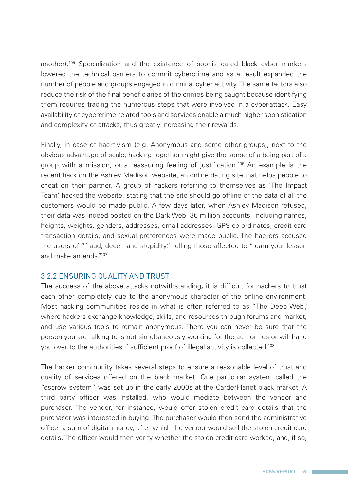another).105 Specialization and the existence of sophisticated black cyber markets lowered the technical barriers to commit cybercrime and as a result expanded the number of people and groups engaged in criminal cyber activity. The same factors also reduce the risk of the final beneficiaries of the crimes being caught because identifying them requires tracing the numerous steps that were involved in a cyber-attack. Easy availability of cybercrime-related tools and services enable a much higher sophistication and complexity of attacks, thus greatly increasing their rewards.

Finally, in case of hacktivism (e.g. Anonymous and some other groups), next to the obvious advantage of scale, hacking together might give the sense of a being part of a group with a mission, or a reassuring feeling of justification.106 An example is the recent hack on the Ashley Madison website, an online dating site that helps people to cheat on their partner. A group of hackers referring to themselves as 'The Impact Team' hacked the website, stating that the site should go offline or the data of all the customers would be made public. A few days later, when Ashley Madison refused, their data was indeed posted on the Dark Web: 36 million accounts, including names, heights, weights, genders, addresses, email addresses, GPS co-ordinates, credit card transaction details, and sexual preferences were made public. The hackers accused the users of "fraud, deceit and stupidity," telling those affected to "learn your lesson and make amends".<sup>107</sup>

# 3.2.2 ENSURING QUALITY AND TRUST

The success of the above attacks notwithstanding**,** it is difficult for hackers to trust each other completely due to the anonymous character of the online environment. Most hacking communities reside in what is often referred to as "The Deep Web", where hackers exchange knowledge, skills, and resources through forums and market, and use various tools to remain anonymous. There you can never be sure that the person you are talking to is not simultaneously working for the authorities or will hand you over to the authorities if sufficient proof of illegal activity is collected.108

The hacker community takes several steps to ensure a reasonable level of trust and quality of services offered on the black market. One particular system called the "escrow system" was set up in the early 2000s at the CarderPlanet black market. A third party officer was installed, who would mediate between the vendor and purchaser. The vendor, for instance, would offer stolen credit card details that the purchaser was interested in buying. The purchaser would then send the administrative officer a sum of digital money, after which the vendor would sell the stolen credit card details. The officer would then verify whether the stolen credit card worked, and, if so,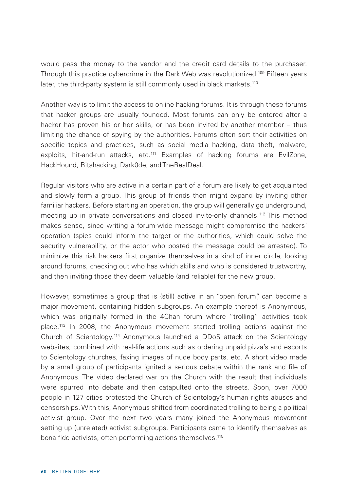would pass the money to the vendor and the credit card details to the purchaser. Through this practice cybercrime in the Dark Web was revolutionized.<sup>109</sup> Fifteen years later, the third-party system is still commonly used in black markets.<sup>110</sup>

Another way is to limit the access to online hacking forums. It is through these forums that hacker groups are usually founded. Most forums can only be entered after a hacker has proven his or her skills, or has been invited by another member – thus limiting the chance of spying by the authorities. Forums often sort their activities on specific topics and practices, such as social media hacking, data theft, malware, exploits, hit-and-run attacks, etc.111 Examples of hacking forums are EvilZone, HackHound, Bitshacking, Dark0de, and TheRealDeal.

Regular visitors who are active in a certain part of a forum are likely to get acquainted and slowly form a group. This group of friends then might expand by inviting other familiar hackers. Before starting an operation, the group will generally go underground, meeting up in private conversations and closed invite-only channels.112 This method makes sense, since writing a forum-wide message might compromise the hackers´ operation (spies could inform the target or the authorities, which could solve the security vulnerability, or the actor who posted the message could be arrested). To minimize this risk hackers first organize themselves in a kind of inner circle, looking around forums, checking out who has which skills and who is considered trustworthy, and then inviting those they deem valuable (and reliable) for the new group.

However, sometimes a group that is (still) active in an "open forum", can become a major movement, containing hidden subgroups. An example thereof is Anonymous, which was originally formed in the 4Chan forum where "trolling" activities took place.113 In 2008, the Anonymous movement started trolling actions against the Church of Scientology.114 Anonymous launched a DDoS attack on the Scientology websites, combined with real-life actions such as ordering unpaid pizza's and escorts to Scientology churches, faxing images of nude body parts, etc. A short video made by a small group of participants ignited a serious debate within the rank and file of Anonymous. The video declared war on the Church with the result that individuals were spurred into debate and then catapulted onto the streets. Soon, over 7000 people in 127 cities protested the Church of Scientology's human rights abuses and censorships. With this, Anonymous shifted from coordinated trolling to being a political activist group. Over the next two years many joined the Anonymous movement setting up (unrelated) activist subgroups. Participants came to identify themselves as bona fide activists, often performing actions themselves.<sup>115</sup>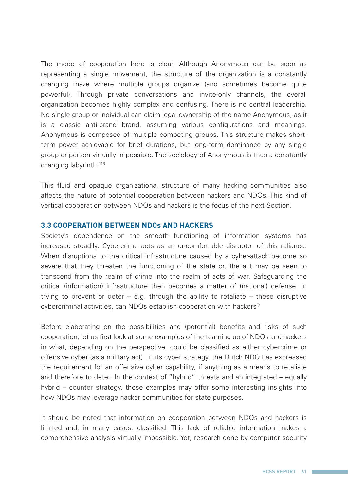<span id="page-62-0"></span>The mode of cooperation here is clear. Although Anonymous can be seen as representing a single movement, the structure of the organization is a constantly changing maze where multiple groups organize (and sometimes become quite powerful). Through private conversations and invite-only channels, the overall organization becomes highly complex and confusing. There is no central leadership. No single group or individual can claim legal ownership of the name Anonymous, as it is a classic anti-brand brand, assuming various configurations and meanings. Anonymous is composed of multiple competing groups. This structure makes shortterm power achievable for brief durations, but long-term dominance by any single group or person virtually impossible. The sociology of Anonymous is thus a constantly changing labyrinth.116

This fluid and opaque organizational structure of many hacking communities also affects the nature of potential cooperation between hackers and NDOs. This kind of vertical cooperation between NDOs and hackers is the focus of the next Section.

#### **3.3 COOPERATION BETWEEN NDOs AND HACKERS**

Society's dependence on the smooth functioning of information systems has increased steadily. Cybercrime acts as an uncomfortable disruptor of this reliance. When disruptions to the critical infrastructure caused by a cyber-attack become so severe that they threaten the functioning of the state or, the act may be seen to transcend from the realm of crime into the realm of acts of war. Safeguarding the critical (information) infrastructure then becomes a matter of (national) defense. In trying to prevent or deter  $-$  e.g. through the ability to retaliate  $-$  these disruptive cybercriminal activities, can NDOs establish cooperation with hackers?

Before elaborating on the possibilities and (potential) benefits and risks of such cooperation, let us first look at some examples of the teaming up of NDOs and hackers in what, depending on the perspective, could be classified as either cybercrime or offensive cyber (as a military act). In its cyber strategy, the Dutch NDO has expressed the requirement for an offensive cyber capability, if anything as a means to retaliate and therefore to deter. In the context of "hybrid" threats and an integrated – equally hybrid – counter strategy, these examples may offer some interesting insights into how NDOs may leverage hacker communities for state purposes.

It should be noted that information on cooperation between NDOs and hackers is limited and, in many cases, classified. This lack of reliable information makes a comprehensive analysis virtually impossible. Yet, research done by computer security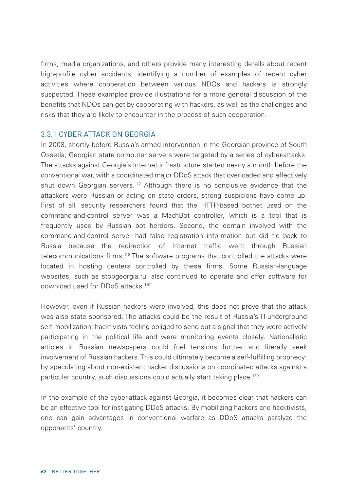firms, media organizations, and others provide many interesting details about recent high-profile cyber accidents, identifying a number of examples of recent cyber activities where cooperation between various NDOs and hackers is strongly suspected. These examples provide illustrations for a more general discussion of the benefits that NDOs can get by cooperating with hackers, as well as the challenges and risks that they are likely to encounter in the process of such cooperation.

#### 3.3.1 CYBER ATTACK ON GEORGIA

In 2008, shortly before Russia's armed intervention in the Georgian province of South Ossetia, Georgian state computer servers were targeted by a series of cyber-attacks. The attacks against Georgia's Internet infrastructure started nearly a month before the conventional war, with a coordinated major DDoS attack that overloaded and effectively shut down Georgian servers.<sup>117</sup> Although there is no conclusive evidence that the attackers were Russian or acting on state orders, strong suspicions have come up. First of all, security researchers found that the HTTP-based botnet used on the command-and-control server was a MachBot controller, which is a tool that is frequently used by Russian bot herders. Second, the domain involved with the command-and-control server had false registration information but did tie back to Russia because the redirection of Internet traffic went through Russian telecommunications firms.118 The software programs that controlled the attacks were located in hosting centers controlled by these firms. Some Russian-language websites, such as stopgeorgia.ru, also continued to operate and offer software for download used for DDoS attacks.119

However, even if Russian hackers were involved, this does not prove that the attack was also state sponsored. The attacks could be the result of Russia's IT-underground self-mobilization: hacktivists feeling obliged to send out a signal that they were actively participating in the political life and were monitoring events closely. Nationalistic articles in Russian newspapers could fuel tensions further and literally seek involvement of Russian hackers. This could ultimately become a self-fulfilling prophecy: by speculating about non-existent hacker discussions on coordinated attacks against a particular country, such discussions could actually start taking place.<sup>120</sup>

In the example of the cyber-attack against Georgia, it becomes clear that hackers can be an effective tool for instigating DDoS attacks. By mobilizing hackers and hacktivists, one can gain advantages in conventional warfare as DDoS attacks paralyze the opponents' country.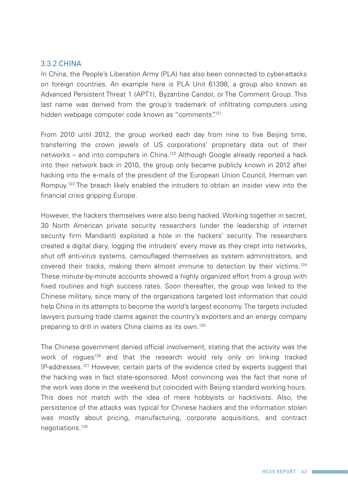#### 3.3.2 CHINA

In China, the People's Liberation Army (PLA) has also been connected to cyber-attacks on foreign countries. An example here is PLA Unit 61398, a group also known as Advanced Persistent Threat 1 (APT1), Byzantine Candor, or The Comment Group. This last name was derived from the group's trademark of infiltrating computers using hidden webpage computer code known as "comments"<sup>121</sup>

From 2010 until 2012, the group worked each day from nine to five Beijing time, transferring the crown jewels of US corporations' proprietary data out of their networks – and into computers in China.122 Although Google already reported a hack into their network back in 2010, the group only became publicly known in 2012 after hacking into the e-mails of the president of the European Union Council, Herman van Rompuy.123 The breach likely enabled the intruders to obtain an insider view into the financial crisis gripping Europe.

However, the hackers themselves were also being hacked. Working together in secret, 30 North American private security researchers (under the leadership of internet security firm Mandiant) exploited a hole in the hackers' security. The researchers created a digital diary, logging the intruders' every move as they crept into networks, shut off anti-virus systems, camouflaged themselves as system administrators, and covered their tracks, making them almost immune to detection by their victims.124 These minute-by-minute accounts showed a highly organized effort from a group with fixed routines and high success rates. Soon thereafter, the group was linked to the Chinese military, since many of the organizations targeted lost information that could help China in its attempts to become the world's largest economy. The targets included lawyers pursuing trade claims against the country's exporters and an energy company preparing to drill in waters China claims as its own.125

The Chinese government denied official involvement, stating that the activity was the work of rogues<sup>126</sup> and that the research would rely only on linking tracked IP-addresses.127 However, certain parts of the evidence cited by experts suggest that the hacking was in fact state-sponsored. Most convincing was the fact that none of the work was done in the weekend but coincided with Beijing standard working hours. This does not match with the idea of mere hobbyists or hacktivists. Also, the persistence of the attacks was typical for Chinese hackers and the information stolen was mostly about pricing, manufacturing, corporate acquisitions, and contract negotiations.128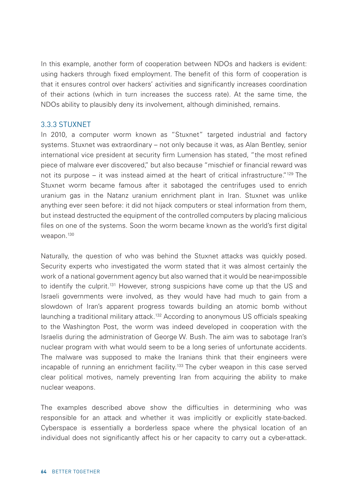In this example, another form of cooperation between NDOs and hackers is evident: using hackers through fixed employment. The benefit of this form of cooperation is that it ensures control over hackers' activities and significantly increases coordination of their actions (which in turn increases the success rate). At the same time, the NDOs ability to plausibly deny its involvement, although diminished, remains.

#### 3.3.3 STUXNET

In 2010, a computer worm known as "Stuxnet" targeted industrial and factory systems. Stuxnet was extraordinary – not only because it was, as Alan Bentley, senior international vice president at security firm Lumension has stated, "the most refined piece of malware ever discovered," but also because "mischief or financial reward was not its purpose – it was instead aimed at the heart of critical infrastructure." $129$  The Stuxnet worm became famous after it sabotaged the centrifuges used to enrich uranium gas in the Natanz uranium enrichment plant in Iran. Stuxnet was unlike anything ever seen before: it did not hijack computers or steal information from them, but instead destructed the equipment of the controlled computers by placing malicious files on one of the systems. Soon the worm became known as the world's first digital weapon.<sup>130</sup>

Naturally, the question of who was behind the Stuxnet attacks was quickly posed. Security experts who investigated the worm stated that it was almost certainly the work of a national government agency but also warned that it would be near-impossible to identify the culprit.131 However, strong suspicions have come up that the US and Israeli governments were involved, as they would have had much to gain from a slowdown of Iran's apparent progress towards building an atomic bomb without launching a traditional military attack.132 According to anonymous US officials speaking to the Washington Post, the worm was indeed developed in cooperation with the Israelis during the administration of George W. Bush. The aim was to sabotage Iran's nuclear program with what would seem to be a long series of unfortunate accidents. The malware was supposed to make the Iranians think that their engineers were incapable of running an enrichment facility.133 The cyber weapon in this case served clear political motives, namely preventing Iran from acquiring the ability to make nuclear weapons.

The examples described above show the difficulties in determining who was responsible for an attack and whether it was implicitly or explicitly state-backed. Cyberspace is essentially a borderless space where the physical location of an individual does not significantly affect his or her capacity to carry out a cyber-attack.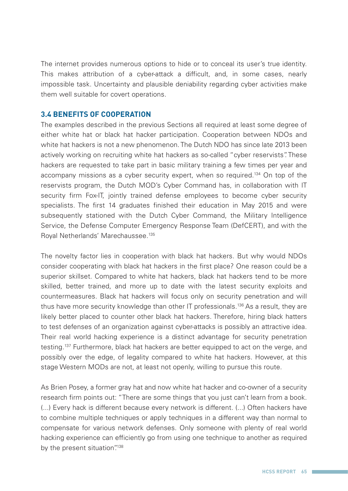<span id="page-66-0"></span>The internet provides numerous options to hide or to conceal its user's true identity. This makes attribution of a cyber-attack a difficult, and, in some cases, nearly impossible task. Uncertainty and plausible deniability regarding cyber activities make them well suitable for covert operations.

# **3.4 BENEFITS OF COOPERATION**

The examples described in the previous Sections all required at least some degree of either white hat or black hat hacker participation. Cooperation between NDOs and white hat hackers is not a new phenomenon. The Dutch NDO has since late 2013 been actively working on recruiting white hat hackers as so-called "cyber reservists". These hackers are requested to take part in basic military training a few times per year and accompany missions as a cyber security expert, when so required.134 On top of the reservists program, the Dutch MOD's Cyber Command has, in collaboration with IT security firm Fox-IT, jointly trained defense employees to become cyber security specialists. The first 14 graduates finished their education in May 2015 and were subsequently stationed with the Dutch Cyber Command, the Military Intelligence Service, the Defense Computer Emergency Response Team (DefCERT), and with the Royal Netherlands' Marechaussee.135

The novelty factor lies in cooperation with black hat hackers. But why would NDOs consider cooperating with black hat hackers in the first place? One reason could be a superior skillset. Compared to white hat hackers, black hat hackers tend to be more skilled, better trained, and more up to date with the latest security exploits and countermeasures. Black hat hackers will focus only on security penetration and will thus have more security knowledge than other IT professionals.<sup>136</sup> As a result, they are likely better placed to counter other black hat hackers. Therefore, hiring black hatters to test defenses of an organization against cyber-attacks is possibly an attractive idea. Their real world hacking experience is a distinct advantage for security penetration testing.137 Furthermore, black hat hackers are better equipped to act on the verge, and possibly over the edge, of legality compared to white hat hackers. However, at this stage Western MODs are not, at least not openly, willing to pursue this route.

As Brien Posey, a former gray hat and now white hat hacker and co-owner of a security research firm points out: "There are some things that you just can't learn from a book. (...) Every hack is different because every network is different. (...) Often hackers have to combine multiple techniques or apply techniques in a different way than normal to compensate for various network defenses. Only someone with plenty of real world hacking experience can efficiently go from using one technique to another as required by the present situation".<sup>138</sup>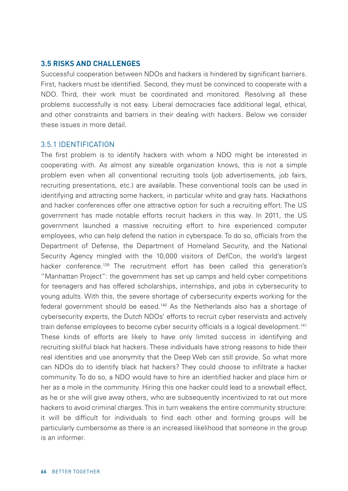#### <span id="page-67-0"></span>**3.5 RISKS AND CHALLENGES**

Successful cooperation between NDOs and hackers is hindered by significant barriers. First, hackers must be identified. Second, they must be convinced to cooperate with a NDO. Third, their work must be coordinated and monitored. Resolving all these problems successfully is not easy. Liberal democracies face additional legal, ethical, and other constraints and barriers in their dealing with hackers. Below we consider these issues in more detail.

#### 3.5.1 IDENTIFICATION

The first problem is to identify hackers with whom a NDO might be interested in cooperating with. As almost any sizeable organization knows, this is not a simple problem even when all conventional recruiting tools (job advertisements, job fairs, recruiting presentations, etc.) are available. These conventional tools can be used in identifying and attracting some hackers, in particular white and gray hats. Hackathons and hacker conferences offer one attractive option for such a recruiting effort. The US government has made notable efforts recruit hackers in this way. In 2011, the US government launched a massive recruiting effort to hire experienced computer employees, who can help defend the nation in cyberspace. To do so, officials from the Department of Defense, the Department of Homeland Security, and the National Security Agency mingled with the 10,000 visitors of DefCon, the world's largest hacker conference.<sup>139</sup> The recruitment effort has been called this generation's "Manhattan Project": the government has set up camps and held cyber competitions for teenagers and has offered scholarships, internships, and jobs in cybersecurity to young adults. With this, the severe shortage of cybersecurity experts working for the federal government should be eased.140 As the Netherlands also has a shortage of cybersecurity experts, the Dutch NDOs' efforts to recruit cyber reservists and actively train defense employees to become cyber security officials is a logical development.<sup>141</sup> These kinds of efforts are likely to have only limited success in identifying and recruiting skillful black hat hackers. These individuals have strong reasons to hide their real identities and use anonymity that the Deep Web can still provide. So what more can NDOs do to identify black hat hackers? They could choose to infiltrate a hacker community. To do so, a NDO would have to hire an identified hacker and place him or her as a mole in the community. Hiring this one hacker could lead to a snowball effect, as he or she will give away others, who are subsequently incentivized to rat out more hackers to avoid criminal charges. This in turn weakens the entire community structure: it will be difficult for individuals to find each other and forming groups will be particularly cumbersome as there is an increased likelihood that someone in the group is an informer.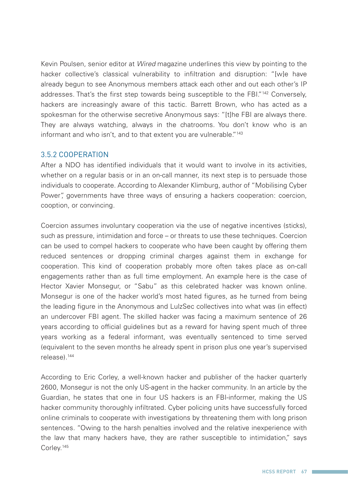Kevin Poulsen, senior editor at *Wired* magazine underlines this view by pointing to the hacker collective's classical vulnerability to infiltration and disruption: "[w]e have already begun to see Anonymous members attack each other and out each other's IP addresses. That's the first step towards being susceptible to the FBI."142 Conversely, hackers are increasingly aware of this tactic. Barrett Brown, who has acted as a spokesman for the otherwise secretive Anonymous says: "[t]he FBI are always there. They are always watching, always in the chatrooms. You don't know who is an informant and who isn't, and to that extent you are vulnerable."<sup>143</sup>

# 3.5.2 COOPERATION

After a NDO has identified individuals that it would want to involve in its activities, whether on a regular basis or in an on-call manner, its next step is to persuade those individuals to cooperate. According to Alexander Klimburg, author of "Mobilising Cyber Power", governments have three ways of ensuring a hackers cooperation: coercion, cooption, or convincing.

Coercion assumes involuntary cooperation via the use of negative incentives (sticks), such as pressure, intimidation and force – or threats to use these techniques. Coercion can be used to compel hackers to cooperate who have been caught by offering them reduced sentences or dropping criminal charges against them in exchange for cooperation. This kind of cooperation probably more often takes place as on-call engagements rather than as full time employment. An example here is the case of Hector Xavier Monsegur, or "Sabu" as this celebrated hacker was known online. Monsegur is one of the hacker world's most hated figures, as he turned from being the leading figure in the Anonymous and LulzSec collectives into what was (in effect) an undercover FBI agent. The skilled hacker was facing a maximum sentence of 26 years according to official guidelines but as a reward for having spent much of three years working as a federal informant, was eventually sentenced to time served (equivalent to the seven months he already spent in prison plus one year's supervised release).144

According to Eric Corley, a well-known hacker and publisher of the hacker quarterly 2600, Monsegur is not the only US-agent in the hacker community. In an article by the Guardian, he states that one in four US hackers is an FBI-informer, making the US hacker community thoroughly infiltrated. Cyber policing units have successfully forced online criminals to cooperate with investigations by threatening them with long prison sentences. "Owing to the harsh penalties involved and the relative inexperience with the law that many hackers have, they are rather susceptible to intimidation," says Corley.145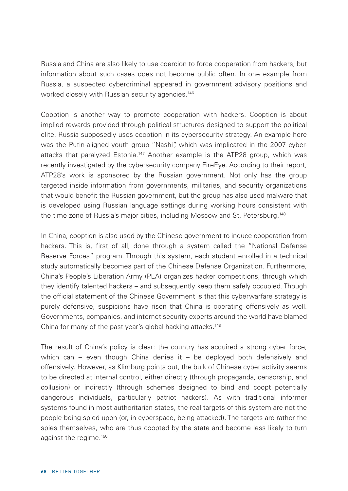Russia and China are also likely to use coercion to force cooperation from hackers, but information about such cases does not become public often. In one example from Russia, a suspected cybercriminal appeared in government advisory positions and worked closely with Russian security agencies.<sup>146</sup>

Cooption is another way to promote cooperation with hackers. Cooption is about implied rewards provided through political structures designed to support the political elite. Russia supposedly uses cooption in its cybersecurity strategy. An example here was the Putin-aligned youth group "Nashi", which was implicated in the 2007 cyberattacks that paralyzed Estonia.147 Another example is the ATP28 group, which was recently investigated by the cybersecurity company FireEye. According to their report, ATP28's work is sponsored by the Russian government. Not only has the group targeted inside information from governments, militaries, and security organizations that would benefit the Russian government, but the group has also used malware that is developed using Russian language settings during working hours consistent with the time zone of Russia's major cities, including Moscow and St. Petersburg.148

In China, cooption is also used by the Chinese government to induce cooperation from hackers. This is, first of all, done through a system called the "National Defense Reserve Forces" program. Through this system, each student enrolled in a technical study automatically becomes part of the Chinese Defense Organization. Furthermore, China's People's Liberation Army (PLA) organizes hacker competitions, through which they identify talented hackers – and subsequently keep them safely occupied. Though the official statement of the Chinese Government is that this cyberwarfare strategy is purely defensive, suspicions have risen that China is operating offensively as well. Governments, companies, and internet security experts around the world have blamed China for many of the past year's global hacking attacks.<sup>149</sup>

The result of China's policy is clear: the country has acquired a strong cyber force, which can – even though China denies it – be deployed both defensively and offensively. However, as Klimburg points out, the bulk of Chinese cyber activity seems to be directed at internal control, either directly (through propaganda, censorship, and collusion) or indirectly (through schemes designed to bind and coopt potentially dangerous individuals, particularly patriot hackers). As with traditional informer systems found in most authoritarian states, the real targets of this system are not the people being spied upon (or, in cyberspace, being attacked). The targets are rather the spies themselves, who are thus coopted by the state and become less likely to turn against the regime.<sup>150</sup>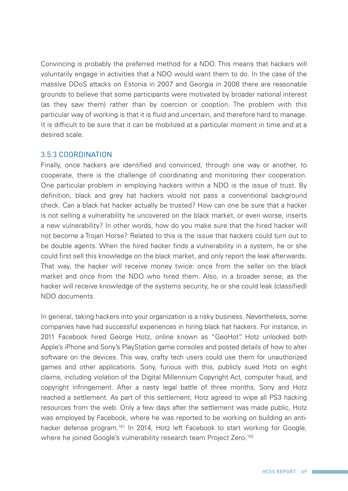Convincing is probably the preferred method for a NDO. This means that hackers will voluntarily engage in activities that a NDO would want them to do. In the case of the massive DDoS attacks on Estonia in 2007 and Georgia in 2008 there are reasonable grounds to believe that some participants were motivated by broader national interest (as they saw them) rather than by coercion or cooption. The problem with this particular way of working is that it is fluid and uncertain, and therefore hard to manage. It is difficult to be sure that it can be mobilized at a particular moment in time and at a desired scale.

# 3.5.3 COORDINATION

Finally, once hackers are identified and convinced, through one way or another, to cooperate, there is the challenge of coordinating and monitoring their cooperation. One particular problem in employing hackers within a NDO is the issue of trust. By definition, black and grey hat hackers would not pass a conventional background check. Can a black hat hacker actually be trusted? How can one be sure that a hacker is not selling a vulnerability he uncovered on the black market, or even worse, inserts a new vulnerability? In other words, how do you make sure that the hired hacker will not become a Trojan Horse? Related to this is the issue that hackers could turn out to be double agents. When the hired hacker finds a vulnerability in a system, he or she could first sell this knowledge on the black market, and only report the leak afterwards. That way, the hacker will receive money twice: once from the seller on the black market and once from the NDO who hired them. Also, in a broader sense, as the hacker will receive knowledge of the systems security, he or she could leak (classified) NDO documents.

In general, taking hackers into your organization is a risky business. Nevertheless, some companies have had successful experiences in hiring black hat hackers. For instance, in 2011 Facebook hired George Hotz, online known as "GeoHot". Hotz unlocked both Apple's iPhone and Sony's PlayStation game consoles and posted details of how to alter software on the devices. This way, crafty tech users could use them for unauthorized games and other applications. Sony, furious with this, publicly sued Hotz on eight claims, including violation of the Digital Millennium Copyright Act, computer fraud, and copyright infringement. After a nasty legal battle of three months, Sony and Hotz reached a settlement. As part of this settlement, Hotz agreed to wipe all PS3 hacking resources from the web. Only a few days after the settlement was made public, Hotz was employed by Facebook, where he was reported to be working on building an antihacker defense program.<sup>151</sup> In 2014, Hotz left Facebook to start working for Google, where he joined Google's vulnerability research team Project Zero.<sup>152</sup>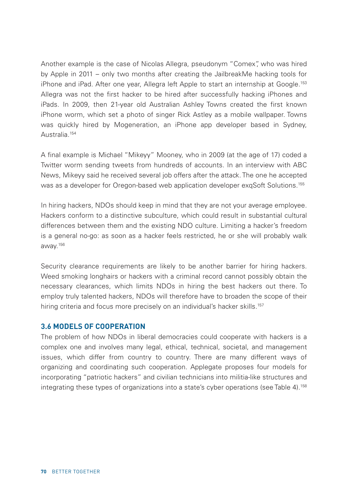<span id="page-71-0"></span>Another example is the case of Nicolas Allegra, pseudonym "Comex", who was hired by Apple in 2011 – only two months after creating the JailbreakMe hacking tools for iPhone and iPad. After one year, Allegra left Apple to start an internship at Google.153 Allegra was not the first hacker to be hired after successfully hacking iPhones and iPads. In 2009, then 21-year old Australian Ashley Towns created the first known iPhone worm, which set a photo of singer Rick Astley as a mobile wallpaper. Towns was quickly hired by Mogeneration, an iPhone app developer based in Sydney, Australia.154

A final example is Michael "Mikeyy" Mooney, who in 2009 (at the age of 17) coded a Twitter worm sending tweets from hundreds of accounts. In an interview with ABC News, Mikeyy said he received several job offers after the attack. The one he accepted was as a developer for Oregon-based web application developer exqSoft Solutions.<sup>155</sup>

In hiring hackers, NDOs should keep in mind that they are not your average employee. Hackers conform to a distinctive subculture, which could result in substantial cultural differences between them and the existing NDO culture. Limiting a hacker's freedom is a general no-go: as soon as a hacker feels restricted, he or she will probably walk away.156

Security clearance requirements are likely to be another barrier for hiring hackers. Weed smoking longhairs or hackers with a criminal record cannot possibly obtain the necessary clearances, which limits NDOs in hiring the best hackers out there. To employ truly talented hackers, NDOs will therefore have to broaden the scope of their hiring criteria and focus more precisely on an individual's hacker skills.<sup>157</sup>

#### **3.6 MODELS OF COOPERATION**

<span id="page-71-1"></span>The problem of how NDOs in liberal democracies could cooperate with hackers is a complex one and involves many legal, ethical, technical, societal, and management issues, which differ from country to country. There are many different ways of organizing and coordinating such cooperation. Applegate proposes four models for incorporating "patriotic hackers" and civilian technicians into militia-like structures and integrating these types of organizations into a state's cyber operations (see [Table](#page-71-1) 4).158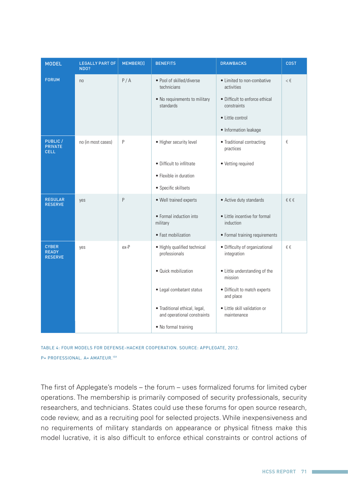| <b>MODEL</b>                                   | <b>LEGALLY PART OF</b><br><b>ND0?</b> | MEMBER[I] | <b>BENEFITS</b>                                                                                                                                                                           | <b>DRAWBACKS</b>                                                                                                                                                                      | <b>COST</b>         |
|------------------------------------------------|---------------------------------------|-----------|-------------------------------------------------------------------------------------------------------------------------------------------------------------------------------------------|---------------------------------------------------------------------------------------------------------------------------------------------------------------------------------------|---------------------|
| <b>FORUM</b>                                   | no                                    | P/A       | · Pool of skilled/diverse<br>technicians<br>. No requirements to military<br>standards                                                                                                    | • Limited to non-combative<br>activities<br>• Difficult to enforce ethical<br>constraints<br>· Little control                                                                         | $<\epsilon$         |
|                                                |                                       |           |                                                                                                                                                                                           | • Information leakage                                                                                                                                                                 |                     |
| PUBLIC /<br><b>PRIVATE</b><br><b>CELL</b>      | no (in most cases)                    | P         | · Higher security level                                                                                                                                                                   | • Traditional contracting<br>practices                                                                                                                                                | $\epsilon$          |
|                                                |                                       |           | • Difficult to infiltrate<br>• Flexible in duration<br>• Specific skillsets                                                                                                               | • Vetting required                                                                                                                                                                    |                     |
| <b>REGULAR</b><br><b>RESERVE</b>               | yes                                   | P         | • Well trained experts<br>• Formal induction into<br>military<br>• Fast mobilization                                                                                                      | • Active duty standards<br>• Little incentive for formal<br>induction<br>• Formal training requirements                                                                               | $f \in \mathcal{E}$ |
| <b>CYBER</b><br><b>READY</b><br><b>RESERVE</b> | yes                                   | ex-P      | • Highly qualified technical<br>professionals<br>• Quick mobilization<br>• Legal combatant status<br>· Traditional ethical, legal,<br>and operational constraints<br>• No formal training | • Difficulty of organizational<br>integration<br>• Little understanding of the<br>mission<br>• Difficult to match experts<br>and place<br>• Little skill validation or<br>maintenance | €€                  |

TABLE 4: FOUR MODELS FOR DEFENSE-HACKER COOPERATION. SOURCE: APPLEGATE, 2012. P= PROFESSIONAL. A= AMATEUR.<sup>159</sup>

The first of Applegate's models – the forum – uses formalized forums for limited cyber operations. The membership is primarily composed of security professionals, security researchers, and technicians. States could use these forums for open source research, code review, and as a recruiting pool for selected projects. While inexpensiveness and no requirements of military standards on appearance or physical fitness make this model lucrative, it is also difficult to enforce ethical constraints or control actions of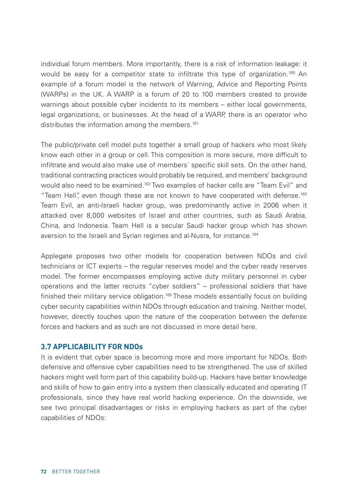individual forum members. More importantly, there is a risk of information leakage: it would be easy for a competitor state to infiltrate this type of organization.<sup>160</sup> An example of a forum model is the network of Warning, Advice and Reporting Points (WARPs) in the UK. A WARP is a forum of 20 to 100 members created to provide warnings about possible cyber incidents to its members – either local governments, legal organizations, or businesses. At the head of a WARP, there is an operator who distributes the information among the members.<sup>161</sup>

The public/private cell model puts together a small group of hackers who most likely know each other in a group or cell. This composition is more secure, more difficult to infiltrate and would also make use of members´ specific skill sets. On the other hand, traditional contracting practices would probably be required, and members' background would also need to be examined.<sup>162</sup> Two examples of hacker cells are "Team Evil" and "Team Hell", even though these are not known to have cooperated with defense.163 Team Evil, an anti-Israeli hacker group, was predominantly active in 2006 when it attacked over 8,000 websites of Israel and other countries, such as Saudi Arabia, China, and Indonesia. Team Hell is a secular Saudi hacker group which has shown aversion to the Israeli and Syrian regimes and al-Nusra, for instance.<sup>164</sup>

Applegate proposes two other models for cooperation between NDOs and civil technicians or ICT experts – the regular reserves model and the cyber ready reserves model. The former encompasses employing active duty military personnel in cyber operations and the latter recruits "cyber soldiers" – professional soldiers that have finished their military service obligation.165 These models essentially focus on building cyber security capabilities within NDOs through education and training. Neither model, however, directly touches upon the nature of the cooperation between the defense forces and hackers and as such are not discussed in more detail here.

#### **3.7 APPLICABILITY FOR NDOs**

It is evident that cyber space is becoming more and more important for NDOs. Both defensive and offensive cyber capabilities need to be strengthened. The use of skilled hackers might well form part of this capability build-up. Hackers have better knowledge and skills of how to gain entry into a system then classically educated and operating IT professionals, since they have real world hacking experience. On the downside, we see two principal disadvantages or risks in employing hackers as part of the cyber capabilities of NDOs: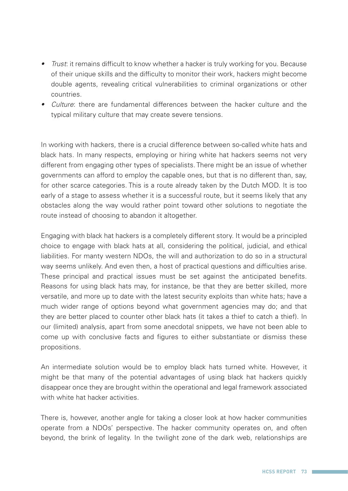- *• Trust*: it remains difficult to know whether a hacker is truly working for you. Because of their unique skills and the difficulty to monitor their work, hackers might become double agents, revealing critical vulnerabilities to criminal organizations or other countries.
- *• Culture*: there are fundamental differences between the hacker culture and the typical military culture that may create severe tensions.

In working with hackers, there is a crucial difference between so-called white hats and black hats. In many respects, employing or hiring white hat hackers seems not very different from engaging other types of specialists. There might be an issue of whether governments can afford to employ the capable ones, but that is no different than, say, for other scarce categories. This is a route already taken by the Dutch MOD. It is too early of a stage to assess whether it is a successful route, but it seems likely that any obstacles along the way would rather point toward other solutions to negotiate the route instead of choosing to abandon it altogether.

Engaging with black hat hackers is a completely different story. It would be a principled choice to engage with black hats at all, considering the political, judicial, and ethical liabilities. For manty western NDOs, the will and authorization to do so in a structural way seems unlikely. And even then, a host of practical questions and difficulties arise. These principal and practical issues must be set against the anticipated benefits. Reasons for using black hats may, for instance, be that they are better skilled, more versatile, and more up to date with the latest security exploits than white hats; have a much wider range of options beyond what government agencies may do; and that they are better placed to counter other black hats (it takes a thief to catch a thief). In our (limited) analysis, apart from some anecdotal snippets, we have not been able to come up with conclusive facts and figures to either substantiate or dismiss these propositions.

An intermediate solution would be to employ black hats turned white. However, it might be that many of the potential advantages of using black hat hackers quickly disappear once they are brought within the operational and legal framework associated with white hat hacker activities.

There is, however, another angle for taking a closer look at how hacker communities operate from a NDOs' perspective. The hacker community operates on, and often beyond, the brink of legality. In the twilight zone of the dark web, relationships are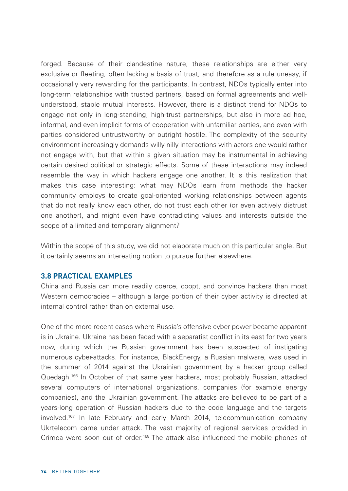forged. Because of their clandestine nature, these relationships are either very exclusive or fleeting, often lacking a basis of trust, and therefore as a rule uneasy, if occasionally very rewarding for the participants. In contrast, NDOs typically enter into long-term relationships with trusted partners, based on formal agreements and wellunderstood, stable mutual interests. However, there is a distinct trend for NDOs to engage not only in long-standing, high-trust partnerships, but also in more ad hoc, informal, and even implicit forms of cooperation with unfamiliar parties, and even with parties considered untrustworthy or outright hostile. The complexity of the security environment increasingly demands willy-nilly interactions with actors one would rather not engage with, but that within a given situation may be instrumental in achieving certain desired political or strategic effects. Some of these interactions may indeed resemble the way in which hackers engage one another. It is this realization that makes this case interesting: what may NDOs learn from methods the hacker community employs to create goal-oriented working relationships between agents that do not really know each other, do not trust each other (or even actively distrust one another), and might even have contradicting values and interests outside the scope of a limited and temporary alignment?

Within the scope of this study, we did not elaborate much on this particular angle. But it certainly seems an interesting notion to pursue further elsewhere.

#### **3.8 PRACTICAL EXAMPLES**

China and Russia can more readily coerce, coopt, and convince hackers than most Western democracies – although a large portion of their cyber activity is directed at internal control rather than on external use.

One of the more recent cases where Russia's offensive cyber power became apparent is in Ukraine. Ukraine has been faced with a separatist conflict in its east for two years now, during which the Russian government has been suspected of instigating numerous cyber-attacks. For instance, BlackEnergy, a Russian malware, was used in the summer of 2014 against the Ukrainian government by a hacker group called Quedagh.166 In October of that same year hackers, most probably Russian, attacked several computers of international organizations, companies (for example energy companies), and the Ukrainian government. The attacks are believed to be part of a years-long operation of Russian hackers due to the code language and the targets involved.167 In late February and early March 2014, telecommunication company Ukrtelecom came under attack. The vast majority of regional services provided in Crimea were soon out of order.168 The attack also influenced the mobile phones of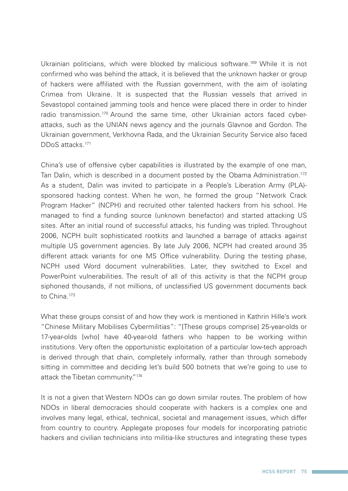Ukrainian politicians, which were blocked by malicious software.169 While it is not confirmed who was behind the attack, it is believed that the unknown hacker or group of hackers were affiliated with the Russian government, with the aim of isolating Crimea from Ukraine. It is suspected that the Russian vessels that arrived in Sevastopol contained jamming tools and hence were placed there in order to hinder radio transmission.<sup>170</sup> Around the same time, other Ukrainian actors faced cyberattacks, such as the UNIAN news agency and the journals Glavnoe and Gordon. The Ukrainian government, Verkhovna Rada, and the Ukrainian Security Service also faced DDoS attacks.171

China's use of offensive cyber capabilities is illustrated by the example of one man, Tan Dalin, which is described in a document posted by the Obama Administration.172 As a student, Dalin was invited to participate in a People's Liberation Army (PLA) sponsored hacking contest. When he won, he formed the group "Network Crack Program Hacker" (NCPH) and recruited other talented hackers from his school. He managed to find a funding source (unknown benefactor) and started attacking US sites. After an initial round of successful attacks, his funding was tripled. Throughout 2006, NCPH built sophisticated rootkits and launched a barrage of attacks against multiple US government agencies. By late July 2006, NCPH had created around 35 different attack variants for one MS Office vulnerability. During the testing phase, NCPH used Word document vulnerabilities. Later, they switched to Excel and PowerPoint vulnerabilities. The result of all of this activity is that the NCPH group siphoned thousands, if not millions, of unclassified US government documents back to China.173

What these groups consist of and how they work is mentioned in Kathrin Hille's work "Chinese Military Mobilises Cybermilitias": "[These groups comprise] 25-year-olds or 17-year-olds [who] have 40-year-old fathers who happen to be working within institutions. Very often the opportunistic exploitation of a particular low-tech approach is derived through that chain, completely informally, rather than through somebody sitting in committee and deciding let's build 500 botnets that we're going to use to attack the Tibetan community."174

It is not a given that Western NDOs can go down similar routes. The problem of how NDOs in liberal democracies should cooperate with hackers is a complex one and involves many legal, ethical, technical, societal and management issues, which differ from country to country. Applegate proposes four models for incorporating patriotic hackers and civilian technicians into militia-like structures and integrating these types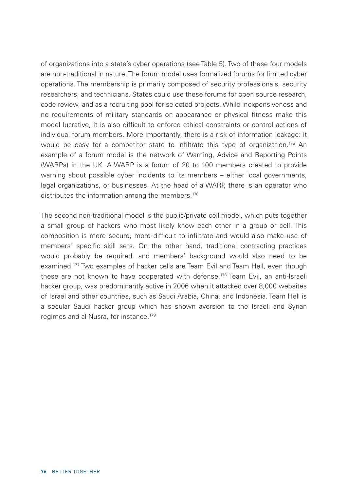of organizations into a state's cyber operations (see [Table 5\)](#page-71-0). Two of these four models are non-traditional in nature. The forum model uses formalized forums for limited cyber operations. The membership is primarily composed of security professionals, security researchers, and technicians. States could use these forums for open source research, code review, and as a recruiting pool for selected projects. While inexpensiveness and no requirements of military standards on appearance or physical fitness make this model lucrative, it is also difficult to enforce ethical constraints or control actions of individual forum members. More importantly, there is a risk of information leakage: it would be easy for a competitor state to infiltrate this type of organization.175 An example of a forum model is the network of Warning, Advice and Reporting Points (WARPs) in the UK. A WARP is a forum of 20 to 100 members created to provide warning about possible cyber incidents to its members – either local governments, legal organizations, or businesses. At the head of a WARP, there is an operator who distributes the information among the members.<sup>176</sup>

The second non-traditional model is the public/private cell model, which puts together a small group of hackers who most likely know each other in a group or cell. This composition is more secure, more difficult to infiltrate and would also make use of members´ specific skill sets. On the other hand, traditional contracting practices would probably be required, and members' background would also need to be examined.177 Two examples of hacker cells are Team Evil and Team Hell, even though these are not known to have cooperated with defense.<sup>178</sup> Team Evil, an anti-Israeli hacker group, was predominantly active in 2006 when it attacked over 8,000 websites of Israel and other countries, such as Saudi Arabia, China, and Indonesia. Team Hell is a secular Saudi hacker group which has shown aversion to the Israeli and Syrian regimes and al-Nusra, for instance.179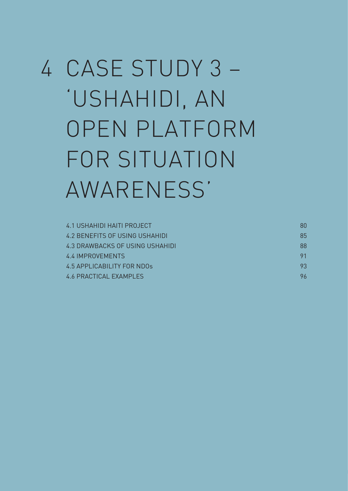# 4 CASE STUDY 3 – 'USHAHIDI, AN OPEN PLATFORM FOR SITUATION AWARENESS'

| 4.1 USHAHIDI HAITI PROJECT      | 80 |
|---------------------------------|----|
| 4.2 BENEFITS OF USING USHAHIDI  | 85 |
| 4.3 DRAWBACKS OF USING USHAHIDI | 88 |
| 4.4 IMPROVEMENTS                | 91 |
| 4.5 APPLICABILITY FOR NDOS      | 93 |
| 4.6 PRACTICAL EXAMPLES          | 96 |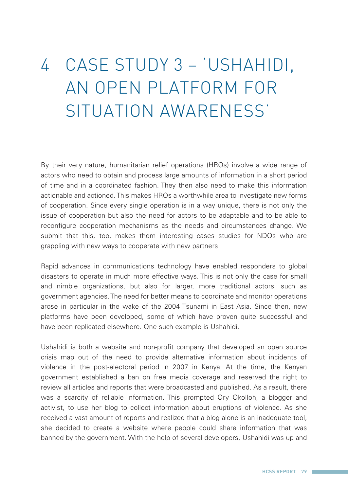### 4 CASE STUDY 3 – 'USHAHIDI, AN OPEN PLATFORM FOR SITUATION AWARENESS'

By their very nature, humanitarian relief operations (HROs) involve a wide range of actors who need to obtain and process large amounts of information in a short period of time and in a coordinated fashion. They then also need to make this information actionable and actioned. This makes HROs a worthwhile area to investigate new forms of cooperation. Since every single operation is in a way unique, there is not only the issue of cooperation but also the need for actors to be adaptable and to be able to reconfigure cooperation mechanisms as the needs and circumstances change. We submit that this, too, makes them interesting cases studies for NDOs who are grappling with new ways to cooperate with new partners.

Rapid advances in communications technology have enabled responders to global disasters to operate in much more effective ways. This is not only the case for small and nimble organizations, but also for larger, more traditional actors, such as government agencies. The need for better means to coordinate and monitor operations arose in particular in the wake of the 2004 Tsunami in East Asia. Since then, new platforms have been developed, some of which have proven quite successful and have been replicated elsewhere. One such example is Ushahidi.

Ushahidi is both a website and non-profit company that developed an open source crisis map out of the need to provide alternative information about incidents of violence in the post-electoral period in 2007 in Kenya. At the time, the Kenyan government established a ban on free media coverage and reserved the right to review all articles and reports that were broadcasted and published. As a result, there was a scarcity of reliable information. This prompted Ory Okolloh, a blogger and activist, to use her blog to collect information about eruptions of violence. As she received a vast amount of reports and realized that a blog alone is an inadequate tool, she decided to create a website where people could share information that was banned by the government. With the help of several developers, Ushahidi was up and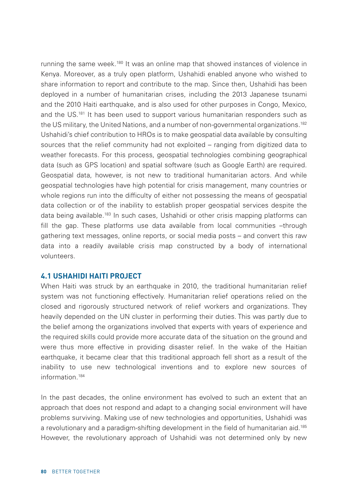<span id="page-81-0"></span>running the same week.180 It was an online map that showed instances of violence in Kenya. Moreover, as a truly open platform, Ushahidi enabled anyone who wished to share information to report and contribute to the map. Since then, Ushahidi has been deployed in a number of humanitarian crises, including the 2013 Japanese tsunami and the 2010 Haiti earthquake, and is also used for other purposes in Congo, Mexico, and the US.181 It has been used to support various humanitarian responders such as the US military, the United Nations, and a number of non-governmental organizations.182 Ushahidi's chief contribution to HROs is to make geospatial data available by consulting sources that the relief community had not exploited – ranging from digitized data to weather forecasts. For this process, geospatial technologies combining geographical data (such as GPS location) and spatial software (such as Google Earth) are required. Geospatial data, however, is not new to traditional humanitarian actors. And while geospatial technologies have high potential for crisis management, many countries or whole regions run into the difficulty of either not possessing the means of geospatial data collection or of the inability to establish proper geospatial services despite the data being available.<sup>183</sup> In such cases, Ushahidi or other crisis mapping platforms can fill the gap. These platforms use data available from local communities –through gathering text messages, online reports, or social media posts – and convert this raw data into a readily available crisis map constructed by a body of international volunteers.

#### **4.1 USHAHIDI HAITI PROJECT**

When Haiti was struck by an earthquake in 2010, the traditional humanitarian relief system was not functioning effectively. Humanitarian relief operations relied on the closed and rigorously structured network of relief workers and organizations. They heavily depended on the UN cluster in performing their duties. This was partly due to the belief among the organizations involved that experts with years of experience and the required skills could provide more accurate data of the situation on the ground and were thus more effective in providing disaster relief. In the wake of the Haitian earthquake, it became clear that this traditional approach fell short as a result of the inability to use new technological inventions and to explore new sources of information.184

In the past decades, the online environment has evolved to such an extent that an approach that does not respond and adapt to a changing social environment will have problems surviving. Making use of new technologies and opportunities, Ushahidi was a revolutionary and a paradigm-shifting development in the field of humanitarian aid.185 However, the revolutionary approach of Ushahidi was not determined only by new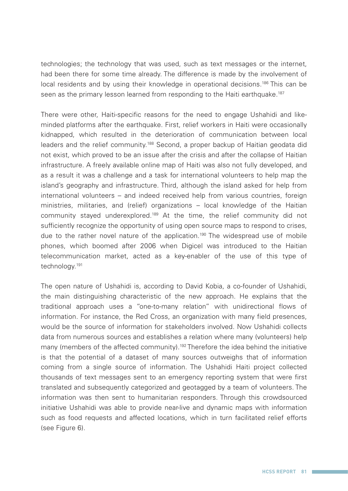technologies; the technology that was used, such as text messages or the internet, had been there for some time already. The difference is made by the involvement of local residents and by using their knowledge in operational decisions.<sup>186</sup> This can be seen as the primary lesson learned from responding to the Haiti earthquake.<sup>187</sup>

There were other, Haiti-specific reasons for the need to engage Ushahidi and likeminded platforms after the earthquake. First, relief workers in Haiti were occasionally kidnapped, which resulted in the deterioration of communication between local leaders and the relief community.188 Second, a proper backup of Haitian geodata did not exist, which proved to be an issue after the crisis and after the collapse of Haitian infrastructure. A freely available online map of Haiti was also not fully developed, and as a result it was a challenge and a task for international volunteers to help map the island's geography and infrastructure. Third, although the island asked for help from international volunteers – and indeed received help from various countries, foreign ministries, militaries, and (relief) organizations – local knowledge of the Haitian community stayed underexplored.189 At the time, the relief community did not sufficiently recognize the opportunity of using open source maps to respond to crises. due to the rather novel nature of the application.<sup>190</sup> The widespread use of mobile phones, which boomed after 2006 when Digicel was introduced to the Haitian telecommunication market, acted as a key-enabler of the use of this type of technology.191

<span id="page-82-0"></span>The open nature of Ushahidi is, according to David Kobia, a co-founder of Ushahidi, the main distinguishing characteristic of the new approach. He explains that the traditional approach uses a "one-to-many relation" with unidirectional flows of information. For instance, the Red Cross, an organization with many field presences, would be the source of information for stakeholders involved. Now Ushahidi collects data from numerous sources and establishes a relation where many (volunteers) help many (members of the affected community).192 Therefore the idea behind the initiative is that the potential of a dataset of many sources outweighs that of information coming from a single source of information. The Ushahidi Haiti project collected thousands of text messages sent to an emergency reporting system that were first translated and subsequently categorized and geotagged by a team of volunteers. The information was then sent to humanitarian responders. Through this crowdsourced initiative Ushahidi was able to provide near-live and dynamic maps with information such as food requests and affected locations, which in turn facilitated relief efforts (see [Figure](#page-82-0) 6).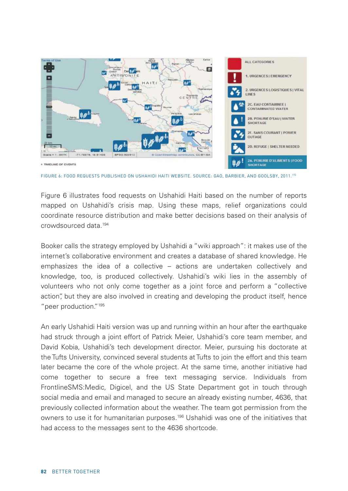

FIGURE 6: FOOD REQUESTS PUBLISHED ON USHAHIDI HAITI WEBSITE. SOURCE: GAO, BARBIER, AND GOOLSBY, 2011.<sup>193</sup>

[Figure](#page-82-0) 6 illustrates food requests on Ushahidi Haiti based on the number of reports mapped on Ushahidi's crisis map. Using these maps, relief organizations could coordinate resource distribution and make better decisions based on their analysis of crowdsourced data.194

Booker calls the strategy employed by Ushahidi a "wiki approach": it makes use of the internet's collaborative environment and creates a database of shared knowledge. He emphasizes the idea of a collective – actions are undertaken collectively and knowledge, too, is produced collectively. Ushahidi's wiki lies in the assembly of volunteers who not only come together as a joint force and perform a "collective action", but they are also involved in creating and developing the product itself, hence "peer production."195

An early Ushahidi Haiti version was up and running within an hour after the earthquake had struck through a joint effort of Patrick Meier, Ushahidi's core team member, and David Kobia, Ushahidi's tech development director. Meier, pursuing his doctorate at the Tufts University, convinced several students at Tufts to join the effort and this team later became the core of the whole project. At the same time, another initiative had come together to secure a free text messaging service. Individuals from FrontlineSMS:Medic, Digicel, and the US State Department got in touch through social media and email and managed to secure an already existing number, 4636, that previously collected information about the weather. The team got permission from the owners to use it for humanitarian purposes.196 Ushahidi was one of the initiatives that had access to the messages sent to the 4636 shortcode.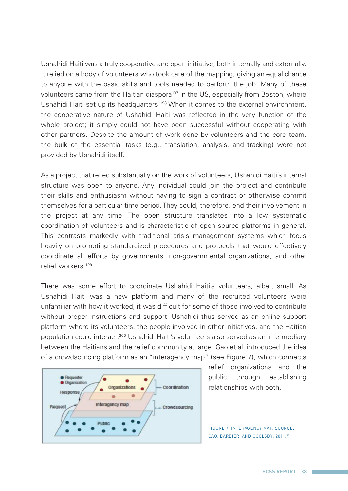Ushahidi Haiti was a truly cooperative and open initiative, both internally and externally. It relied on a body of volunteers who took care of the mapping, giving an equal chance to anyone with the basic skills and tools needed to perform the job. Many of these volunteers came from the Haitian diaspora<sup>197</sup> in the US, especially from Boston, where Ushahidi Haiti set up its headquarters.<sup>198</sup> When it comes to the external environment, the cooperative nature of Ushahidi Haiti was reflected in the very function of the whole project; it simply could not have been successful without cooperating with other partners. Despite the amount of work done by volunteers and the core team, the bulk of the essential tasks (e.g., translation, analysis, and tracking) were not provided by Ushahidi itself.

As a project that relied substantially on the work of volunteers, Ushahidi Haiti's internal structure was open to anyone. Any individual could join the project and contribute their skills and enthusiasm without having to sign a contract or otherwise commit themselves for a particular time period. They could, therefore, end their involvement in the project at any time. The open structure translates into a low systematic coordination of volunteers and is characteristic of open source platforms in general. This contrasts markedly with traditional crisis management systems which focus heavily on promoting standardized procedures and protocols that would effectively coordinate all efforts by governments, non-governmental organizations, and other relief workers.<sup>199</sup>

There was some effort to coordinate Ushahidi Haiti's volunteers, albeit small. As Ushahidi Haiti was a new platform and many of the recruited volunteers were unfamiliar with how it worked, it was difficult for some of those involved to contribute without proper instructions and support. Ushahidi thus served as an online support platform where its volunteers, the people involved in other initiatives, and the Haitian population could interact.200 Ushahidi Haiti's volunteers also served as an intermediary between the Haitians and the relief community at large. Gao et al. introduced the idea of a crowdsourcing platform as an "interagency map" (see [Figure](#page-84-0) 7), which connects



<span id="page-84-0"></span>relief organizations and the public through establishing relationships with both.

FIGURE 7: INTERAGENCY MAP. SOURCE: GAO, BARBIER, AND GOOLSBY, 2011.201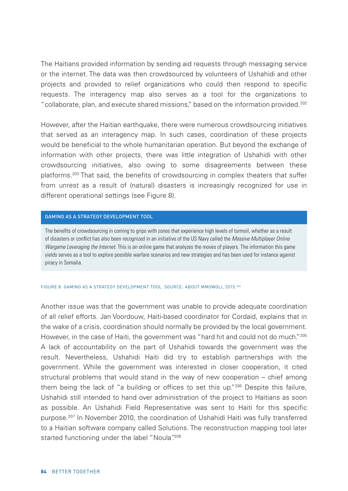The Haitians provided information by sending aid requests through messaging service or the internet. The data was then crowdsourced by volunteers of Ushahidi and other projects and provided to relief organizations who could then respond to specific requests. The interagency map also serves as a tool for the organizations to "collaborate, plan, and execute shared missions," based on the information provided.202

However, after the Haitian earthquake, there were numerous crowdsourcing initiatives that served as an interagency map. In such cases, coordination of these projects would be beneficial to the whole humanitarian operation. But beyond the exchange of information with other projects, there was little integration of Ushahidi with other crowdsourcing initiatives, also owing to some disagreements between these platforms.203 That said, the benefits of crowdsourcing in complex theaters that suffer from unrest as a result of (natural) disasters is increasingly recognized for use in different operational settings (see [Figure](#page-85-0) 8).

#### <span id="page-85-0"></span>GAMING AS A STRATEGY DEVELOPMENT TOOL

The benefits of crowdsourcing in coming to grips with zones that experience high levels of turmoil, whether as a result of disasters or conflict has also been recognized in an initiative of the US Navy called the *Massive Multiplayer Online Wargame Leveraging the Internet.* This is an online game that analyzes the moves of players. The information this game yields serves as a tool to explore possible warfare scenarios and new strategies and has been used for instance against piracy in Somalia.

#### FIGURE 8: GAMING AS A STRATEGY DEVELOPMENT TOOL. SOURCE: ABOUT MMOWGLI, 2015.204

Another issue was that the government was unable to provide adequate coordination of all relief efforts. Jan Voordouw, Haiti-based coordinator for Cordaid, explains that in the wake of a crisis, coordination should normally be provided by the local government. However, in the case of Haiti, the government was "hard hit and could not do much."<sup>205</sup> A lack of accountability on the part of Ushahidi towards the government was the result. Nevertheless, Ushahidi Haiti did try to establish partnerships with the government. While the government was interested in closer cooperation, it cited structural problems that would stand in the way of new cooperation – chief among them being the lack of "a building or offices to set this up."<sup>206</sup> Despite this failure, Ushahidi still intended to hand over administration of the project to Haitians as soon as possible. An Ushahidi Field Representative was sent to Haiti for this specific purpose.207 In November 2010, the coordination of Ushahidi Haiti was fully transferred to a Haitian software company called Solutions. The reconstruction mapping tool later started functioning under the label "Noula".<sup>208</sup>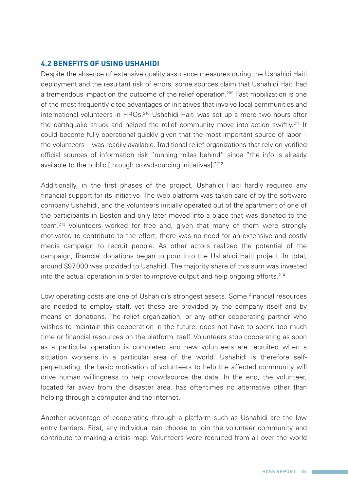#### <span id="page-86-0"></span>**4.2 BENEFITS OF USING USHAHIDI**

Despite the absence of extensive quality assurance measures during the Ushahidi Haiti deployment and the resultant risk of errors, some sources claim that Ushahidi Haiti had a tremendous impact on the outcome of the relief operation.<sup>209</sup> Fast mobilization is one of the most frequently cited advantages of initiatives that involve local communities and international volunteers in HROs.210 Ushahidi Haiti was set up a mere two hours after the earthquake struck and helped the relief community move into action swiftly.<sup>211</sup> It could become fully operational quickly given that the most important source of labor – the volunteers – was readily available. Traditional relief organizations that rely on verified official sources of information risk "running miles behind" since "the info is already available to the public [through crowdsourcing initiatives]."<sup>212</sup>

Additionally, in the first phases of the project, Ushahidi Haiti hardly required any financial support for its initiative. The web platform was taken care of by the software company Ushahidi, and the volunteers initially operated out of the apartment of one of the participants in Boston and only later moved into a place that was donated to the team.213 Volunteers worked for free and, given that many of them were strongly motivated to contribute to the effort, there was no need for an extensive and costly media campaign to recruit people. As other actors realized the potential of the campaign, financial donations began to pour into the Ushahidi Haiti project. In total, around \$97,000 was provided to Ushahidi. The majority share of this sum was invested into the actual operation in order to improve output and help ongoing efforts.214

Low operating costs are one of Ushahidi's strongest assets. Some financial resources are needed to employ staff, yet these are provided by the company itself and by means of donations. The relief organization, or any other cooperating partner who wishes to maintain this cooperation in the future, does not have to spend too much time or financial resources on the platform itself. Volunteers stop cooperating as soon as a particular operation is completed and new volunteers are recruited when a situation worsens in a particular area of the world. Ushahidi is therefore selfperpetuating; the basic motivation of volunteers to help the affected community will drive human willingness to help crowdsource the data. In the end, the volunteer, located far away from the disaster area, has oftentimes no alternative other than helping through a computer and the internet.

Another advantage of cooperating through a platform such as Ushahidi are the low entry barriers. First, any individual can choose to join the volunteer community and contribute to making a crisis map. Volunteers were recruited from all over the world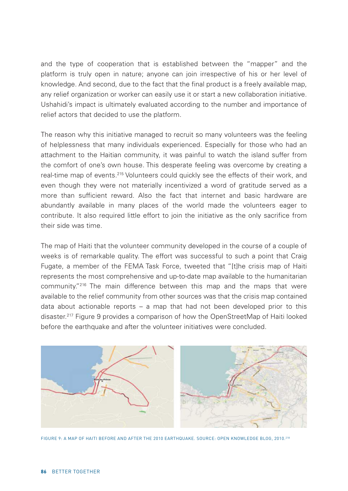and the type of cooperation that is established between the "mapper" and the platform is truly open in nature; anyone can join irrespective of his or her level of knowledge. And second, due to the fact that the final product is a freely available map, any relief organization or worker can easily use it or start a new collaboration initiative. Ushahidi's impact is ultimately evaluated according to the number and importance of relief actors that decided to use the platform.

The reason why this initiative managed to recruit so many volunteers was the feeling of helplessness that many individuals experienced. Especially for those who had an attachment to the Haitian community, it was painful to watch the island suffer from the comfort of one's own house. This desperate feeling was overcome by creating a real-time map of events.215 Volunteers could quickly see the effects of their work, and even though they were not materially incentivized a word of gratitude served as a more than sufficient reward. Also the fact that internet and basic hardware are abundantly available in many places of the world made the volunteers eager to contribute. It also required little effort to join the initiative as the only sacrifice from their side was time.

The map of Haiti that the volunteer community developed in the course of a couple of weeks is of remarkable quality. The effort was successful to such a point that Craig Fugate, a member of the FEMA Task Force, tweeted that "[t]he crisis map of Haiti represents the most comprehensive and up-to-date map available to the humanitarian community."216 The main difference between this map and the maps that were available to the relief community from other sources was that the crisis map contained data about actionable reports – a map that had not been developed prior to this disaster.217 [Figure](#page-87-0) 9 provides a comparison of how the OpenStreetMap of Haiti looked before the earthquake and after the volunteer initiatives were concluded.

<span id="page-87-0"></span>

FIGURE 9: A MAP OF HAITI BEFORE AND AFTER THE 2010 EARTHQUAKE. SOURCE: OPEN KNOWLEDGE BLOG, 2010.218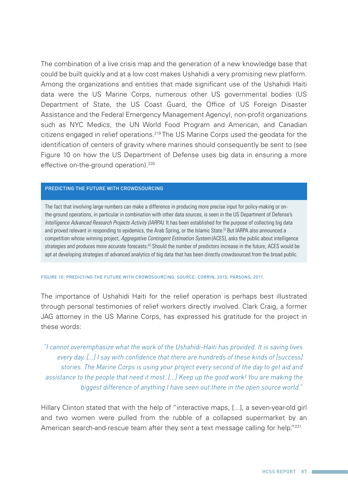The combination of a live crisis map and the generation of a new knowledge base that could be built quickly and at a low cost makes Ushahidi a very promising new platform. Among the organizations and entities that made significant use of the Ushahidi Haiti data were the US Marine Corps, numerous other US governmental bodies (US Department of State, the US Coast Guard, the Office of US Foreign Disaster Assistance and the Federal Emergency Management Agency), non-profit organizations such as NYC Medics, the UN World Food Program and American, and Canadian citizens engaged in relief operations.<sup>219</sup> The US Marine Corps used the geodata for the identification of centers of gravity where marines should consequently be sent to (see [Figure 10](#page-88-0) on how the US Department of Defense uses big data in ensuring a more effective on-the-ground operation).<sup>220</sup>

#### <span id="page-88-0"></span>PREDICTING THE FUTURE WITH CROWDSOURCING

The fact that involving large numbers can make a difference in producing more precise input for policy-making or onthe-ground operations, in particular in combination with other data sources, is seen in the US Department of Defense's *Intelligence Advanced Research Projects Activity (IARPA).* It has been established for the purpose of collecting big data and proved relevant in responding to epidemics, the Arab Spring, or the Islamic State.<sup>[i]</sup> But IARPA also announced a competition whose winning project, *Aggregative Contingent Estimation System* (ACES), asks the public about intelligence strategies and produces more accurate forecasts.<sup>[ii]</sup> Should the number of predictors increase in the future, ACES would be apt at developing strategies of advanced analytics of big data that has been directly crowdsourced from the broad public.

#### FIGURE 10: PREDICTING THE FUTURE WITH CROWDSOURCING. SOURCE: CORRIN, 2015; PARSONS, 2011.

The importance of Ushahidi Haiti for the relief operation is perhaps best illustrated through personal testimonies of relief workers directly involved. Clark Craig, a former JAG attorney in the US Marine Corps, has expressed his gratitude for the project in these words:

*"I cannot overemphasize what the work of the Ushahidi-Haiti has provided. It is saving lives every day. [...] I say with confidence that there are hundreds of these kinds of [success] stories. The Marine Corps is using your project every second of the day to get aid and assistance to the people that need it most. [...] Keep up the good work! You are making the biggest difference of anything I have seen out there in the open source world."*

Hillary Clinton stated that with the help of "interactive maps, [...], a seven-year-old girl and two women were pulled from the rubble of a collapsed supermarket by an American search-and-rescue team after they sent a text message calling for help."<sup>221</sup>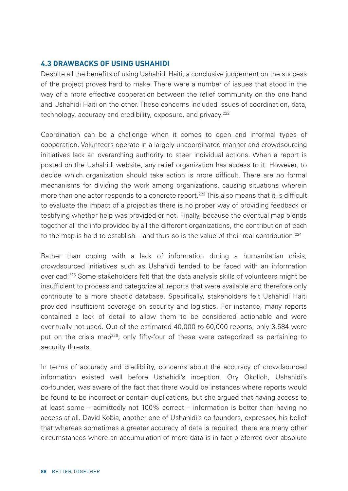#### <span id="page-89-0"></span>**4.3 DRAWBACKS OF USING USHAHIDI**

Despite all the benefits of using Ushahidi Haiti, a conclusive judgement on the success of the project proves hard to make. There were a number of issues that stood in the way of a more effective cooperation between the relief community on the one hand and Ushahidi Haiti on the other. These concerns included issues of coordination, data, technology, accuracy and credibility, exposure, and privacy.<sup>222</sup>

Coordination can be a challenge when it comes to open and informal types of cooperation. Volunteers operate in a largely uncoordinated manner and crowdsourcing initiatives lack an overarching authority to steer individual actions. When a report is posted on the Ushahidi website, any relief organization has access to it. However, to decide which organization should take action is more difficult. There are no formal mechanisms for dividing the work among organizations, causing situations wherein more than one actor responds to a concrete report.<sup>223</sup> This also means that it is difficult to evaluate the impact of a project as there is no proper way of providing feedback or testifying whether help was provided or not. Finally, because the eventual map blends together all the info provided by all the different organizations, the contribution of each to the map is hard to establish – and thus so is the value of their real contribution.<sup>224</sup>

Rather than coping with a lack of information during a humanitarian crisis, crowdsourced initiatives such as Ushahidi tended to be faced with an information overload.225 Some stakeholders felt that the data analysis skills of volunteers might be insufficient to process and categorize all reports that were available and therefore only contribute to a more chaotic database. Specifically, stakeholders felt Ushahidi Haiti provided insufficient coverage on security and logistics. For instance, many reports contained a lack of detail to allow them to be considered actionable and were eventually not used. Out of the estimated 40,000 to 60,000 reports, only 3,584 were put on the crisis map<sup>226</sup>; only fifty-four of these were categorized as pertaining to security threats.

In terms of accuracy and credibility, concerns about the accuracy of crowdsourced information existed well before Ushahidi's inception. Ory Okolloh, Ushahidi's co-founder, was aware of the fact that there would be instances where reports would be found to be incorrect or contain duplications, but she argued that having access to at least some – admittedly not 100% correct – information is better than having no access at all. David Kobia, another one of Ushahidi's co-founders, expressed his belief that whereas sometimes a greater accuracy of data is required, there are many other circumstances where an accumulation of more data is in fact preferred over absolute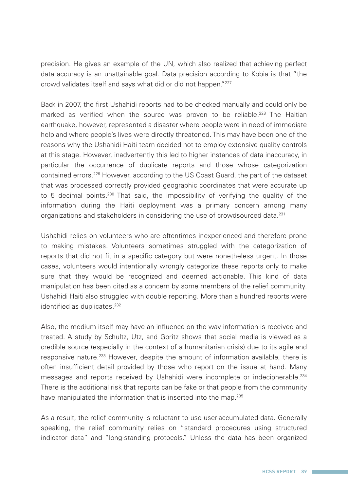precision. He gives an example of the UN, which also realized that achieving perfect data accuracy is an unattainable goal. Data precision according to Kobia is that "the crowd validates itself and says what did or did not happen."227

Back in 2007, the first Ushahidi reports had to be checked manually and could only be marked as verified when the source was proven to be reliable.<sup>228</sup> The Haitian earthquake, however, represented a disaster where people were in need of immediate help and where people's lives were directly threatened. This may have been one of the reasons why the Ushahidi Haiti team decided not to employ extensive quality controls at this stage. However, inadvertently this led to higher instances of data inaccuracy, in particular the occurrence of duplicate reports and those whose categorization contained errors.229 However, according to the US Coast Guard, the part of the dataset that was processed correctly provided geographic coordinates that were accurate up to 5 decimal points.230 That said, the impossibility of verifying the quality of the information during the Haiti deployment was a primary concern among many organizations and stakeholders in considering the use of crowdsourced data.231

Ushahidi relies on volunteers who are oftentimes inexperienced and therefore prone to making mistakes. Volunteers sometimes struggled with the categorization of reports that did not fit in a specific category but were nonetheless urgent. In those cases, volunteers would intentionally wrongly categorize these reports only to make sure that they would be recognized and deemed actionable. This kind of data manipulation has been cited as a concern by some members of the relief community. Ushahidi Haiti also struggled with double reporting. More than a hundred reports were identified as duplicates.<sup>232</sup>

Also, the medium itself may have an influence on the way information is received and treated. A study by Schultz, Utz, and Goritz shows that social media is viewed as a credible source (especially in the context of a humanitarian crisis) due to its agile and responsive nature.<sup>233</sup> However, despite the amount of information available, there is often insufficient detail provided by those who report on the issue at hand. Many messages and reports received by Ushahidi were incomplete or indecipherable.234 There is the additional risk that reports can be fake or that people from the community have manipulated the information that is inserted into the map.<sup>235</sup>

As a result, the relief community is reluctant to use user-accumulated data. Generally speaking, the relief community relies on "standard procedures using structured indicator data" and "long-standing protocols." Unless the data has been organized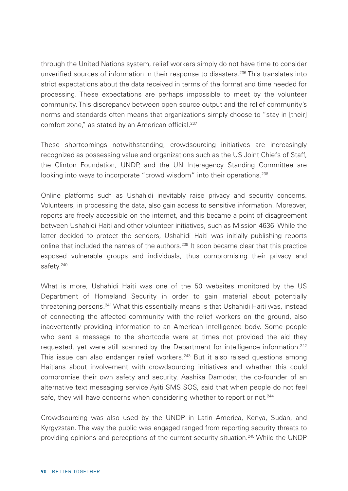through the United Nations system, relief workers simply do not have time to consider unverified sources of information in their response to disasters.236 This translates into strict expectations about the data received in terms of the format and time needed for processing. These expectations are perhaps impossible to meet by the volunteer community. This discrepancy between open source output and the relief community's norms and standards often means that organizations simply choose to "stay in [their] comfort zone," as stated by an American official.<sup>237</sup>

These shortcomings notwithstanding, crowdsourcing initiatives are increasingly recognized as possessing value and organizations such as the US Joint Chiefs of Staff, the Clinton Foundation, UNDP, and the UN Interagency Standing Committee are looking into ways to incorporate "crowd wisdom" into their operations.<sup>238</sup>

Online platforms such as Ushahidi inevitably raise privacy and security concerns. Volunteers, in processing the data, also gain access to sensitive information. Moreover, reports are freely accessible on the internet, and this became a point of disagreement between Ushahidi Haiti and other volunteer initiatives, such as Mission 4636. While the latter decided to protect the senders, Ushahidi Haiti was initially publishing reports online that included the names of the authors.<sup>239</sup> It soon became clear that this practice exposed vulnerable groups and individuals, thus compromising their privacy and safety.<sup>240</sup>

What is more, Ushahidi Haiti was one of the 50 websites monitored by the US Department of Homeland Security in order to gain material about potentially threatening persons.241 What this essentially means is that Ushahidi Haiti was, instead of connecting the affected community with the relief workers on the ground, also inadvertently providing information to an American intelligence body. Some people who sent a message to the shortcode were at times not provided the aid they requested, yet were still scanned by the Department for intelligence information.242 This issue can also endanger relief workers.<sup>243</sup> But it also raised questions among Haitians about involvement with crowdsourcing initiatives and whether this could compromise their own safety and security. Aashika Damodar, the co-founder of an alternative text messaging service Ayiti SMS SOS, said that when people do not feel safe, they will have concerns when considering whether to report or not.<sup>244</sup>

Crowdsourcing was also used by the UNDP in Latin America, Kenya, Sudan, and Kyrgyzstan. The way the public was engaged ranged from reporting security threats to providing opinions and perceptions of the current security situation.245 While the UNDP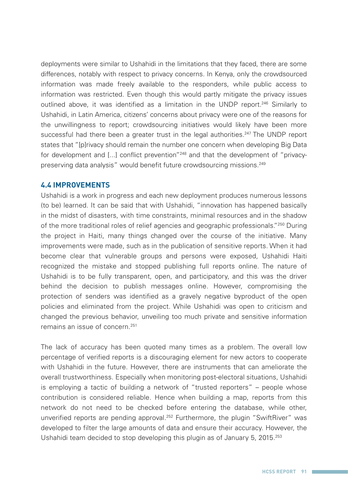<span id="page-92-0"></span>deployments were similar to Ushahidi in the limitations that they faced, there are some differences, notably with respect to privacy concerns. In Kenya, only the crowdsourced information was made freely available to the responders, while public access to information was restricted. Even though this would partly mitigate the privacy issues outlined above, it was identified as a limitation in the UNDP report.246 Similarly to Ushahidi, in Latin America, citizens' concerns about privacy were one of the reasons for the unwillingness to report; crowdsourcing initiatives would likely have been more successful had there been a greater trust in the legal authorities.<sup>247</sup> The UNDP report states that "[p]rivacy should remain the number one concern when developing Big Data for development and [...] conflict prevention"<sup>248</sup> and that the development of "privacypreserving data analysis" would benefit future crowdsourcing missions.249

#### **4.4 IMPROVEMENTS**

Ushahidi is a work in progress and each new deployment produces numerous lessons (to be) learned. It can be said that with Ushahidi, "innovation has happened basically in the midst of disasters, with time constraints, minimal resources and in the shadow of the more traditional roles of relief agencies and geographic professionals."250 During the project in Haiti, many things changed over the course of the initiative. Many improvements were made, such as in the publication of sensitive reports. When it had become clear that vulnerable groups and persons were exposed, Ushahidi Haiti recognized the mistake and stopped publishing full reports online. The nature of Ushahidi is to be fully transparent, open, and participatory, and this was the driver behind the decision to publish messages online. However, compromising the protection of senders was identified as a gravely negative byproduct of the open policies and eliminated from the project. While Ushahidi was open to criticism and changed the previous behavior, unveiling too much private and sensitive information remains an issue of concern.251

The lack of accuracy has been quoted many times as a problem. The overall low percentage of verified reports is a discouraging element for new actors to cooperate with Ushahidi in the future. However, there are instruments that can ameliorate the overall trustworthiness. Especially when monitoring post-electoral situations, Ushahidi is employing a tactic of building a network of "trusted reporters" – people whose contribution is considered reliable. Hence when building a map, reports from this network do not need to be checked before entering the database, while other, unverified reports are pending approval.<sup>252</sup> Furthermore, the plugin "SwiftRiver" was developed to filter the large amounts of data and ensure their accuracy. However, the Ushahidi team decided to stop developing this plugin as of January 5, 2015.<sup>253</sup>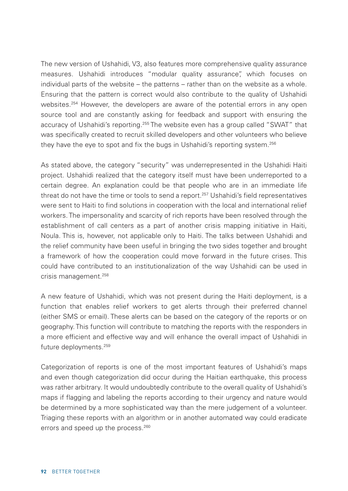The new version of Ushahidi, V3, also features more comprehensive quality assurance measures. Ushahidi introduces "modular quality assurance", which focuses on individual parts of the website – the patterns – rather than on the website as a whole. Ensuring that the pattern is correct would also contribute to the quality of Ushahidi websites.<sup>254</sup> However, the developers are aware of the potential errors in any open source tool and are constantly asking for feedback and support with ensuring the accuracy of Ushahidi's reporting.255 The website even has a group called "SWAT" that was specifically created to recruit skilled developers and other volunteers who believe they have the eye to spot and fix the bugs in Ushahidi's reporting system.256

As stated above, the category "security" was underrepresented in the Ushahidi Haiti project. Ushahidi realized that the category itself must have been underreported to a certain degree. An explanation could be that people who are in an immediate life threat do not have the time or tools to send a report.257 Ushahidi's field representatives were sent to Haiti to find solutions in cooperation with the local and international relief workers. The impersonality and scarcity of rich reports have been resolved through the establishment of call centers as a part of another crisis mapping initiative in Haiti, Noula. This is, however, not applicable only to Haiti. The talks between Ushahidi and the relief community have been useful in bringing the two sides together and brought a framework of how the cooperation could move forward in the future crises. This could have contributed to an institutionalization of the way Ushahidi can be used in crisis management.258

A new feature of Ushahidi, which was not present during the Haiti deployment, is a function that enables relief workers to get alerts through their preferred channel (either SMS or email). These alerts can be based on the category of the reports or on geography. This function will contribute to matching the reports with the responders in a more efficient and effective way and will enhance the overall impact of Ushahidi in future deployments.259

Categorization of reports is one of the most important features of Ushahidi's maps and even though categorization did occur during the Haitian earthquake, this process was rather arbitrary. It would undoubtedly contribute to the overall quality of Ushahidi's maps if flagging and labeling the reports according to their urgency and nature would be determined by a more sophisticated way than the mere judgement of a volunteer. Triaging these reports with an algorithm or in another automated way could eradicate errors and speed up the process.<sup>260</sup>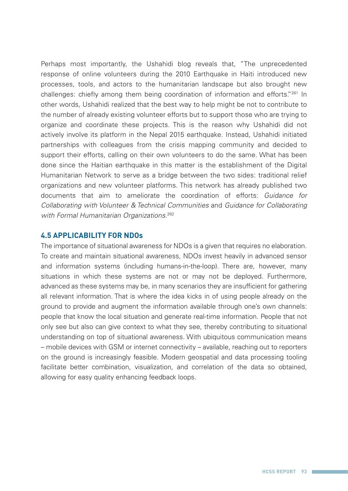<span id="page-94-0"></span>Perhaps most importantly, the Ushahidi blog reveals that, "The unprecedented response of online volunteers during the 2010 Earthquake in Haiti introduced new processes, tools, and actors to the humanitarian landscape but also brought new challenges: chiefly among them being coordination of information and efforts."261 In other words, Ushahidi realized that the best way to help might be not to contribute to the number of already existing volunteer efforts but to support those who are trying to organize and coordinate these projects. This is the reason why Ushahidi did not actively involve its platform in the Nepal 2015 earthquake. Instead, Ushahidi initiated partnerships with colleagues from the crisis mapping community and decided to support their efforts, calling on their own volunteers to do the same. What has been done since the Haitian earthquake in this matter is the establishment of the Digital Humanitarian Network to serve as a bridge between the two sides: traditional relief organizations and new volunteer platforms. This network has already published two documents that aim to ameliorate the coordination of efforts: *Guidance for Collaborating with Volunteer & Technical Communities* and *Guidance for Collaborating with Formal Humanitarian Organizations*. 262

#### **4.5 APPLICABILITY FOR NDOs**

The importance of situational awareness for NDOs is a given that requires no elaboration. To create and maintain situational awareness, NDOs invest heavily in advanced sensor and information systems (including humans-in-the-loop). There are, however, many situations in which these systems are not or may not be deployed. Furthermore, advanced as these systems may be, in many scenarios they are insufficient for gathering all relevant information. That is where the idea kicks in of using people already on the ground to provide and augment the information available through one's own channels: people that know the local situation and generate real-time information. People that not only see but also can give context to what they see, thereby contributing to situational understanding on top of situational awareness. With ubiquitous communication means – mobile devices with GSM or internet connectivity – available, reaching out to reporters on the ground is increasingly feasible. Modern geospatial and data processing tooling facilitate better combination, visualization, and correlation of the data so obtained, allowing for easy quality enhancing feedback loops.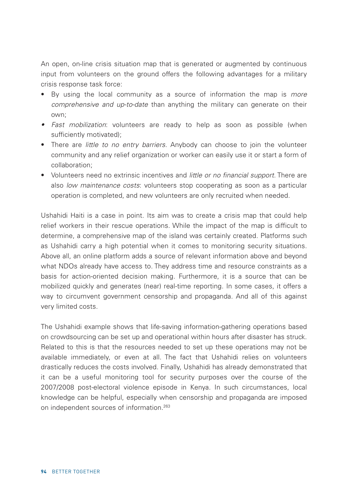An open, on-line crisis situation map that is generated or augmented by continuous input from volunteers on the ground offers the following advantages for a military crisis response task force:

- By using the local community as a source of information the map is *more comprehensive and up-to-date* than anything the military can generate on their own;
- *• Fast mobilization*: volunteers are ready to help as soon as possible (when sufficiently motivated);
- There are *little to no entry barriers*. Anybody can choose to join the volunteer community and any relief organization or worker can easily use it or start a form of collaboration;
- Volunteers need no extrinsic incentives and *little or no financial support*. There are also *low maintenance costs*: volunteers stop cooperating as soon as a particular operation is completed, and new volunteers are only recruited when needed.

Ushahidi Haiti is a case in point. Its aim was to create a crisis map that could help relief workers in their rescue operations. While the impact of the map is difficult to determine, a comprehensive map of the island was certainly created. Platforms such as Ushahidi carry a high potential when it comes to monitoring security situations. Above all, an online platform adds a source of relevant information above and beyond what NDOs already have access to. They address time and resource constraints as a basis for action-oriented decision making. Furthermore, it is a source that can be mobilized quickly and generates (near) real-time reporting. In some cases, it offers a way to circumvent government censorship and propaganda. And all of this against very limited costs.

The Ushahidi example shows that life-saving information-gathering operations based on crowdsourcing can be set up and operational within hours after disaster has struck. Related to this is that the resources needed to set up these operations may not be available immediately, or even at all. The fact that Ushahidi relies on volunteers drastically reduces the costs involved. Finally, Ushahidi has already demonstrated that it can be a useful monitoring tool for security purposes over the course of the 2007/2008 post-electoral violence episode in Kenya. In such circumstances, local knowledge can be helpful, especially when censorship and propaganda are imposed on independent sources of information.263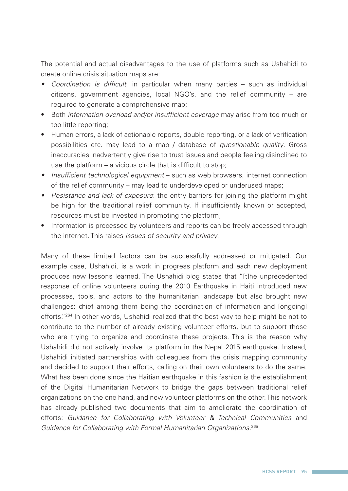The potential and actual disadvantages to the use of platforms such as Ushahidi to create online crisis situation maps are:

- *• Coordination is difficult*, in particular when many parties such as individual citizens, government agencies, local NGO's, and the relief community – are required to generate a comprehensive map;
- Both *information overload and/or insufficient coverage* may arise from too much or too little reporting;
- Human errors, a lack of actionable reports, double reporting, or a lack of verification possibilities etc. may lead to a map / database of *questionable quality*. Gross inaccuracies inadvertently give rise to trust issues and people feeling disinclined to use the platform – a vicious circle that is difficult to stop;
- *• Insufficient technological equipment* such as web browsers, internet connection of the relief community – may lead to underdeveloped or underused maps;
- *• Resistance and lack of exposure*: the entry barriers for joining the platform might be high for the traditional relief community. If insufficiently known or accepted, resources must be invested in promoting the platform;
- Information is processed by volunteers and reports can be freely accessed through the internet. This raises *issues of security and privacy*.

Many of these limited factors can be successfully addressed or mitigated. Our example case, Ushahidi, is a work in progress platform and each new deployment produces new lessons learned. The Ushahidi blog states that "[t]he unprecedented response of online volunteers during the 2010 Earthquake in Haiti introduced new processes, tools, and actors to the humanitarian landscape but also brought new challenges: chief among them being the coordination of information and [ongoing] efforts."264 In other words, Ushahidi realized that the best way to help might be not to contribute to the number of already existing volunteer efforts, but to support those who are trying to organize and coordinate these projects. This is the reason why Ushahidi did not actively involve its platform in the Nepal 2015 earthquake. Instead, Ushahidi initiated partnerships with colleagues from the crisis mapping community and decided to support their efforts, calling on their own volunteers to do the same. What has been done since the Haitian earthquake in this fashion is the establishment of the Digital Humanitarian Network to bridge the gaps between traditional relief organizations on the one hand, and new volunteer platforms on the other. This network has already published two documents that aim to ameliorate the coordination of efforts: *Guidance for Collaborating with Volunteer & Technical Communities* and *Guidance for Collaborating with Formal Humanitarian Organizations*. 265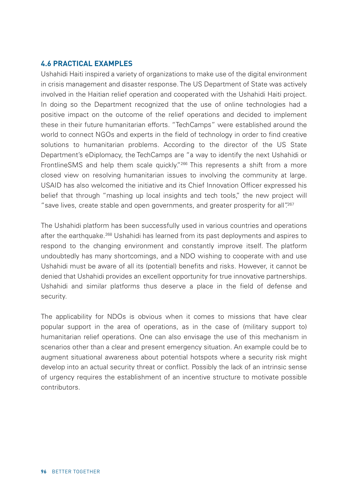#### <span id="page-97-0"></span>**4.6 PRACTICAL EXAMPLES**

Ushahidi Haiti inspired a variety of organizations to make use of the digital environment in crisis management and disaster response. The US Department of State was actively involved in the Haitian relief operation and cooperated with the Ushahidi Haiti project. In doing so the Department recognized that the use of online technologies had a positive impact on the outcome of the relief operations and decided to implement these in their future humanitarian efforts. "TechCamps" were established around the world to connect NGOs and experts in the field of technology in order to find creative solutions to humanitarian problems. According to the director of the US State Department's eDiplomacy, the TechCamps are "a way to identify the next Ushahidi or FrontlineSMS and help them scale quickly."<sup>266</sup> This represents a shift from a more closed view on resolving humanitarian issues to involving the community at large. USAID has also welcomed the initiative and its Chief Innovation Officer expressed his belief that through "mashing up local insights and tech tools," the new project will "save lives, create stable and open governments, and greater prosperity for all".267

The Ushahidi platform has been successfully used in various countries and operations after the earthquake.<sup>268</sup> Ushahidi has learned from its past deployments and aspires to respond to the changing environment and constantly improve itself. The platform undoubtedly has many shortcomings, and a NDO wishing to cooperate with and use Ushahidi must be aware of all its (potential) benefits and risks. However, it cannot be denied that Ushahidi provides an excellent opportunity for true innovative partnerships. Ushahidi and similar platforms thus deserve a place in the field of defense and security.

The applicability for NDOs is obvious when it comes to missions that have clear popular support in the area of operations, as in the case of (military support to) humanitarian relief operations. One can also envisage the use of this mechanism in scenarios other than a clear and present emergency situation. An example could be to augment situational awareness about potential hotspots where a security risk might develop into an actual security threat or conflict. Possibly the lack of an intrinsic sense of urgency requires the establishment of an incentive structure to motivate possible contributors.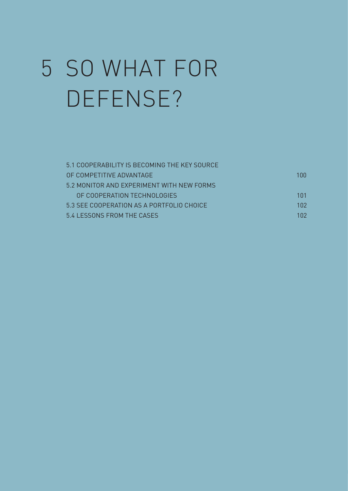## 5 SO WHAT FOR DEFENSE?

| 5.1 COOPERABILITY IS BECOMING THE KEY SOURCE |      |
|----------------------------------------------|------|
| OF COMPETITIVE ADVANTAGE                     | 100  |
| 5.2 MONITOR AND EXPERIMENT WITH NEW FORMS    |      |
| OF COOPERATION TECHNOLOGIES                  | 1N1  |
| 5.3 SEE COOPERATION AS A PORTFOLIO CHOICE    | 102. |
| 5.4 LESSONS FROM THE CASES                   | 1በ2. |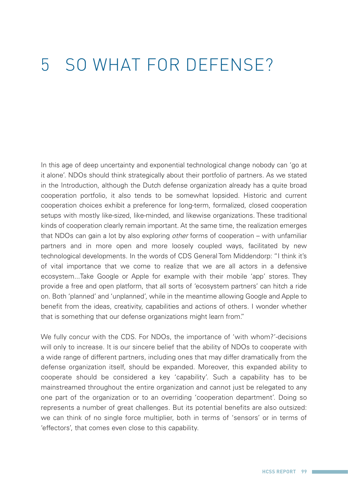### 5 SO WHAT FOR DEFENSE?

In this age of deep uncertainty and exponential technological change nobody can 'go at it alone'. NDOs should think strategically about their portfolio of partners. As we stated in the Introduction, although the Dutch defense organization already has a quite broad cooperation portfolio, it also tends to be somewhat lopsided. Historic and current cooperation choices exhibit a preference for long-term, formalized, closed cooperation setups with mostly like-sized, like-minded, and likewise organizations. These traditional kinds of cooperation clearly remain important. At the same time, the realization emerges that NDOs can gain a lot by also exploring *other* forms of cooperation – with unfamiliar partners and in more open and more loosely coupled ways, facilitated by new technological developments. In the words of CDS General Tom Middendorp: "I think it's of vital importance that we come to realize that we are all actors in a defensive ecosystem...Take Google or Apple for example with their mobile 'app' stores. They provide a free and open platform, that all sorts of 'ecosystem partners' can hitch a ride on. Both 'planned' and 'unplanned', while in the meantime allowing Google and Apple to benefit from the ideas, creativity, capabilities and actions of others. I wonder whether that is something that our defense organizations might learn from."

We fully concur with the CDS. For NDOs, the importance of 'with whom?'-decisions will only to increase. It is our sincere belief that the ability of NDOs to cooperate with a wide range of different partners, including ones that may differ dramatically from the defense organization itself, should be expanded. Moreover, this expanded ability to cooperate should be considered a key 'capability'. Such a capability has to be mainstreamed throughout the entire organization and cannot just be relegated to any one part of the organization or to an overriding 'cooperation department'. Doing so represents a number of great challenges. But its potential benefits are also outsized: we can think of no single force multiplier, both in terms of 'sensors' or in terms of 'effectors', that comes even close to this capability.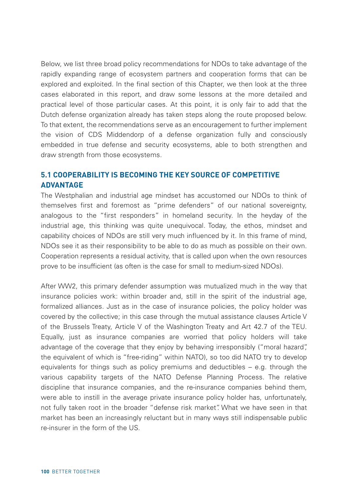<span id="page-101-0"></span>Below, we list three broad policy recommendations for NDOs to take advantage of the rapidly expanding range of ecosystem partners and cooperation forms that can be explored and exploited. In the final section of this Chapter, we then look at the three cases elaborated in this report, and draw some lessons at the more detailed and practical level of those particular cases. At this point, it is only fair to add that the Dutch defense organization already has taken steps along the route proposed below. To that extent, the recommendations serve as an encouragement to further implement the vision of CDS Middendorp of a defense organization fully and consciously embedded in true defense and security ecosystems, able to both strengthen and draw strength from those ecosystems.

#### **5.1 COOPERABILITY IS BECOMING THE KEY SOURCE OF COMPETITIVE ADVANTAGE**

The Westphalian and industrial age mindset has accustomed our NDOs to think of themselves first and foremost as "prime defenders" of our national sovereignty, analogous to the "first responders" in homeland security. In the heyday of the industrial age, this thinking was quite unequivocal. Today, the ethos, mindset and capability choices of NDOs are still very much influenced by it. In this frame of mind, NDOs see it as their responsibility to be able to do as much as possible on their own. Cooperation represents a residual activity, that is called upon when the own resources prove to be insufficient (as often is the case for small to medium-sized NDOs).

After WW2, this primary defender assumption was mutualized much in the way that insurance policies work: within broader and, still in the spirit of the industrial age, formalized alliances. Just as in the case of insurance policies, the policy holder was covered by the collective; in this case through the mutual assistance clauses Article V of the Brussels Treaty, Article V of the Washington Treaty and Art 42.7 of the TEU. Equally, just as insurance companies are worried that policy holders will take advantage of the coverage that they enjoy by behaving irresponsibly ("moral hazard", the equivalent of which is "free-riding" within NATO), so too did NATO try to develop equivalents for things such as policy premiums and deductibles – e.g. through the various capability targets of the NATO Defense Planning Process. The relative discipline that insurance companies, and the re-insurance companies behind them, were able to instill in the average private insurance policy holder has, unfortunately, not fully taken root in the broader "defense risk market". What we have seen in that market has been an increasingly reluctant but in many ways still indispensable public re-insurer in the form of the US.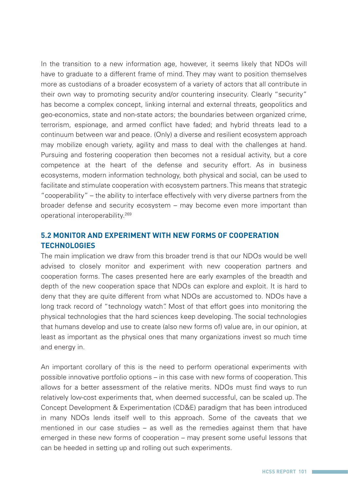<span id="page-102-0"></span>In the transition to a new information age, however, it seems likely that NDOs will have to graduate to a different frame of mind. They may want to position themselves more as custodians of a broader ecosystem of a variety of actors that all contribute in their own way to promoting security and/or countering insecurity. Clearly "security" has become a complex concept, linking internal and external threats, geopolitics and geo-economics, state and non-state actors; the boundaries between organized crime, terrorism, espionage, and armed conflict have faded; and hybrid threats lead to a continuum between war and peace. (Only) a diverse and resilient ecosystem approach may mobilize enough variety, agility and mass to deal with the challenges at hand. Pursuing and fostering cooperation then becomes not a residual activity, but a core competence at the heart of the defense and security effort. As in business ecosystems, modern information technology, both physical and social, can be used to facilitate and stimulate cooperation with ecosystem partners. This means that strategic "cooperability" – the ability to interface effectively with very diverse partners from the broader defense and security ecosystem – may become even more important than operational interoperability.269

#### **5.2 MONITOR AND EXPERIMENT WITH NEW FORMS OF COOPERATION TECHNOLOGIES**

The main implication we draw from this broader trend is that our NDOs would be well advised to closely monitor and experiment with new cooperation partners and cooperation forms. The cases presented here are early examples of the breadth and depth of the new cooperation space that NDOs can explore and exploit. It is hard to deny that they are quite different from what NDOs are accustomed to. NDOs have a long track record of "technology watch". Most of that effort goes into monitoring the physical technologies that the hard sciences keep developing. The social technologies that humans develop and use to create (also new forms of) value are, in our opinion, at least as important as the physical ones that many organizations invest so much time and energy in.

An important corollary of this is the need to perform operational experiments with possible innovative portfolio options – in this case with new forms of cooperation. This allows for a better assessment of the relative merits. NDOs must find ways to run relatively low-cost experiments that, when deemed successful, can be scaled up. The Concept Development & Experimentation (CD&E) paradigm that has been introduced in many NDOs lends itself well to this approach. Some of the caveats that we mentioned in our case studies – as well as the remedies against them that have emerged in these new forms of cooperation – may present some useful lessons that can be heeded in setting up and rolling out such experiments.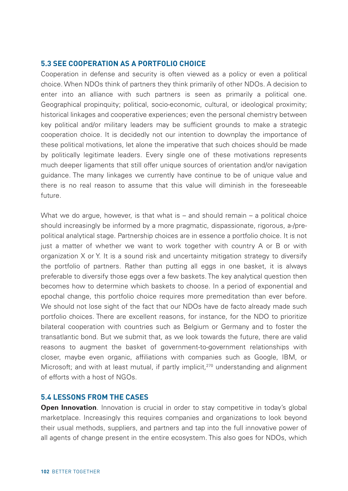#### <span id="page-103-0"></span>**5.3 SEE COOPERATION AS A PORTFOLIO CHOICE**

Cooperation in defense and security is often viewed as a policy or even a political choice. When NDOs think of partners they think primarily of other NDOs. A decision to enter into an alliance with such partners is seen as primarily a political one. Geographical propinquity; political, socio-economic, cultural, or ideological proximity; historical linkages and cooperative experiences; even the personal chemistry between key political and/or military leaders may be sufficient grounds to make a strategic cooperation choice. It is decidedly not our intention to downplay the importance of these political motivations, let alone the imperative that such choices should be made by politically legitimate leaders. Every single one of these motivations represents much deeper ligaments that still offer unique sources of orientation and/or navigation guidance. The many linkages we currently have continue to be of unique value and there is no real reason to assume that this value will diminish in the foreseeable future.

What we do argue, however, is that what is – and should remain – a political choice should increasingly be informed by a more pragmatic, dispassionate, rigorous, a-/prepolitical analytical stage. Partnership choices are in essence a portfolio choice. It is not just a matter of whether we want to work together with country A or B or with organization X or Y. It is a sound risk and uncertainty mitigation strategy to diversify the portfolio of partners. Rather than putting all eggs in one basket, it is always preferable to diversify those eggs over a few baskets. The key analytical question then becomes how to determine which baskets to choose. In a period of exponential and epochal change, this portfolio choice requires more premeditation than ever before. We should not lose sight of the fact that our NDOs have de facto already made such portfolio choices. There are excellent reasons, for instance, for the NDO to prioritize bilateral cooperation with countries such as Belgium or Germany and to foster the transatlantic bond. But we submit that, as we look towards the future, there are valid reasons to augment the basket of government-to-government relationships with closer, maybe even organic, affiliations with companies such as Google, IBM, or Microsoft; and with at least mutual, if partly implicit, $270$  understanding and alignment of efforts with a host of NGOs.

#### **5.4 LESSONS FROM THE CASES**

**Open Innovation**. Innovation is crucial in order to stay competitive in today's global marketplace. Increasingly this requires companies and organizations to look beyond their usual methods, suppliers, and partners and tap into the full innovative power of all agents of change present in the entire ecosystem. This also goes for NDOs, which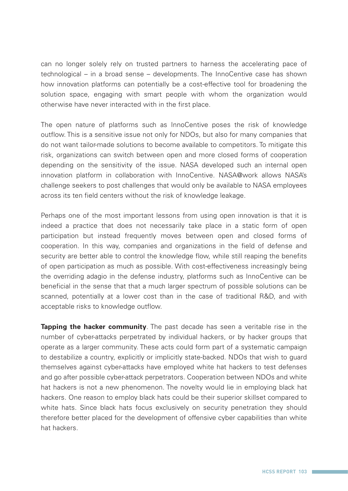can no longer solely rely on trusted partners to harness the accelerating pace of technological – in a broad sense – developments. The InnoCentive case has shown how innovation platforms can potentially be a cost-effective tool for broadening the solution space, engaging with smart people with whom the organization would otherwise have never interacted with in the first place.

The open nature of platforms such as InnoCentive poses the risk of knowledge outflow. This is a sensitive issue not only for NDOs, but also for many companies that do not want tailor-made solutions to become available to competitors. To mitigate this risk, organizations can switch between open and more closed forms of cooperation depending on the sensitivity of the issue. NASA developed such an internal open innovation platform in collaboration with InnoCentive. NASA@work allows NASA's challenge seekers to post challenges that would only be available to NASA employees across its ten field centers without the risk of knowledge leakage.

Perhaps one of the most important lessons from using open innovation is that it is indeed a practice that does not necessarily take place in a static form of open participation but instead frequently moves between open and closed forms of cooperation. In this way, companies and organizations in the field of defense and security are better able to control the knowledge flow, while still reaping the benefits of open participation as much as possible. With cost-effectiveness increasingly being the overriding adagio in the defense industry, platforms such as InnoCentive can be beneficial in the sense that that a much larger spectrum of possible solutions can be scanned, potentially at a lower cost than in the case of traditional R&D, and with acceptable risks to knowledge outflow.

**Tapping the hacker community**. The past decade has seen a veritable rise in the number of cyber-attacks perpetrated by individual hackers, or by hacker groups that operate as a larger community. These acts could form part of a systematic campaign to destabilize a country, explicitly or implicitly state-backed. NDOs that wish to guard themselves against cyber-attacks have employed white hat hackers to test defenses and go after possible cyber-attack perpetrators. Cooperation between NDOs and white hat hackers is not a new phenomenon. The novelty would lie in employing black hat hackers. One reason to employ black hats could be their superior skillset compared to white hats. Since black hats focus exclusively on security penetration they should therefore better placed for the development of offensive cyber capabilities than white hat hackers.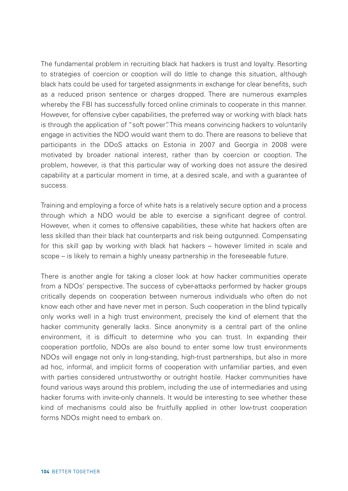The fundamental problem in recruiting black hat hackers is trust and loyalty. Resorting to strategies of coercion or cooption will do little to change this situation, although black hats could be used for targeted assignments in exchange for clear benefits, such as a reduced prison sentence or charges dropped. There are numerous examples whereby the FBI has successfully forced online criminals to cooperate in this manner. However, for offensive cyber capabilities, the preferred way or working with black hats is through the application of "soft power". This means convincing hackers to voluntarily engage in activities the NDO would want them to do. There are reasons to believe that participants in the DDoS attacks on Estonia in 2007 and Georgia in 2008 were motivated by broader national interest, rather than by coercion or cooption. The problem, however, is that this particular way of working does not assure the desired capability at a particular moment in time, at a desired scale, and with a guarantee of success.

Training and employing a force of white hats is a relatively secure option and a process through which a NDO would be able to exercise a significant degree of control. However, when it comes to offensive capabilities, these white hat hackers often are less skilled than their black hat counterparts and risk being outgunned. Compensating for this skill gap by working with black hat hackers – however limited in scale and scope – is likely to remain a highly uneasy partnership in the foreseeable future.

There is another angle for taking a closer look at how hacker communities operate from a NDOs' perspective. The success of cyber-attacks performed by hacker groups critically depends on cooperation between numerous individuals who often do not know each other and have never met in person. Such cooperation in the blind typically only works well in a high trust environment, precisely the kind of element that the hacker community generally lacks. Since anonymity is a central part of the online environment, it is difficult to determine who you can trust. In expanding their cooperation portfolio, NDOs are also bound to enter some low trust environments NDOs will engage not only in long-standing, high-trust partnerships, but also in more ad hoc, informal, and implicit forms of cooperation with unfamiliar parties, and even with parties considered untrustworthy or outright hostile. Hacker communities have found various ways around this problem, including the use of intermediaries and using hacker forums with invite-only channels. It would be interesting to see whether these kind of mechanisms could also be fruitfully applied in other low-trust cooperation forms NDOs might need to embark on.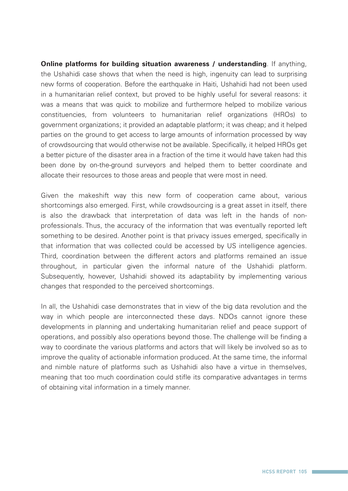**Online platforms for building situation awareness / understanding**. If anything, the Ushahidi case shows that when the need is high, ingenuity can lead to surprising new forms of cooperation. Before the earthquake in Haiti, Ushahidi had not been used in a humanitarian relief context, but proved to be highly useful for several reasons: it was a means that was quick to mobilize and furthermore helped to mobilize various constituencies, from volunteers to humanitarian relief organizations (HROs) to government organizations; it provided an adaptable platform; it was cheap; and it helped parties on the ground to get access to large amounts of information processed by way of crowdsourcing that would otherwise not be available. Specifically, it helped HROs get a better picture of the disaster area in a fraction of the time it would have taken had this been done by on-the-ground surveyors and helped them to better coordinate and allocate their resources to those areas and people that were most in need.

Given the makeshift way this new form of cooperation came about, various shortcomings also emerged. First, while crowdsourcing is a great asset in itself, there is also the drawback that interpretation of data was left in the hands of nonprofessionals. Thus, the accuracy of the information that was eventually reported left something to be desired. Another point is that privacy issues emerged, specifically in that information that was collected could be accessed by US intelligence agencies. Third, coordination between the different actors and platforms remained an issue throughout, in particular given the informal nature of the Ushahidi platform. Subsequently, however, Ushahidi showed its adaptability by implementing various changes that responded to the perceived shortcomings.

In all, the Ushahidi case demonstrates that in view of the big data revolution and the way in which people are interconnected these days. NDOs cannot ignore these developments in planning and undertaking humanitarian relief and peace support of operations, and possibly also operations beyond those. The challenge will be finding a way to coordinate the various platforms and actors that will likely be involved so as to improve the quality of actionable information produced. At the same time, the informal and nimble nature of platforms such as Ushahidi also have a virtue in themselves, meaning that too much coordination could stifle its comparative advantages in terms of obtaining vital information in a timely manner.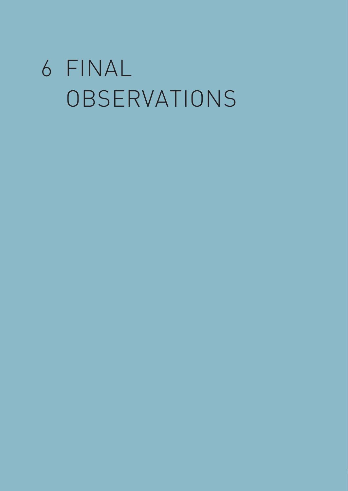# 6 FINAL **OBSERVATIONS**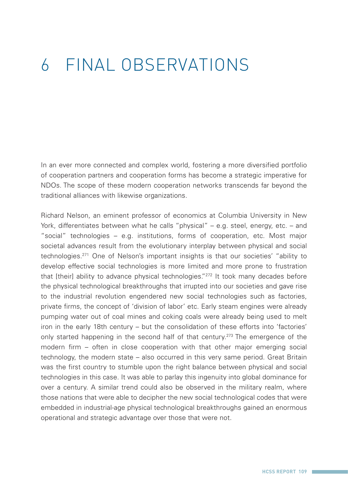### 6 FINAL OBSERVATIONS

In an ever more connected and complex world, fostering a more diversified portfolio of cooperation partners and cooperation forms has become a strategic imperative for NDOs. The scope of these modern cooperation networks transcends far beyond the traditional alliances with likewise organizations.

Richard Nelson, an eminent professor of economics at Columbia University in New York, differentiates between what he calls "physical" – e.g. steel, energy, etc. – and "social" technologies – e.g. institutions, forms of cooperation, etc. Most major societal advances result from the evolutionary interplay between physical and social technologies.271 One of Nelson's important insights is that our societies' "ability to develop effective social technologies is more limited and more prone to frustration that [their] ability to advance physical technologies."<sup>272</sup> It took many decades before the physical technological breakthroughs that irrupted into our societies and gave rise to the industrial revolution engendered new social technologies such as factories, private firms, the concept of 'division of labor' etc. Early steam engines were already pumping water out of coal mines and coking coals were already being used to melt iron in the early 18th century – but the consolidation of these efforts into 'factories' only started happening in the second half of that century.<sup>273</sup> The emergence of the modern firm – often in close cooperation with that other major emerging social technology, the modern state – also occurred in this very same period. Great Britain was the first country to stumble upon the right balance between physical and social technologies in this case. It was able to parlay this ingenuity into global dominance for over a century. A similar trend could also be observed in the military realm, where those nations that were able to decipher the new social technological codes that were embedded in industrial-age physical technological breakthroughs gained an enormous operational and strategic advantage over those that were not.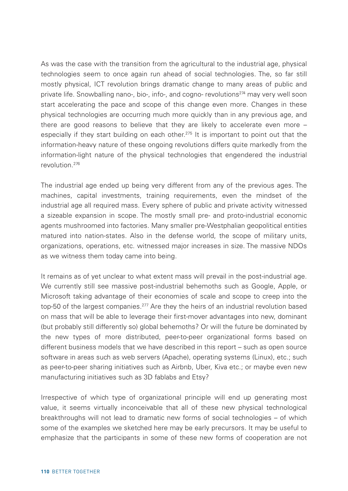As was the case with the transition from the agricultural to the industrial age, physical technologies seem to once again run ahead of social technologies. The, so far still mostly physical, ICT revolution brings dramatic change to many areas of public and private life. Snowballing nano-, bio-, info-, and cogno- revolutions<sup>274</sup> may very well soon start accelerating the pace and scope of this change even more. Changes in these physical technologies are occurring much more quickly than in any previous age, and there are good reasons to believe that they are likely to accelerate even more – especially if they start building on each other.<sup>275</sup> It is important to point out that the information-heavy nature of these ongoing revolutions differs quite markedly from the information-light nature of the physical technologies that engendered the industrial revolution.276

The industrial age ended up being very different from any of the previous ages. The machines, capital investments, training requirements, even the mindset of the industrial age all required mass. Every sphere of public and private activity witnessed a sizeable expansion in scope. The mostly small pre- and proto-industrial economic agents mushroomed into factories. Many smaller pre-Westphalian geopolitical entities matured into nation-states. Also in the defense world, the scope of military units, organizations, operations, etc. witnessed major increases in size. The massive NDOs as we witness them today came into being.

It remains as of yet unclear to what extent mass will prevail in the post-industrial age. We currently still see massive post-industrial behemoths such as Google, Apple, or Microsoft taking advantage of their economies of scale and scope to creep into the top-50 of the largest companies.277 Are they the heirs of an industrial revolution based on mass that will be able to leverage their first-mover advantages into new, dominant (but probably still differently so) global behemoths? Or will the future be dominated by the new types of more distributed, peer-to-peer organizational forms based on different business models that we have described in this report – such as open source software in areas such as web servers (Apache), operating systems (Linux), etc.; such as peer-to-peer sharing initiatives such as Airbnb, Uber, Kiva etc.; or maybe even new manufacturing initiatives such as 3D fablabs and Etsy?

Irrespective of which type of organizational principle will end up generating most value, it seems virtually inconceivable that all of these new physical technological breakthroughs will not lead to dramatic new forms of social technologies – of which some of the examples we sketched here may be early precursors. It may be useful to emphasize that the participants in some of these new forms of cooperation are not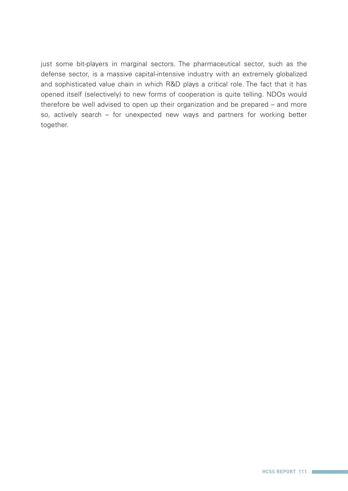just some bit-players in marginal sectors. The pharmaceutical sector, such as the defense sector, is a massive capital-intensive industry with an extremely globalized and sophisticated value chain in which R&D plays a critical role. The fact that it has opened itself (selectively) to new forms of cooperation is quite telling. NDOs would therefore be well advised to open up their organization and be prepared – and more so, actively search – for unexpected new ways and partners for working better together.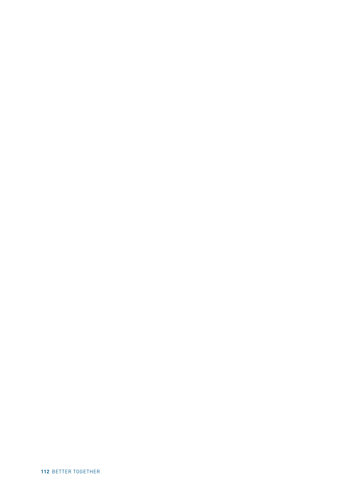BETTER TOGETHER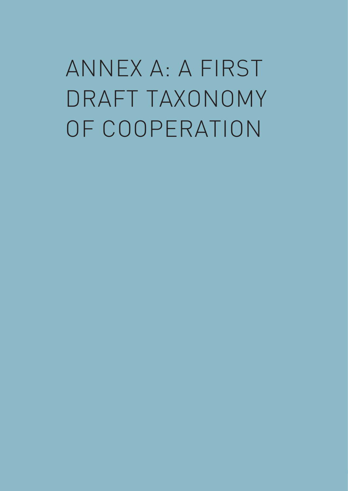# ANNEX A: A FIRST DRAFT TAXONOMY OF COOPERATION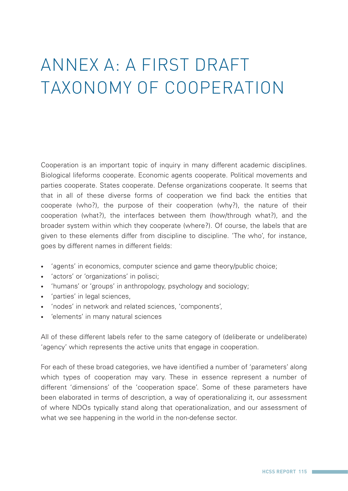## ANNEX A: A FIRST DRAFT TAXONOMY OF COOPERATION

Cooperation is an important topic of inquiry in many different academic disciplines. Biological lifeforms cooperate. Economic agents cooperate. Political movements and parties cooperate. States cooperate. Defense organizations cooperate. It seems that that in all of these diverse forms of cooperation we find back the entities that cooperate (who?), the purpose of their cooperation (why?), the nature of their cooperation (what?), the interfaces between them (how/through what?), and the broader system within which they cooperate (where?). Of course, the labels that are given to these elements differ from discipline to discipline. 'The who', for instance, goes by different names in different fields:

- 'agents' in economics, computer science and game theory/public choice;
- 'actors' or 'organizations' in polisci;
- 'humans' or 'groups' in anthropology, psychology and sociology;
- 'parties' in legal sciences.
- 'nodes' in network and related sciences, 'components',
- 'elements' in many natural sciences

All of these different labels refer to the same category of (deliberate or undeliberate) 'agency' which represents the active units that engage in cooperation.

For each of these broad categories, we have identified a number of 'parameters' along which types of cooperation may vary. These in essence represent a number of different 'dimensions' of the 'cooperation space'. Some of these parameters have been elaborated in terms of description, a way of operationalizing it, our assessment of where NDOs typically stand along that operationalization, and our assessment of what we see happening in the world in the non-defense sector.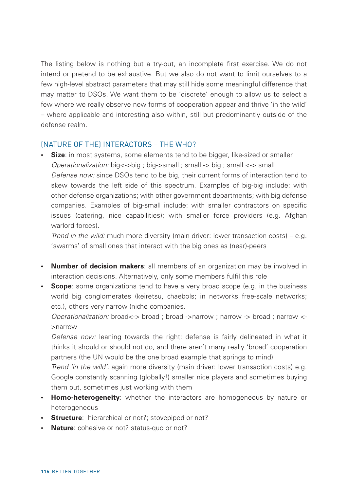The listing below is nothing but a try-out, an incomplete first exercise. We do not intend or pretend to be exhaustive. But we also do not want to limit ourselves to a few high-level abstract parameters that may still hide some meaningful difference that may matter to DSOs. We want them to be 'discrete' enough to allow us to select a few where we really observe new forms of cooperation appear and thrive 'in the wild' – where applicable and interesting also within, still but predominantly outside of the defense realm.

#### (NATURE OF THE) INTERACTORS – THE WHO?

**Size**: in most systems, some elements tend to be bigger, like-sized or smaller *Operationalization:* big<->big ; big->small ; small -> big ; small <-> small *Defense now:* since DSOs tend to be big, their current forms of interaction tend to skew towards the left side of this spectrum. Examples of big-big include: with other defense organizations; with other government departments; with big defense companies. Examples of big-small include: with smaller contractors on specific issues (catering, nice capabilities); with smaller force providers (e.g. Afghan warlord forces).

*Trend in the wild:* much more diversity (main driver: lower transaction costs) – e.g. 'swarms' of small ones that interact with the big ones as (near)-peers

- **• Number of decision makers**: all members of an organization may be involved in interaction decisions. Alternatively, only some members fulfil this role
- **• Scope**: some organizations tend to have a very broad scope (e.g. in the business world big conglomerates (keiretsu, chaebols; in networks free-scale networks; etc.), others very narrow (niche companies,

*Operationalization:* broad<-> broad ; broad ->narrow ; narrow -> broad ; narrow <- >narrow

*Defense now:* leaning towards the right: defense is fairly delineated in what it thinks it should or should not do, and there aren't many really 'broad' cooperation partners (the UN would be the one broad example that springs to mind)

*Trend 'in the wild':* again more diversity (main driver: lower transaction costs) e.g. Google constantly scanning (globally!) smaller nice players and sometimes buying them out, sometimes just working with them

- **• Homo-heterogeneity**: whether the interactors are homogeneous by nature or heterogeneous
- **• Structure**: hierarchical or not?; stovepiped or not?
- **Nature**: cohesive or not? status-quo or not?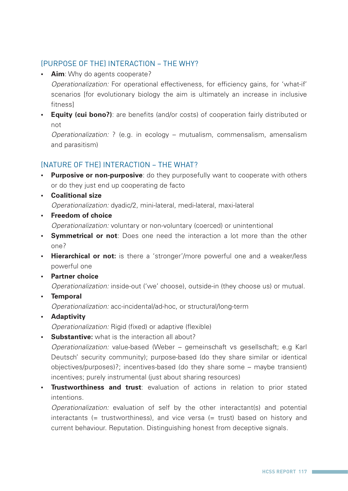#### (PURPOSE OF THE) INTERACTION – THE WHY?

**• Aim**: Why do agents cooperate?

*Operationalization:* For operational effectiveness, for efficiency gains, for 'what-if' scenarios [for evolutionary biology the aim is ultimately an increase in inclusive fitness]

**• Equity (cui bono?)**: are benefits (and/or costs) of cooperation fairly distributed or not

*Operationalization:* ? (e.g. in ecology – mutualism, commensalism, amensalism and parasitism)

#### (NATURE OF THE) INTERACTION – THE WHAT?

- **• Purposive or non-purposive**: do they purposefully want to cooperate with others or do they just end up cooperating de facto
- **• Coalitional size** *Operationalization:* dyadic/2, mini-lateral, medi-lateral, maxi-lateral
- **• Freedom of choice**

*Operationalization:* voluntary or non-voluntary (coerced) or unintentional

- **• Symmetrical or not**: Does one need the interaction a lot more than the other one?
- **• Hierarchical or not:** is there a 'stronger'/more powerful one and a weaker/less powerful one
- **• Partner choice** *Operationalization:* inside-out ('we' choose), outside-in (they choose us) or mutual.
- **• Temporal** *Operationalization:* acc-incidental/ad-hoc, or structural/long-term
- **• Adaptivity**
	- *Operationalization:* Rigid (fixed) or adaptive (flexible)
- **• Substantive:** what is the interaction all about?

*Operationalization:* value-based (Weber – gemeinschaft vs gesellschaft; e.g Karl Deutsch' security community); purpose-based (do they share similar or identical objectives/purposes)?; incentives-based (do they share some – maybe transient) incentives; purely instrumental (just about sharing resources)

**• Trustworthiness and trust**: evaluation of actions in relation to prior stated intentions.

*Operationalization:* evaluation of self by the other interactant(s) and potential interactants (= trustworthiness), and vice versa (= trust) based on history and current behaviour. Reputation. Distinguishing honest from deceptive signals.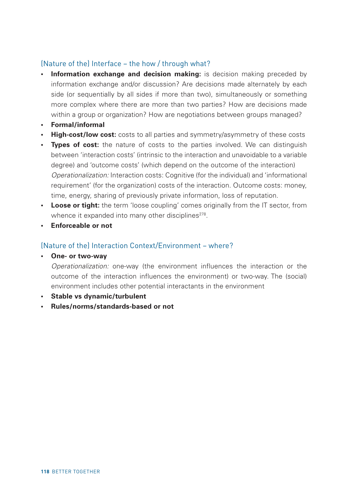#### (Nature of the) Interface – the how / through what?

- **Information exchange and decision making:** is decision making preceded by information exchange and/or discussion? Are decisions made alternately by each side (or sequentially by all sides if more than two), simultaneously or something more complex where there are more than two parties? How are decisions made within a group or organization? How are negotiations between groups managed?
- **• Formal/informal**
- **• High-cost/low cost:** costs to all parties and symmetry/asymmetry of these costs
- **• Types of cost:** the nature of costs to the parties involved. We can distinguish between 'interaction costs' (intrinsic to the interaction and unavoidable to a variable degree) and 'outcome costs' (which depend on the outcome of the interaction) *Operationalization:* Interaction costs: Cognitive (for the individual) and 'informational requirement' (for the organization) costs of the interaction. Outcome costs: money, time, energy, sharing of previously private information, loss of reputation.
- **• Loose or tight:** the term 'loose coupling' comes originally from the IT sector, from whence it expanded into many other disciplines<sup>278</sup>.
- **• Enforceable or not**

#### (Nature of the) Interaction Context/Environment – where?

#### **• One- or two-way**

*Operationalization:* one-way (the environment influences the interaction or the outcome of the interaction influences the environment) or two-way. The (social) environment includes other potential interactants in the environment

- **• Stable vs dynamic/turbulent**
- **• Rules/norms/standards-based or not**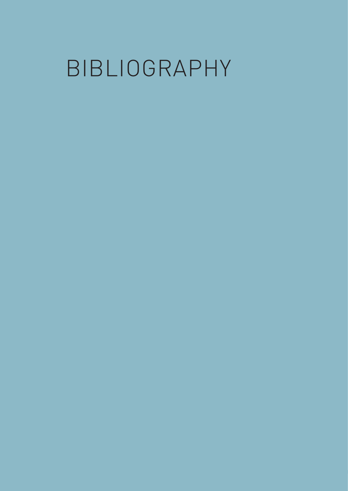## BIBLIOGRAPHY

- 
- 
- -
- -
	-
-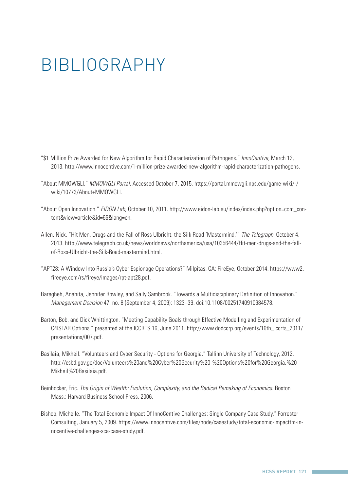### BIBLIOGRAPHY

- "\$1 Million Prize Awarded for New Algorithm for Rapid Characterization of Pathogens." *InnoCentive*, March 12, 2013. http://www.innocentive.com/1-million-prize-awarded-new-algorithm-rapid-characterization-pathogens.
- "About MMOWGLI." *MMOWGLI Portal*. Accessed October 7, 2015. https://portal.mmowgli.nps.edu/game-wiki/-/ wiki/10773/About+MMOWGLI.
- "About Open Innovation." *EIDON Lab*, October 10, 2011. http://www.eidon-lab.eu/index/index.php?option=com\_content&view=article&id=66&lang=en.
- Allen, Nick. "Hit Men, Drugs and the Fall of Ross Ulbricht, the Silk Road 'Mastermind.'" *The Telegraph*, October 4, 2013. http://www.telegraph.co.uk/news/worldnews/northamerica/usa/10356444/Hit-men-drugs-and-the-fallof-Ross-Ulbricht-the-Silk-Road-mastermind.html.
- "APT28: A Window Into Russia's Cyber Espionage Operations?" Milpitas, CA: FireEye, October 2014. https://www2. fireeye.com/rs/fireye/images/rpt-apt28.pdf.
- Baregheh, Anahita, Jennifer Rowley, and Sally Sambrook. "Towards a Multidisciplinary Definition of Innovation." *Management Decision* 47, no. 8 (September 4, 2009): 1323–39. doi:10.1108/00251740910984578.
- Barton, Bob, and Dick Whittington. "Meeting Capability Goals through Effective Modelling and Experimentation of C4ISTAR Options." presented at the ICCRTS 16, June 2011. http://www.dodccrp.org/events/16th\_iccrts\_2011/ presentations/007.pdf.
- Basilaia, Mikheil. "Volunteers and Cyber Security Options for Georgia." Tallinn University of Technology, 2012. http://csbd.gov.ge/doc/Volunteers%20and%20Cyber%20Security%20-%20Options%20for%20Georgia.%20 Mikheil%20Basilaia.pdf.
- Beinhocker, Eric. *The Origin of Wealth: Evolution, Complexity, and the Radical Remaking of Economics*. Boston Mass.: Harvard Business School Press, 2006.
- Bishop, Michelle. "The Total Economic Impact Of InnoCentive Challenges: Single Company Case Study." Forrester Comsulting, January 5, 2009. https://www.innocentive.com/files/node/casestudy/total-economic-impacttm-innocentive-challenges-sca-case-study.pdf.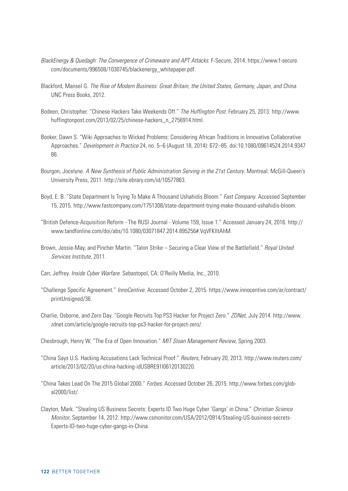- *BlackEnergy & Quedagh: The Convergence of Crimeware and APT Attacks*. F-Secure, 2014. https://www.f-secure. com/documents/996508/1030745/blackenergy\_whitepaper.pdf.
- Blackford, Mansel G. *The Rise of Modern Business: Great Britain, the United States, Germany, Japan, and China*. UNC Press Books, 2012.
- Bodeen, Christopher. "Chinese Hackers Take Weekends Off." *The Huffington Post*. February 25, 2013. http://www. huffingtonpost.com/2013/02/25/chinese-hackers\_n\_2756914.html.
- Booker, Dawn S. "Wiki Approaches to Wicked Problems: Considering African Traditions in Innovative Collaborative Approaches." *Development in Practice* 24, no. 5–6 (August 18, 2014): 672–85. doi:10.1080/09614524.2014.9347 86.
- Bourgon, Jocelyne. *A New Synthesis of Public Administration Serving in the 21st Century*. Montreal: McGill-Queen's University Press, 2011. http://site.ebrary.com/id/10577863.
- Boyd, E. B. "State Department Is Trying To Make A Thousand Ushahidis Bloom." *Fast Company*. Accessed September 15, 2015. http://www.fastcompany.com/1751308/state-department-trying-make-thousand-ushahidis-bloom.
- "British Defence-Acquisition Reform The RUSI Journal Volume 159, Issue 1." Accessed January 24, 2016. http:// www.tandfonline.com/doi/abs/10.1080/03071847.2014.895256#.VqVFKlltAhM.
- Brown, Jessie-May, and Pincher Martin. "Talon Strike Securing a Clear View of the Battlefield." *Royal United Services Institute*, 2011.
- Carr, Jeffrey. *Inside Cyber Warfare*. Sebastopol, CA: O'Reilly Media, Inc., 2010.
- "Challenge Specific Agreement." *InnoCentive*. Accessed October 2, 2015. https://www.innocentive.com/ar/contract/ printUnsigned/36.
- Charlie, Osborne, and Zero Day. "Google Recruits Top PS3 Hacker for Project Zero." *ZDNet*, July 2014. http://www. zdnet.com/article/google-recruits-top-ps3-hacker-for-project-zero/.

Chesbrough, Henry W. "The Era of Open Innovation." *MIT Sloan Management Review*, Spring 2003.

- "China Says U.S. Hacking Accusations Lack Technical Proof." *Reuters*, February 20, 2013. http://www.reuters.com/ article/2013/02/20/us-china-hacking-idUSBRE91I06120130220.
- "China Takes Lead On The 2015 Global 2000." *Forbes*. Accessed October 26, 2015. http://www.forbes.com/global2000/list/.
- Clayton, Mark. "Stealing US Business Secrets: Experts ID Two Huge Cyber 'Gangs' in China." *Christian Science Monitor*, September 14, 2012. http://www.csmonitor.com/USA/2012/0914/Stealing-US-business-secrets-Experts-ID-two-huge-cyber-gangs-in-China.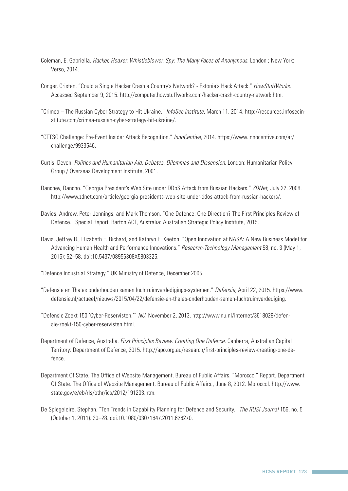- Coleman, E. Gabriella. *Hacker, Hoaxer, Whistleblower, Spy: The Many Faces of Anonymous*. London ; New York: Verso, 2014.
- Conger, Cristen. "Could a Single Hacker Crash a Country's Network? Estonia's Hack Attack." *HowStuffWorks*. Accessed September 9, 2015. http://computer.howstuffworks.com/hacker-crash-country-network.htm.
- "Crimea The Russian Cyber Strategy to Hit Ukraine." *InfoSec Institute*, March 11, 2014. http://resources.infosecinstitute.com/crimea-russian-cyber-strategy-hit-ukraine/.
- "CTTSO Challenge: Pre-Event Insider Attack Recognition." *InnoCentive*, 2014. https://www.innocentive.com/ar/ challenge/9933546.
- Curtis, Devon. *Politics and Humanitarian Aid: Debates, Dilemmas and Dissension*. London: Humanitarian Policy Group / Overseas Development Institute, 2001.
- Danchev, Dancho. "Georgia President's Web Site under DDoS Attack from Russian Hackers." *ZDNet*, July 22, 2008. http://www.zdnet.com/article/georgia-presidents-web-site-under-ddos-attack-from-russian-hackers/.
- Davies, Andrew, Peter Jennings, and Mark Thomson. "One Defence: One Direction? The First Principles Review of Defence." Special Report. Barton ACT, Australia: Australian Strategic Policy Institute, 2015.
- Davis, Jeffrey R., Elizabeth E. Richard, and Kathryn E. Keeton. "Open Innovation at NASA: A New Business Model for Advancing Human Health and Performance Innovations." *Research-Technology Management* 58, no. 3 (May 1, 2015): 52–58. doi:10.5437/08956308X5803325.
- "Defence Industrial Strategy." UK Ministry of Defence, December 2005.
- "Defensie en Thales onderhouden samen luchtruimverdedigings-systemen." *Defensie*, April 22, 2015. https://www. defensie.nl/actueel/nieuws/2015/04/22/defensie-en-thales-onderhouden-samen-luchtruimverdediging.
- "Defensie Zoekt 150 'Cyber-Reservisten.'" *NU*, November 2, 2013. http://www.nu.nl/internet/3618029/defensie-zoekt-150-cyber-reservisten.html.
- Department of Defence, Australia. *First Principles Review: Creating One Defence*. Canberra, Australian Capital Territory: Department of Defence, 2015. http://apo.org.au/research/first-principles-review-creating-one-defence.
- Department Of State. The Office of Website Management, Bureau of Public Affairs. "Morocco." Report. Department Of State. The Office of Website Management, Bureau of Public Affairs., June 8, 2012. Moroccol. http://www. state.gov/e/eb/rls/othr/ics/2012/191203.htm.
- De Spiegeleire, Stephan. "Ten Trends in Capability Planning for Defence and Security." *The RUSI Journal* 156, no. 5 (October 1, 2011): 20–28. doi:10.1080/03071847.2011.626270.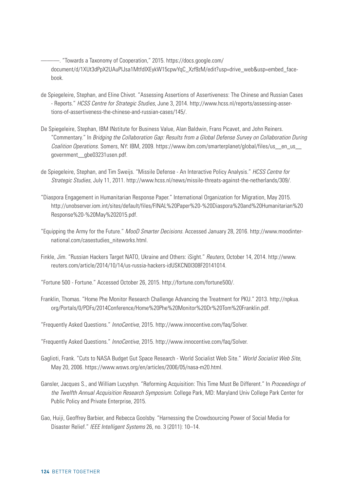———. "Towards a Taxonomy of Cooperation," 2015. https://docs.google.com/ document/d/1XUt3dPpX2UAuPlJsa1MtfdIXEykW15cpwYqC\_Xzf9zM/edit?usp=drive\_web&usp=embed\_facebook.

- de Spiegeleire, Stephan, and Eline Chivot. "Assessing Assertions of Assertiveness: The Chinese and Russian Cases - Reports." *HCSS Centre for Strategic Studies*, June 3, 2014. http://www.hcss.nl/reports/assessing-assertions-of-assertiveness-the-chinese-and-russian-cases/145/.
- De Spiegeleire, Stephan, IBM INstitute for Business Value, Alan Baldwin, Frans Picavet, and John Reiners. "Commentary." In *Bridging the Collaboration Gap: Results from a Global Defense Survey on Collaboration During Coalition Operations*. Somers, NY: IBM, 2009. https://www.ibm.com/smarterplanet/global/files/us\_\_en\_us\_\_ government\_\_gbe03231usen.pdf.
- de Spiegeleire, Stephan, and Tim Sweijs. "Missile Defense An Interactive Policy Analysis." *HCSS Centre for Strategic Studies*, July 11, 2011. http://www.hcss.nl/news/missile-threats-against-the-netherlands/309/.
- "Diaspora Engagement in Humanitarian Response Paper." International Organization for Migration, May 2015. http://unobserver.iom.int/sites/default/files/FINAL%20Paper%20-%20Diaspora%20and%20Humanitarian%20 Response%20-%20May%202015.pdf.
- "Equipping the Army for the Future." *MooD Smarter Decisions*. Accessed January 28, 2016. http://www.moodinternational.com/casestudies\_niteworks.html.
- Finkle, Jim. "Russian Hackers Target NATO, Ukraine and Others: iSight." *Reuters*, October 14, 2014. http://www. reuters.com/article/2014/10/14/us-russia-hackers-idUSKCN0I308F20141014.

"Fortune 500 - Fortune." Accessed October 26, 2015. http://fortune.com/fortune500/.

Franklin, Thomas. "Home Phe Monitor Research Challenge Advancing the Treatment for PKU." 2013. http://npkua. org/Portals/0/PDFs/2014Conference/Home%20Phe%20Monitor%20Dr%20Tom%20Franklin.pdf.

"Frequently Asked Questions." *InnoCentive*, 2015. http://www.innocentive.com/faq/Solver.

- "Frequently Asked Questions." *InnoCentive*, 2015. http://www.innocentive.com/faq/Solver.
- Gaglioti, Frank. "Cuts to NASA Budget Gut Space Research World Socialist Web Site." *World Socialist Web Site*, May 20, 2006. https://www.wsws.org/en/articles/2006/05/nasa-m20.html.
- Gansler, Jacques S., and William Lucyshyn. "Reforming Acquisition: This Time Must Be Different." In *Proceedings of the Twelfth Annual Acquisition Research Symposium*. College Park, MD: Maryland Univ College Park Center for Public Policy and Private Enterprise, 2015.
- Gao, Huiji, Geoffrey Barbier, and Rebecca Goolsby. "Harnessing the Crowdsourcing Power of Social Media for Disaster Relief." *IEEE Intelligent Systems* 26, no. 3 (2011): 10–14.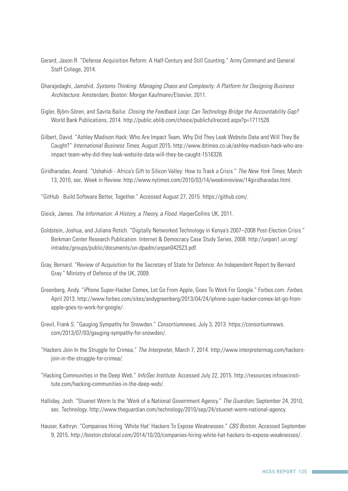- Gerard, Jason R. "Defense Acquisition Reform: A Half-Century and Still Counting." Army Command and General Staff College, 2014.
- Gharajedaghi, Jamshid. *Systems Thinking: Managing Chaos and Complexity: A Platform for Designing Business Architecture*. Amsterdam; Boston: Morgan Kaufmann/Elsevier, 2011.
- Gigler, Björn-Sören, and Savita Bailur. *Closing the Feedback Loop: Can Technology Bridge the Accountability Gap?* World Bank Publications, 2014. http://public.eblib.com/choice/publicfullrecord.aspx?p=1711528.
- Gilbert, David. "Ashley Madison Hack: Who Are Impact Team, Why Did They Leak Website Data and Will They Be Caught?" *International Business Times*, August 2015. http://www.ibtimes.co.uk/ashley-madison-hack-who-areimpact-team-why-did-they-leak-website-data-will-they-be-caught-1516328.
- Giridharadas, Anand. "Ushahidi Africa's Gift to Silicon Valley: How to Track a Crisis." *The New York Times*, March 13, 2010, sec. Week in Review. http://www.nytimes.com/2010/03/14/weekinreview/14giridharadas.html.
- "GitHub · Build Software Better, Together." Accessed August 27, 2015. https://github.com/.
- Gleick, James. *The Information: A History, a Theory, a Flood*. HarperCollins UK, 2011.
- Goldstein, Joshua, and Juliana Rotich. "Digitally Networked Technology in Kenya's 2007–2008 Post-Election Crisis." Berkman Center Research Publication. Internet & Democracy Case Study Series, 2008. http://unpan1.un.org/ intradoc/groups/public/documents/un-dpadm/unpan042523.pdf.
- Gray, Bernard. "Review of Acquisition for the Secretary of State for Defence: An Independent Report by Bernard Gray." Ministry of Defence of the UK, 2009.
- Greenberg, Andy. "iPhone Super-Hacker Comex, Let Go From Apple, Goes To Work For Google." Forbes.com. *Forbes*, April 2013. http://www.forbes.com/sites/andygreenberg/2013/04/24/iphone-super-hacker-comex-let-go-fromapple-goes-to-work-for-google/.
- Grevil, Frank S. "Gauging Sympathy for Snowden." *Consortiumnews*, July 3, 2013. https://consortiumnews. com/2013/07/03/gauging-sympathy-for-snowden/.
- "Hackers Join In the Struggle for Crimea." *The Interpreter*, March 7, 2014. http://www.interpretermag.com/hackersjoin-in-the-struggle-for-crimea/.
- "Hacking Communities in the Deep Web." *InfoSec Institute*. Accessed July 22, 2015. http://resources.infosecinstitute.com/hacking-communities-in-the-deep-web/.
- Halliday, Josh. "Stuxnet Worm Is the 'Work of a National Government Agency." *The Guardian*, September 24, 2010, sec. Technology. http://www.theguardian.com/technology/2010/sep/24/stuxnet-worm-national-agency.
- Hauser, Kathryn. "Companies Hiring 'White Hat' Hackers To Expose Weaknesses." *CBS Boston*. Accessed September 9, 2015. http://boston.cbslocal.com/2014/10/20/companies-hiring-white-hat-hackers-to-expose-weaknesses/.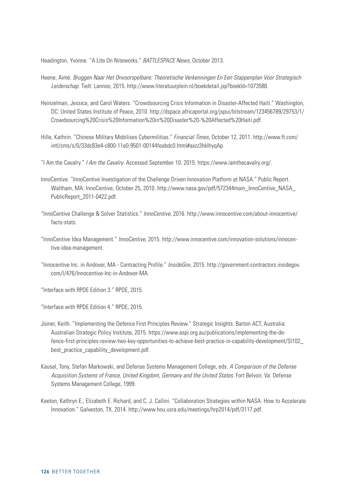Headington, Yvonne. "A Lite On Niteworks." *BATTLESPACE News*, October 2013.

- Heene, Aimé. *Bruggen Naar Het Onvoorspelbare: Theoretische Verkenningen En Een Stappenplan Voor Strategisch Leiderschap*. Tielt: Lannoo, 2015. http://www.literatuurplein.nl/boekdetail.jsp?boekId=1073588.
- Heinzelman, Jessica, and Carol Waters. "Crowdsourcing Crisis Information in Disaster-Affected Haiti." Washington, DC: United States Institute of Peace, 2010. http://dspace.africaportal.org/jspui/bitstream/123456789/29753/1/ Crowdsourcing%20Crisis%20Information%20in%20Disaster%20-%20Affected%20Haiti.pdf.
- Hille, Kathrin. "Chinese Military Mobilises Cybermilitias." *Financial Times*, October 12, 2011. http://www.ft.com/ intl/cms/s/0/33dc83e4-c800-11e0-9501-00144feabdc0.html#axzz3hkIhyqAp.

"I Am the Cavalry." *I Am the Cavalry*. Accessed September 10, 2015. https://www.iamthecavalry.org/.

- InnoCentive. "InnoCentive Investigation of the Challenge Driven Innovation Platform at NASA." Public Report. Waltham, MA: InnoCentive, October 25, 2010. http://www.nasa.gov/pdf/572344main\_InnoCentive\_NASA\_ PublicReport\_2011-0422.pdf.
- "InnoCentive Challenge & Solver Statistics." *InnoCentive*, 2016. http://www.innocentive.com/about-innocentive/ facts-stats.
- "InnoCentive Idea Management." *InnoCentive*, 2015. http://www.innocentive.com/innovation-solutions/innocentive-idea-management.
- "Innocentive Inc. in Andover, MA Contracting Profile." *InsideGov*, 2015. http://government-contractors.insidegov. com/l/476/Innocentive-Inc-in-Andover-MA.

"Interface with RPDE Edition 3." RPDE, 2015.

"Interface with RPDE Edition 4." RPDE, 2015.

- Joiner, Keith. "Implementing the Defence First Principles Review." Strategic Insights. Barton ACT, Australia: Australian Strategic Policy Institute, 2015. https://www.aspi.org.au/publications/implementing-the-defence-first-principles-review-two-key-opportunities-to-achieve-best-practice-in-capability-development/SI102\_ best\_practice\_capability\_development.pdf.
- Kausal, Tony, Stefan Markowski, and Defense Systems Management College, eds. *A Comparison of the Defense Acquisition Systems of France, United Kingdom, Germany and the United States*. Fort Belvoir, Va: Defense Systems Management College, 1999.
- Keeton, Kathryn E., Elizabeth E. Richard, and C. J. Callini. "Collaboration Strategies within NASA: How to Accelerate Innovation." Galveston, TX, 2014. http://www.hou.usra.edu/meetings/hrp2014/pdf/3117.pdf.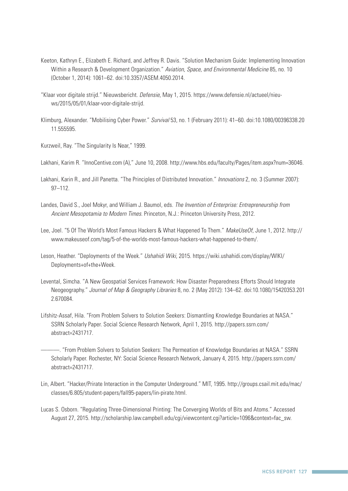- Keeton, Kathryn E., Elizabeth E. Richard, and Jeffrey R. Davis. "Solution Mechanism Guide: Implementing Innovation Within a Research & Development Organization." *Aviation, Space, and Environmental Medicine* 85, no. 10 (October 1, 2014): 1061–62. doi:10.3357/ASEM.4050.2014.
- "Klaar voor digitale strijd." Nieuwsbericht. *Defensie*, May 1, 2015. https://www.defensie.nl/actueel/nieuws/2015/05/01/klaar-voor-digitale-strijd.
- Klimburg, Alexander. "Mobilising Cyber Power." *Survival* 53, no. 1 (February 2011): 41–60. doi:10.1080/00396338.20 11.555595.
- Kurzweil, Ray. "The Singularity Is Near," 1999.
- Lakhani, Karim R. "InnoCentive.com (A)," June 10, 2008. http://www.hbs.edu/faculty/Pages/item.aspx?num=36046.
- Lakhani, Karin R., and Jill Panetta. "The Principles of Distributed Innovation." *Innovations* 2, no. 3 (Summer 2007): 97–112.
- Landes, David S., Joel Mokyr, and William J. Baumol, eds. *The Invention of Enterprise: Entrepreneurship from Ancient Mesopotamia to Modern Times*. Princeton, N.J.: Princeton University Press, 2012.
- Lee, Joel. "5 Of The World's Most Famous Hackers & What Happened To Them." *MakeUseOf*, June 1, 2012. http:// www.makeuseof.com/tag/5-of-the-worlds-most-famous-hackers-what-happened-to-them/.
- Leson, Heather. "Deployments of the Week." *Ushahidi Wiki*, 2015. https://wiki.ushahidi.com/display/WIKI/ Deployments+of+the+Week.
- Levental, Simcha. "A New Geospatial Services Framework: How Disaster Preparedness Efforts Should Integrate Neogeography." *Journal of Map & Geography Libraries* 8, no. 2 (May 2012): 134–62. doi:10.1080/15420353.201 2.670084.
- Lifshitz-Assaf, Hila. "From Problem Solvers to Solution Seekers: Dismantling Knowledge Boundaries at NASA." SSRN Scholarly Paper. Social Science Research Network, April 1, 2015. http://papers.ssrn.com/ abstract=2431717.
	- ———. "From Problem Solvers to Solution Seekers: The Permeation of Knowledge Boundaries at NASA." SSRN Scholarly Paper. Rochester, NY: Social Science Research Network, January 4, 2015. http://papers.ssrn.com/ abstract=2431717.
- Lin, Albert. "Hacker/Prirate Interaction in the Computer Underground." MIT, 1995. http://groups.csail.mit.edu/mac/ classes/6.805/student-papers/fall95-papers/lin-pirate.html.
- Lucas S. Osborn. "Regulating Three-Dimensional Printing: The Converging Worlds of Bits and Atoms." Accessed August 27, 2015. http://scholarship.law.campbell.edu/cgi/viewcontent.cgi?article=1096&context=fac\_sw.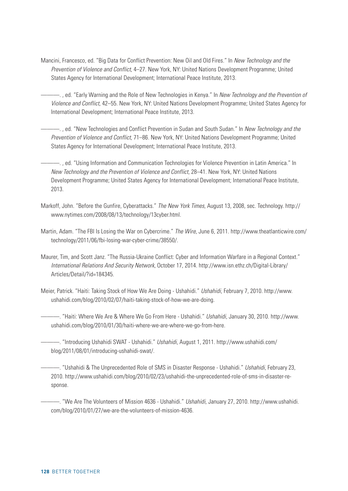- Mancini, Francesco, ed. "Big Data for Conflict Prevention: New Oil and Old Fires." In *New Technology and the Prevention of Violence and Conflict*, 4–27. New York, NY: United Nations Development Programme; United States Agency for International Development; International Peace Institute, 2013.
- ———. , ed. "Early Warning and the Role of New Technologies in Kenya." In *New Technology and the Prevention of Violence and Conflict*, 42–55. New York, NY: United Nations Development Programme; United States Agency for International Development; International Peace Institute, 2013.
- ———. , ed. "New Technologies and Conflict Prevention in Sudan and South Sudan." In *New Technology and the Prevention of Violence and Conflict*, 71–86. New York, NY: United Nations Development Programme; United States Agency for International Development; International Peace Institute, 2013.
- ———. , ed. "Using Information and Communication Technologies for Violence Prevention in Latin America." In *New Technology and the Prevention of Violence and Conflict*, 28–41. New York, NY: United Nations Development Programme; United States Agency for International Development; International Peace Institute, 2013.
- Markoff, John. "Before the Gunfire, Cyberattacks." *The New York Times*, August 13, 2008, sec. Technology. http:// www.nytimes.com/2008/08/13/technology/13cyber.html.
- Martin, Adam. "The FBI Is Losing the War on Cybercrime." *The Wire*, June 6, 2011. http://www.theatlanticwire.com/ technology/2011/06/fbi-losing-war-cyber-crime/38550/.
- Maurer, Tim, and Scott Janz. "The Russia-Ukraine Conflict: Cyber and Information Warfare in a Regional Context." *International Relations And Security Network*, October 17, 2014. http://www.isn.ethz.ch/Digital-Library/ Articles/Detail/?id=184345.
- Meier, Patrick. "Haiti: Taking Stock of How We Are Doing Ushahidi." *Ushahidi*, February 7, 2010. http://www. ushahidi.com/blog/2010/02/07/haiti-taking-stock-of-how-we-are-doing.
	- ———. "Haiti: Where We Are & Where We Go From Here Ushahidi." *Ushahidi*, January 30, 2010. http://www. ushahidi.com/blog/2010/01/30/haiti-where-we-are-where-we-go-from-here.
	- ———. "Introducing Ushahidi SWAT Ushahidi." *Ushahidi*, August 1, 2011. http://www.ushahidi.com/ blog/2011/08/01/introducing-ushahidi-swat/.
	- ———. "Ushahidi & The Unprecedented Role of SMS in Disaster Response Ushahidi." *Ushahidi*, February 23, 2010. http://www.ushahidi.com/blog/2010/02/23/ushahidi-the-unprecedented-role-of-sms-in-disaster-response.
- ———. "We Are The Volunteers of Mission 4636 Ushahidi." *Ushahidi*, January 27, 2010. http://www.ushahidi. com/blog/2010/01/27/we-are-the-volunteers-of-mission-4636.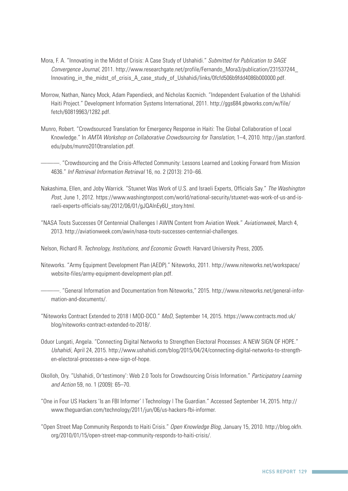- Mora, F. A. "Innovating in the Midst of Crisis: A Case Study of Ushahidi." *Submitted for Publication to SAGE Convergence Journal*, 2011. http://www.researchgate.net/profile/Fernando\_Mora3/publication/231537244\_ Innovating in the midst of crisis A case study of Ushahidi/links/0fcfd506b9fdd4086b00000.pdf.
- Morrow, Nathan, Nancy Mock, Adam Papendieck, and Nicholas Kocmich. "Independent Evaluation of the Ushahidi Haiti Project." Development Information Systems International, 2011. http://ggs684.pbworks.com/w/file/ fetch/60819963/1282.pdf.
- Munro, Robert. "Crowdsourced Translation for Emergency Response in Haiti: The Global Collaboration of Local Knowledge." In *AMTA Workshop on Collaborative Crowdsourcing for Translation*, 1–4, 2010. http://jan.stanford. edu/pubs/munro2010translation.pdf.
	- ———. "Crowdsourcing and the Crisis-Affected Community: Lessons Learned and Looking Forward from Mission 4636." *Inf Retrieval Information Retrieval* 16, no. 2 (2013): 210–66.
- Nakashima, Ellen, and Joby Warrick. "Stuxnet Was Work of U.S. and Israeli Experts, Officials Say." *The Washington Post*, June 1, 2012. https://www.washingtonpost.com/world/national-security/stuxnet-was-work-of-us-and-israeli-experts-officials-say/2012/06/01/gJQAlnEy6U\_story.html.
- "NASA Touts Successes Of Centennial Challenges | AWIN Content from Aviation Week." *Aviationweek*, March 4, 2013. http://aviationweek.com/awin/nasa-touts-successes-centennial-challenges.
- Nelson, Richard R. *Technology, Institutions, and Economic Growth*. Harvard University Press, 2005.
- Niteworks. "Army Equipment Development Plan (AEDP)." Niteworks, 2011. http://www.niteworks.net/workspace/ website-files/army-equipment-development-plan.pdf.
	- ———. "General Information and Documentation from Niteworks," 2015. http://www.niteworks.net/general-information-and-documents/.
- "Niteworks Contract Extended to 2018 | MOD-DCO." *MoD*, September 14, 2015. https://www.contracts.mod.uk/ blog/niteworks-contract-extended-to-2018/.
- Oduor Lungati, Angela. "Connecting Digital Networks to Strengthen Electoral Processes: A NEW SIGN OF HOPE." *Ushahidi*, April 24, 2015. http://www.ushahidi.com/blog/2015/04/24/connecting-digital-networks-to-strengthen-electoral-processes-a-new-sign-of-hope.
- Okolloh, Ory. "Ushahidi, Or'testimony': Web 2.0 Tools for Crowdsourcing Crisis Information." *Participatory Learning and Action* 59, no. 1 (2009): 65–70.
- "One in Four US Hackers 'Is an FBI Informer' | Technology | The Guardian." Accessed September 14, 2015. http:// www.theguardian.com/technology/2011/jun/06/us-hackers-fbi-informer.
- "Open Street Map Community Responds to Haiti Crisis." *Open Knowledge Blog*, January 15, 2010. http://blog.okfn. org/2010/01/15/open-street-map-community-responds-to-haiti-crisis/.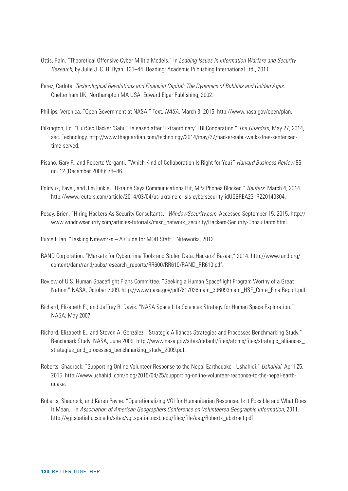- Ottis, Rain. "Theoretical Offensive Cyber Militia Models." In *Leading Issues in Information Warfare and Security Research*, by Julie J. C. H. Ryan, 131–44. Reading: Academic Publishing International Ltd., 2011.
- Perez, Carlota. *Technological Revolutions and Financial Capital: The Dynamics of Bubbles and Golden Ages*. Cheltenham UK; Northampton MA USA: Edward Elgar Publishing, 2002.

Phillips, Veronica. "Open Government at NASA." Text. *NASA*, March 3, 2015. http://www.nasa.gov/open/plan.

- Pilkington, Ed. "LulzSec Hacker 'Sabu' Released after 'Extraordinary' FBI Cooperation." *The Guardian*, May 27, 2014, sec. Technology. http://www.theguardian.com/technology/2014/may/27/hacker-sabu-walks-free-sentencedtime-served.
- Pisano, Gary P., and Roberto Verganti. "Which Kind of Collaboration Is Right for You?" *Harvard Business Review* 86, no. 12 (December 2008): 78–86.
- Polityuk, Pavel, and Jim Finkle. "Ukraine Says Communications Hit, MPs Phones Blocked." *Reuters*, March 4, 2014. http://www.reuters.com/article/2014/03/04/us-ukraine-crisis-cybersecurity-idUSBREA231R220140304.
- Posey, Brien. "Hiring Hackers As Security Consultants." *WindowSecurity.com*. Accessed September 15, 2015. http:// www.windowsecurity.com/articles-tutorials/misc\_network\_security/Hackers-Security-Consultants.html.

Purcell, Ian. "Tasking Niteworks – A Guide for MOD Staff." Niteworks, 2012.

- RAND Corporation. "Markets for Cybercrime Tools and Stolen Data: Hackers' Bazaar," 2014. http://www.rand.org/ content/dam/rand/pubs/research\_reports/RR600/RR610/RAND\_RR610.pdf.
- Review of U.S. Human Spaceflight Plans Committee. "Seeking a Human Spaceflight Program Worthy of a Great Nation." NASA, October 2009. http://www.nasa.gov/pdf/617036main\_396093main\_HSF\_Cmte\_FinalReport.pdf.
- Richard, Elizabeth E., and Jeffrey R. Davis. "NASA Space Life Sciences Strategy for Human Space Exploration." NASA, May 2007.
- Richard, Elizabeth E., and Steven A. González. "Strategic Alliances Strategies and Processes Benchmarking Study." Benchmark Study. NASA, June 2009. http://www.nasa.gov/sites/default/files/atoms/files/strategic\_alliances\_ strategies\_and\_processes\_benchmarking\_study\_2009.pdf.
- Roberts, Shadrock. "Supporting Online Volunteer Response to the Nepal Earthquake Ushahidi." *Ushahidi*, April 25, 2015. http://www.ushahidi.com/blog/2015/04/25/supporting-online-volunteer-response-to-the-nepal-earthquake.
- Roberts, Shadrock, and Karen Payne. "Operationalizing VGI for Humanitarian Response: Is It Possible and What Does It Mean." In *Association of American Geographers Conference on Volunteered Geographic Information*, 2011. http://vgi.spatial.ucsb.edu/sites/vgi.spatial.ucsb.edu/files/file/aag/Roberts\_abstract.pdf.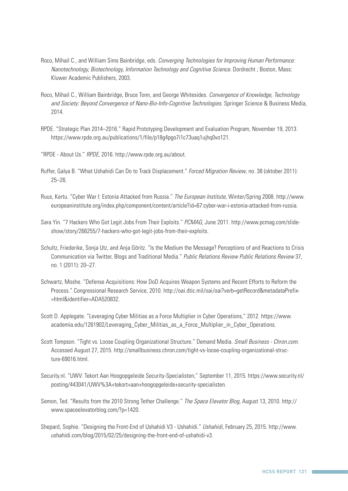- Roco, Mihail C., and William Sims Bainbridge, eds. *Converging Technologies for Improving Human Performance: Nanotechnology, Biotechnology, Information Technology and Cognitive Science*. Dordrecht ; Boston, Mass: Kluwer Academic Publishers, 2003.
- Roco, Mihail C., William Bainbridge, Bruce Tonn, and George Whitesides. *Convergence of Knowledge, Technology and Society: Beyond Convergence of Nano-Bio-Info-Cognitive Technologies*. Springer Science & Business Media, 2014.
- RPDE. "Strategic Plan 2014–2016." Rapid Prototyping Development and Evaluation Program, November 19, 2013. https://www.rpde.org.au/publications/1/file/p18g4pgo7i1c73uaq1uihq0vo121.
- "RPDE About Us." *RPDE*, 2016. http://www.rpde.org.au/about.
- Ruffer, Galya B. "What Ushahidi Can Do to Track Displacement." *Forced Migration Review*, no. 38 (oktober 2011): 25–26.
- Ruus, Kertu. "Cyber War I: Estonia Attacked from Russia." *The European Institute*, Winter/Spring 2008. http://www. europeaninstitute.org/index.php/component/content/article?id=67:cyber-war-i-estonia-attacked-from-russia.
- Sara Yin. "7 Hackers Who Got Legit Jobs From Their Exploits." *PCMAG*, June 2011. http://www.pcmag.com/slideshow/story/266255/7-hackers-who-got-legit-jobs-from-their-exploits.
- Schultz, Friederike, Sonja Utz, and Anja Göritz. "Is the Medium the Message? Perceptions of and Reactions to Crisis Communication via Twitter, Blogs and Traditional Media." *Public Relations Review Public Relations Review* 37, no. 1 (2011): 20–27.
- Schwartz, Moshe. "Defense Acquisitions: How DoD Acquires Weapon Systems and Recent Efforts to Reform the Process." Congressional Research Service, 2010. http://oai.dtic.mil/oai/oai?verb=getRecord&metadataPrefix-=html&identifier=ADA520832.
- Scott D. Applegate. "Leveraging Cyber Militias as a Force Multiplier in Cyber Operations," 2012. https://www. academia.edu/1261902/Leveraging\_Cyber\_Militias\_as\_a\_Force\_Multiplier\_in\_Cyber\_Operations.
- Scott Tompson. "Tight vs. Loose Coupling Organizational Structure." Demand Media. *Small Business Chron.com*. Accessed August 27, 2015. http://smallbusiness.chron.com/tight-vs-loose-coupling-organizational-structure-69016.html.
- Security.nl. "UWV: Tekort Aan Hoogopgeleide Security-Specialisten," September 11, 2015. https://www.security.nl/ posting/443041/UWV%3A+tekort+aan+hoogopgeleide+security-specialisten.
- Semon, Ted. "Results from the 2010 Strong Tether Challenge." *The Space Elevator Blog*, August 13, 2010. http:// www.spaceelevatorblog.com/?p=1420.
- Shepard, Sophie. "Designing the Front-End of Ushahidi V3 Ushahidi." *Ushahidi*, February 25, 2015. http://www. ushahidi.com/blog/2015/02/25/designing-the-front-end-of-ushahidi-v3.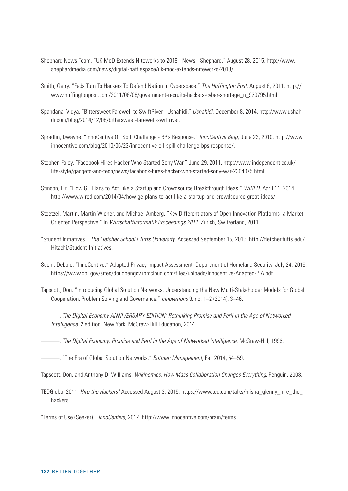- Shephard News Team. "UK MoD Extends Niteworks to 2018 News Shephard," August 28, 2015. http://www. shephardmedia.com/news/digital-battlespace/uk-mod-extends-niteworks-2018/.
- Smith, Gerry. "Feds Turn To Hackers To Defend Nation in Cyberspace." *The Huffington Post*, August 8, 2011. http:// www.huffingtonpost.com/2011/08/08/government-recruits-hackers-cyber-shortage\_n\_920795.html.
- Spandana, Vidya. "Bittersweet Farewell to SwiftRiver Ushahidi." *Ushahidi*, December 8, 2014. http://www.ushahidi.com/blog/2014/12/08/bittersweet-farewell-swiftriver.
- Spradlin, Dwayne. "InnoCentive Oil Spill Challenge BP's Response." *InnoCentive Blog*, June 23, 2010. http://www. innocentive.com/blog/2010/06/23/innocentive-oil-spill-challenge-bps-response/.
- Stephen Foley. "Facebook Hires Hacker Who Started Sony War," June 29, 2011. http://www.independent.co.uk/ life-style/gadgets-and-tech/news/facebook-hires-hacker-who-started-sony-war-2304075.html.
- Stinson, Liz. "How GE Plans to Act Like a Startup and Crowdsource Breakthrough Ideas." *WIRED*, April 11, 2014. http://www.wired.com/2014/04/how-ge-plans-to-act-like-a-startup-and-crowdsource-great-ideas/.
- Stoetzel, Martin, Martin Wiener, and Michael Amberg. "Key Differentiators of Open Innovation Platforms–a Market-Oriented Perspective." In *Wirtschaftinformatik Proceedings 2011*. Zurich, Switzerland, 2011.
- "Student Initiatives." *The Fletcher School | Tufts University*. Accessed September 15, 2015. http://fletcher.tufts.edu/ Hitachi/Student-Initiatives.
- Suehr, Debbie. "InnoCentive." Adapted Privacy Impact Assessment. Department of Homeland Security, July 24, 2015. https://www.doi.gov/sites/doi.opengov.ibmcloud.com/files/uploads/Innocentive-Adapted-PIA.pdf.
- Tapscott, Don. "Introducing Global Solution Networks: Understanding the New Multi-Stakeholder Models for Global Cooperation, Problem Solving and Governance." *Innovations* 9, no. 1–2 (2014): 3–46.
	- ———. *The Digital Economy ANNIVERSARY EDITION: Rethinking Promise and Peril in the Age of Networked Intelligence*. 2 edition. New York: McGraw-Hill Education, 2014.
- ———. *The Digital Economy: Promise and Peril in the Age of Networked Intelligence*. McGraw-Hill, 1996.
- ———. "The Era of Global Solution Networks." *Rotman Management*, Fall 2014, 54–59.
- Tapscott, Don, and Anthony D. Williams. *Wikinomics: How Mass Collaboration Changes Everything*. Penguin, 2008.
- TEDGlobal 2011. *Hire the Hackers!* Accessed August 3, 2015. https://www.ted.com/talks/misha\_glenny\_hire\_the\_ hackers.
- "Terms of Use (Seeker)." *InnoCentive*, 2012. http://www.innocentive.com/brain/terms.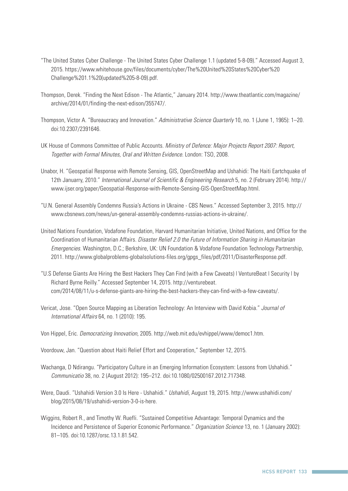- "The United States Cyber Challenge The United States Cyber Challenge 1.1 (updated 5-8-09)." Accessed August 3, 2015. https://www.whitehouse.gov/files/documents/cyber/The%20United%20States%20Cyber%20 Challenge%201.1%20(updated%205-8-09).pdf.
- Thompson, Derek. "Finding the Next Edison The Atlantic," January 2014. http://www.theatlantic.com/magazine/ archive/2014/01/finding-the-next-edison/355747/.
- Thompson, Victor A. "Bureaucracy and Innovation." *Administrative Science Quarterly* 10, no. 1 (June 1, 1965): 1–20. doi:10.2307/2391646.
- UK House of Commons Committee of Public Accounts. *Ministry of Defence: Major Projects Report 2007: Report, Together with Formal Minutes, Oral and Written Evidence*. London: TSO, 2008.
- Unabor, H. "Geospatial Response with Remote Sensing, GIS, OpenStreetMap and Ushahidi: The Haiti Eartchquake of 12th Januarry, 2010." *International Journal of Scientific & Engineering Research* 5, no. 2 (February 2014). http:// www.ijser.org/paper/Geospatial-Response-with-Remote-Sensing-GIS-OpenStreetMap.html.
- "U.N. General Assembly Condemns Russia's Actions in Ukraine CBS News." Accessed September 3, 2015. http:// www.cbsnews.com/news/un-general-assembly-condemns-russias-actions-in-ukraine/.
- United Nations Foundation, Vodafone Foundation, Harvard Humanitarian Initiative, United Nations, and Office for the Coordination of Humanitarian Affairs. *Disaster Relief 2.0 the Future of Information Sharing in Humanitarian Emergencies.* Washington, D.C.; Berkshire, UK: UN Foundation & Vodafone Foundation Technology Partnership, 2011. http://www.globalproblems-globalsolutions-files.org/gpgs\_files/pdf/2011/DisasterResponse.pdf.
- "U.S Defense Giants Are Hiring the Best Hackers They Can Find (with a Few Caveats) | VentureBeat | Security | by Richard Byrne Reilly." Accessed September 14, 2015. http://venturebeat. com/2014/08/11/u-s-defense-giants-are-hiring-the-best-hackers-they-can-find-with-a-few-caveats/.
- Vericat, Jose. "Open Source Mapping as Liberation Technology: An Interview with David Kobia." *Journal of International Affairs* 64, no. 1 (2010): 195.
- Von Hippel, Eric. *Democratizing Innovation*, 2005. http://web.mit.edu/evhippel/www/democ1.htm.
- Voordouw, Jan. "Question about Haiti Relief Effort and Cooperation," September 12, 2015.
- Wachanga, D Ndirangu. "Participatory Culture in an Emerging Information Ecosystem: Lessons from Ushahidi." *Communicatio* 38, no. 2 (August 2012): 195–212. doi:10.1080/02500167.2012.717348.
- Were, Daudi. "Ushahidi Version 3.0 Is Here Ushahidi." *Ushahidi*, August 19, 2015. http://www.ushahidi.com/ blog/2015/08/19/ushahidi-version-3-0-is-here.
- Wiggins, Robert R., and Timothy W. Ruefli. "Sustained Competitive Advantage: Temporal Dynamics and the Incidence and Persistence of Superior Economic Performance." *Organization Science* 13, no. 1 (January 2002): 81–105. doi:10.1287/orsc.13.1.81.542.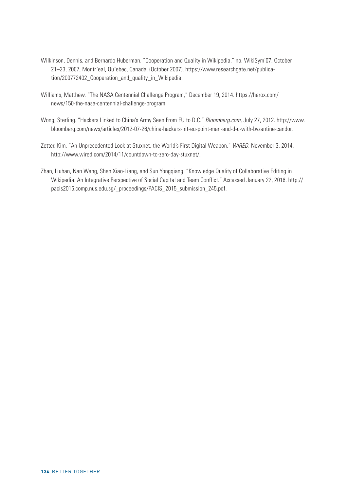- Wilkinson, Dennis, and Bernardo Huberman. "Cooperation and Quality in Wikipedia," no. WikiSym'07, October 21–23, 2007, Montr´eal, Qu´ebec, Canada. (October 2007). https://www.researchgate.net/publication/200772402 Cooperation and quality in Wikipedia.
- Williams, Matthew. "The NASA Centennial Challenge Program," December 19, 2014. https://herox.com/ news/150-the-nasa-centennial-challenge-program.
- Wong, Sterling. "Hackers Linked to China's Army Seen From EU to D.C." *Bloomberg.com*, July 27, 2012. http://www. bloomberg.com/news/articles/2012-07-26/china-hackers-hit-eu-point-man-and-d-c-with-byzantine-candor.
- Zetter, Kim. "An Unprecedented Look at Stuxnet, the World's First Digital Weapon." *WIRED*, November 3, 2014. http://www.wired.com/2014/11/countdown-to-zero-day-stuxnet/.
- Zhan, Liuhan, Nan Wang, Shen Xiao-Liang, and Sun Yongqiang. "Knowledge Quality of Collaborative Editing in Wikipedia: An Integrative Perspective of Social Capital and Team Conflict." Accessed January 22, 2016. http:// pacis2015.comp.nus.edu.sg/\_proceedings/PACIS\_2015\_submission\_245.pdf.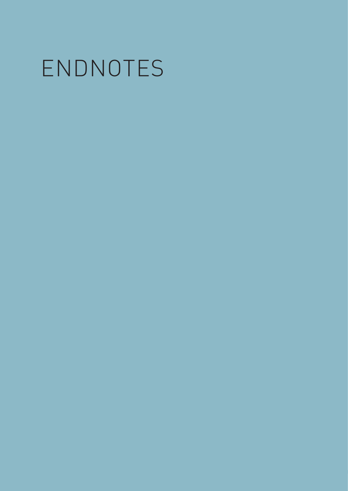## ENDNOTES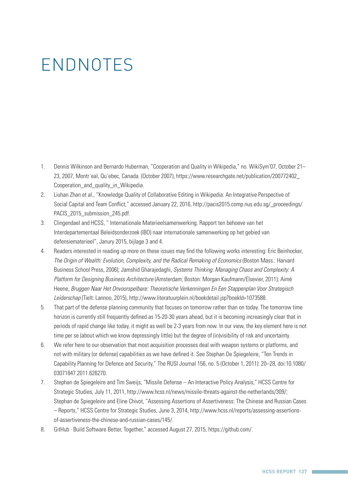## ENDNOTES

- 1. Dennis Wilkinson and Bernardo Huberman, "Cooperation and Quality in Wikipedia," no. WikiSym'07, October 21– 23, 2007, Montr´eal, Qu´ebec, Canada. (October 2007), https://www.researchgate.net/publication/200772402\_ Cooperation\_and\_quality\_in\_Wikipedia.
- 2. Liuhan Zhan et al., "Knowledge Quality of Collaborative Editing in Wikipedia: An Integrative Perspective of Social Capital and Team Conflict," accessed January 22, 2016, http://pacis2015.comp.nus.edu.sg/\_proceedings/ PACIS\_2015\_submission\_245.pdf.
- 3. Clingendael and HCSS, " Internationale Materieelsamenwerking. Rapport ten behoeve van het Interdepartementaal Beleidsonderzoek (IBO) naar internationale samenwerking op het gebied van defensiematerieel", Janury 2015, bijlage 3 and 4.
- 4. Readers interested in reading up more on these issues may find the following works interesting: Eric Beinhocker, *The Origin of Wealth: Evolution, Complexity, and the Radical Remaking of Economics* (Boston Mass.: Harvard Business School Press, 2006); Jamshid Gharajedaghi, *Systems Thinking: Managing Chaos and Complexity: A Platform for Designing Business Architecture* (Amsterdam; Boston: Morgan Kaufmann/Elsevier, 2011); Aimé Heene, *Bruggen Naar Het Onvoorspelbare: Theoretische Verkenningen En Een Stappenplan Voor Strategisch Leiderschap* (Tielt: Lannoo, 2015), http://www.literatuurplein.nl/boekdetail.jsp?boekId=1073588.
- 5. That part of the defense planning community that focuses on tomorrow rather than on today. The tomorrow time horizon is currently still frequently defined as 15-20-30 years ahead, but it is becoming increasingly clear that in periods of rapid change like today, it might as well be 2-3 years from now. In our view, the key element here is not time per se (about which we know depressingly little) but the degree of (in)visibility of risk and uncertainty.
- 6. We refer here to our observation that most acquisition processes deal with weapon systems or platforms, and not with military (or defense) capabilities as we have defined it. See Stephan De Spiegeleire, "Ten Trends in Capability Planning for Defence and Security," The RUSI Journal 156, no. 5 (October 1, 2011): 20–28, doi:10.1080/ 03071847.2011.626270.
- 7. Stephan de Spiegeleire and Tim Sweijs, "Missile Defense An Interactive Policy Analysis," HCSS Centre for Strategic Studies, July 11, 2011, http://www.hcss.nl/news/missile-threats-against-the-netherlands/309/; Stephan de Spiegeleire and Eline Chivot, "Assessing Assertions of Assertiveness: The Chinese and Russian Cases – Reports," HCSS Centre for Strategic Studies, June 3, 2014, http://www.hcss.nl/reports/assessing-assertionsof-assertiveness-the-chinese-and-russian-cases/145/.
- 8. GitHub · Build Software Better, Together," accessed August 27, 2015, https://github.com/.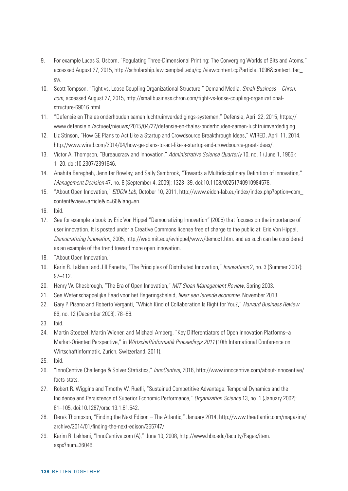- 9. For example Lucas S. Osborn, "Regulating Three-Dimensional Printing: The Converging Worlds of Bits and Atoms," accessed August 27, 2015, http://scholarship.law.campbell.edu/cgi/viewcontent.cgi?article=1096&context=fac\_ sw.
- 10. Scott Tompson, "Tight vs. Loose Coupling Organizational Structure," Demand Media, *Small Business Chron. com*, accessed August 27, 2015, http://smallbusiness.chron.com/tight-vs-loose-coupling-organizationalstructure-69016.html.
- 11. "Defensie en Thales onderhouden samen luchtruimverdedigings-systemen," Defensie, April 22, 2015, https:// www.defensie.nl/actueel/nieuws/2015/04/22/defensie-en-thales-onderhouden-samen-luchtruimverdediging.
- 12. Liz Stinson, "How GE Plans to Act Like a Startup and Crowdsource Breakthrough Ideas," WIRED, April 11, 2014, http://www.wired.com/2014/04/how-ge-plans-to-act-like-a-startup-and-crowdsource-great-ideas/.
- 13. Victor A. Thompson, "Bureaucracy and Innovation," *Administrative Science Quarterly* 10, no. 1 (June 1, 1965): 1–20, doi:10.2307/2391646.
- 14. Anahita Baregheh, Jennifer Rowley, and Sally Sambrook, "Towards a Multidisciplinary Definition of Innovation," *Management Decision* 47, no. 8 (September 4, 2009): 1323–39, doi:10.1108/00251740910984578.
- 15. "About Open Innovation," *EIDON Lab*, October 10, 2011, http://www.eidon-lab.eu/index/index.php?option=com\_ content&view=article&id=66&lang=en.
- 16. Ibid.
- 17. See for example a book by Eric Von Hippel "Democratizing Innovation" (2005) that focuses on the importance of user innovation. It is posted under a Creative Commons license free of charge to the public at: Eric Von Hippel, *Democratizing Innovation*, 2005, http://web.mit.edu/evhippel/www/democ1.htm. and as such can be considered as an example of the trend toward more open innovation.
- 18. "About Open Innovation."
- 19. Karin R. Lakhani and Jill Panetta, "The Principles of Distributed Innovation," *Innovations* 2, no. 3 (Summer 2007): 97–112.
- 20. Henry W. Chesbrough, "The Era of Open Innovation," *MIT Sloan Management Review*, Spring 2003.
- 21. See Wetenschappelijke Raad voor het Regeringsbeleid, *Naar een lerende economie*, November 2013.
- 22. Gary P. Pisano and Roberto Verganti, "Which Kind of Collaboration Is Right for You?," *Harvard Business Review* 86, no. 12 (December 2008): 78–86.
- 23. Ibid.
- 24. Martin Stoetzel, Martin Wiener, and Michael Amberg, "Key Differentiators of Open Innovation Platforms–a Market-Oriented Perspective," in *Wirtschaftinformatik Proceedings 2011* (10th International Conference on Wirtschaftinformatik, Zurich, Switzerland, 2011).
- 25. Ibid.
- 26. "InnoCentive Challenge & Solver Statistics," *InnoCentive*, 2016, http://www.innocentive.com/about-innocentive/ facts-stats.
- 27. Robert R. Wiggins and Timothy W. Ruefli, "Sustained Competitive Advantage: Temporal Dynamics and the Incidence and Persistence of Superior Economic Performance," *Organization Science* 13, no. 1 (January 2002): 81–105, doi:10.1287/orsc.13.1.81.542.
- 28. Derek Thompson, "Finding the Next Edison The Atlantic," January 2014, http://www.theatlantic.com/magazine/ archive/2014/01/finding-the-next-edison/355747/.
- 29. Karim R. Lakhani, "InnoCentive.com (A)," June 10, 2008, http://www.hbs.edu/faculty/Pages/item. aspx?num=36046.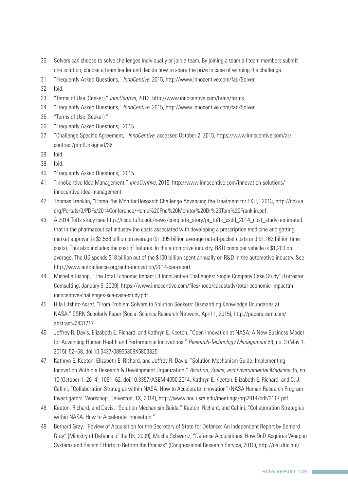- 30. Solvers can choose to solve challenges individually or join a team. By joining a team all team members submit one solution, choose a team leader and decide how to share the prize in case of winning the challenge.
- 31. "Frequently Asked Questions," *InnoCentive*, 2015, http://www.innocentive.com/faq/Solver.
- 32. Ibid.
- 33. "Terms of Use (Seeker)," *InnoCentive*, 2012, http://www.innocentive.com/brain/terms.
- 34. "Frequently Asked Questions," *InnoCentive*, 2015, http://www.innocentive.com/faq/Solver.
- 35. "Terms of Use (Seeker)."
- 36. "Frequently Asked Questions," 2015.
- 37. "Challenge Specific Agreement," *InnoCentive*, accessed October 2, 2015, https://www.innocentive.com/ar/ contract/printUnsigned/36.
- 38. Ibid.
- 39. Ibid.
- 40. "Frequently Asked Questions," 2015.
- 41. "InnoCentive Idea Management," *InnoCentive*, 2015, http://www.innocentive.com/innovation-solutions/ innocentive-idea-management.
- 42. Thomas Franklin, "Home Phe Monitor Research Challenge Advancing the Treatment for PKU," 2013, http://npkua. org/Portals/0/PDFs/2014Conference/Home%20Phe%20Monitor%20Dr%20Tom%20Franklin.pdf.
- 43. A 2014 Tufts study (see [http://csdd.tufts.edu/news/complete\\_story/pr\\_tufts\\_csdd\\_2014\\_cost\\_study](http://csdd.tufts.edu/news/complete_story/pr_tufts_csdd_2014_cost_study)) estimated that in the pharmaceutical industry the costs associated with developing a prescription medicine and getting market approval is \$2.558 billion on average (\$1.395 billion average out-of-pocket costs and \$1.163 billion time costs). This also includes the cost of failures. In the automotive industry, R&D costs per vehicle is \$1,200 on average. The US spends \$18 billion out of the \$100 billion spent annually on R&D in the automotive industry. See <http://www.autoalliance.org/auto-innovation/2014-car-report>
- 44. Michelle Bishop, "The Total Economic Impact Of InnoCentive Challenges: Single Company Case Study" (Forrester Comsulting, January 5, 2009), https://www.innocentive.com/files/node/casestudy/total-economic-impacttminnocentive-challenges-sca-case-study.pdf.
- 45. Hila Lifshitz-Assaf, "From Problem Solvers to Solution Seekers: Dismantling Knowledge Boundaries at NASA," SSRN Scholarly Paper (Social Science Research Network, April 1, 2015), http://papers.ssrn.com/ abstract=2431717.
- 46. Jeffrey R. Davis, Elizabeth E. Richard, and Kathryn E. Keeton, "Open Innovation at NASA: A New Business Model for Advancing Human Health and Performance Innovations," *Research-Technology Management* 58, no. 3 (May 1, 2015): 52–58, doi:10.5437/08956308X5803325.
- 47. Kathryn E. Keeton, Elizabeth E. Richard, and Jeffrey R. Davis, "Solution Mechanism Guide: Implementing Innovation Within a Research & Development Organization," *Aviation, Space, and Environmental Medicine* 85, no. 10 (October 1, 2014): 1061–62, doi:10.3357/ASEM.4050.2014. Kathryn E. Keeton, Elizabeth E. Richard, and C. J. Callini, "Collaboration Strategies within NASA: How to Accelerate Innovation" (NASA Human Research Program Investigators' Workshop, Galveston, TX, 2014), http://www.hou.usra.edu/meetings/hrp2014/pdf/3117.pdf.
- 48. Keeton, Richard, and Davis, "Solution Mechanism Guide." Keeton, Richard, and Callini, "Collaboration Strategies within NASA: How to Accelerate Innovation."
- 49. Bernard Gray, "Review of Acquisition for the Secretary of State for Defence: An Independent Report by Bernard Gray" (Ministry of Defence of the UK, 2009); Moshe Schwartz, "Defense Acquisitions: How DoD Acquires Weapon Systems and Recent Efforts to Reform the Process" (Congressional Research Service, 2010), http://oai.dtic.mil/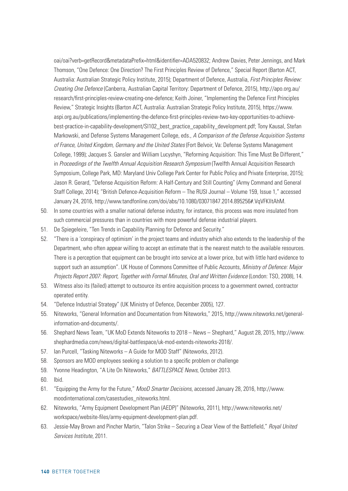oai/oai?verb=getRecord&metadataPrefix=html&identifier=ADA520832; Andrew Davies, Peter Jennings, and Mark Thomson, "One Defence: One Direction? The First Principles Review of Defence," Special Report (Barton ACT, Australia: Australian Strategic Policy Institute, 2015); Department of Defence, Australia, *First Principles Review: Creating One Defence* (Canberra, Australian Capital Territory: Department of Defence, 2015), http://apo.org.au/ research/first-principles-review-creating-one-defence; Keith Joiner, "Implementing the Defence First Principles Review," Strategic Insights (Barton ACT, Australia: Australian Strategic Policy Institute, 2015), https://www. aspi.org.au/publications/implementing-the-defence-first-principles-review-two-key-opportunities-to-achievebest-practice-in-capability-development/SI102\_best\_practice\_capability\_development.pdf; Tony Kausal, Stefan Markowski, and Defense Systems Management College, eds., *A Comparison of the Defense Acquisition Systems of France, United Kingdom, Germany and the United States* (Fort Belvoir, Va: Defense Systems Management College, 1999); Jacques S. Gansler and William Lucyshyn, "Reforming Acquisition: This Time Must Be Different," in *Proceedings of the Twelfth Annual Acquisition Research Symposium* (Twelfth Annual Acquisition Research Symposium, College Park, MD: Maryland Univ College Park Center for Public Policy and Private Enterprise, 2015); Jason R. Gerard, "Defense Acquisition Reform: A Half-Century and Still Counting" (Army Command and General Staff College, 2014); "British Defence-Acquisition Reform – The RUSI Journal – Volume 159, Issue 1," accessed January 24, 2016, http://www.tandfonline.com/doi/abs/10.1080/03071847.2014.895256#.VqVFKlltAhM.

- 50. In some countries with a smaller national defense industry, for instance, this process was more insulated from such commercial pressures than in countries with more powerful defense industrial players.
- 51. De Spiegeleire, "Ten Trends in Capability Planning for Defence and Security."
- 52. "There is a 'conspiracy of optimism' in the project teams and industry which also extends to the leadership of the Department, who often appear willing to accept an estimate that is the nearest match to the available resources. There is a perception that equipment can be brought into service at a lower price, but with little hard evidence to support such an assumption". UK House of Commons Committee of Public Accounts, *Ministry of Defence: Major Projects Report 2007: Report, Together with Formal Minutes, Oral and Written Evidence* (London: TSO, 2008), 14.
- 53. Witness also its (failed) attempt to outsource its entire acquisition process to a government owned, contractor operated entity.
- 54. "Defence Industrial Strategy" (UK Ministry of Defence, December 2005), 127.
- 55. Niteworks, "General Information and Documentation from Niteworks," 2015, http://www.niteworks.net/generalinformation-and-documents/.
- 56. Shephard News Team, "UK MoD Extends Niteworks to 2018 News Shephard," August 28, 2015, http://www. shephardmedia.com/news/digital-battlespace/uk-mod-extends-niteworks-2018/.
- 57. Ian Purcell, "Tasking Niteworks A Guide for MOD Staff" (Niteworks, 2012).
- 58. Sponsors are MOD employees seeking a solution to a specific problem or challenge
- 59. Yvonne Headington, "A Lite On Niteworks," *BATTLESPACE News*, October 2013.
- 60. Ibid.
- 61. "Equipping the Army for the Future," *MooD Smarter Decisions*, accessed January 28, 2016, http://www. moodinternational.com/casestudies\_niteworks.html.
- 62. Niteworks, "Army Equipment Development Plan (AEDP)" (Niteworks, 2011), http://www.niteworks.net/ workspace/website-files/army-equipment-development-plan.pdf.
- 63. Jessie-May Brown and Pincher Martin, "Talon Strike Securing a Clear View of the Battlefield," *Royal United Services Institute*, 2011.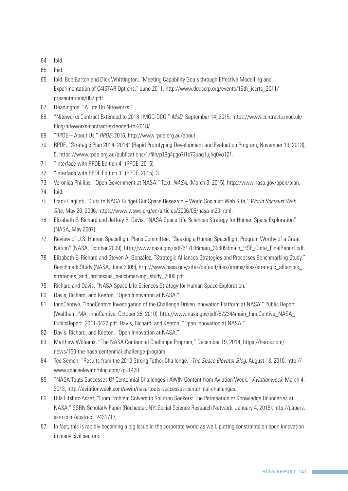- 64. Ibid.
- 65. Ibid.
- 66. Ibid. Bob Barton and Dick Whittington, "Meeting Capability Goals through Effective Modelling and Experimentation of C4ISTAR Options," June 2011, http://www.dodccrp.org/events/16th\_iccrts\_2011/ presentations/007.pdf.
- 67. Headington, "A Lite On Niteworks."
- 68. "Niteworks Contract Extended to 2018 | MOD-DCO," *MoD*, September 14, 2015, https://www.contracts.mod.uk/ blog/niteworks-contract-extended-to-2018/.
- 69. "RPDE About Us," *RPDE*, 2016, http://www.rpde.org.au/about.
- 70. RPDE, "Strategic Plan 2014–2016" (Rapid Prototyping Development and Evaluation Program, November 19, 2013), 5, https://www.rpde.org.au/publications/1/file/p18g4pgo7i1c73uaq1ujhq0vo121.
- 71. "Interface with RPDE Edition 4" (RPDE, 2015).
- 72. "Interface with RPDE Edition 3" (RPDE, 2015), 3.
- 73. Veronica Phillips, "Open Government at NASA," Text, *NASA*, (March 3, 2015), http://www.nasa.gov/open/plan.
- 74. Ibid.
- 75. Frank Gaglioti, "Cuts to NASA Budget Gut Space Research World Socialist Web Site," *World Socialist Web Site*, May 20, 2006, https://www.wsws.org/en/articles/2006/05/nasa-m20.html.
- 76. Elizabeth E. Richard and Jeffrey R. Davis, "NASA Space Life Sciences Strategy for Human Space Exploration" (NASA, May 2007).
- 77. Review of U.S. Human Spaceflight Plans Committee, "Seeking a Human Spaceflight Program Worthy of a Great Nation" (NASA, October 2009), http://www.nasa.gov/pdf/617036main\_396093main\_HSF\_Cmte\_FinalReport.pdf.
- 78. Elizabeth E. Richard and Steven A. González, "Strategic Alliances Strategies and Processes Benchmarking Study," Benchmark Study (NASA, June 2009), http://www.nasa.gov/sites/default/files/atoms/files/strategic\_alliances\_ strategies and processes benchmarking study 2009.pdf.
- 79. Richard and Davis, "NASA Space Life Sciences Strategy for Human Space Exploration."
- 80. Davis, Richard, and Keeton, "Open Innovation at NASA."
- 81. InnoCentive, "InnoCentive Investigation of the Challenge Driven Innovation Platform at NASA," Public Report (Waltham, MA: InnoCentive, October 25, 2010), http://www.nasa.gov/pdf/572344main\_InnoCentive\_NASA\_ PublicReport\_2011-0422.pdf. Davis, Richard, and Keeton, "Open Innovation at NASA."
- 82. Davis, Richard, and Keeton, "Open Innovation at NASA."
- 83. Matthew Williams, "The NASA Centennial Challenge Program," December 19, 2014, https://herox.com/ news/150-the-nasa-centennial-challenge-program.
- 84. Ted Semon, "Results from the 2010 Strong Tether Challenge," *The Space Elevator Blog*, August 13, 2010, http:// www.spaceelevatorblog.com/?p=1420.
- 85. "NASA Touts Successes Of Centennial Challenges | AWIN Content from Aviation Week," *Aviationweek*, March 4, 2013, http://aviationweek.com/awin/nasa-touts-successes-centennial-challenges.
- 86. Hila Lifshitz-Assaf, "From Problem Solvers to Solution Seekers: The Permeation of Knowledge Boundaries at NASA," SSRN Scholarly Paper (Rochester, NY: Social Science Research Network, January 4, 2015), http://papers. ssrn.com/abstract=2431717.
- 87. In fact, this is rapidly becoming a big issue in the corporate world as well, putting constraints on open innovation in many civil sectors.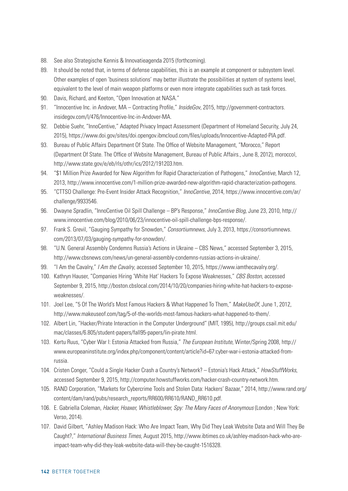- 88. See also Strategische Kennis & Innovatieagenda 2015 (forthcoming).
- 89. It should be noted that, in terms of defense capabilities, this is an example at component or subsystem level. Other examples of open 'business solutions' may better illustrate the possibilities at system of systems level, equivalent to the level of main weapon platforms or even more integrate capabilities such as task forces.
- 90. Davis, Richard, and Keeton, "Open Innovation at NASA."
- 91. "Innocentive Inc. in Andover, MA Contracting Profile," *InsideGov*, 2015, http://government-contractors. insidegov.com/l/476/Innocentive-Inc-in-Andover-MA.
- 92. Debbie Suehr, "InnoCentive," Adapted Privacy Impact Assessment (Department of Homeland Security, July 24, 2015), https://www.doi.gov/sites/doi.opengov.ibmcloud.com/files/uploads/Innocentive-Adapted-PIA.pdf.
- 93. Bureau of Public Affairs Department Of State. The Office of Website Management, "Morocco," Report (Department Of State. The Office of Website Management, Bureau of Public Affairs., June 8, 2012), morocco|, http://www.state.gov/e/eb/rls/othr/ics/2012/191203.htm.
- 94. "\$1 Million Prize Awarded for New Algorithm for Rapid Characterization of Pathogens," *InnoCentive*, March 12, 2013, http://www.innocentive.com/1-million-prize-awarded-new-algorithm-rapid-characterization-pathogens.
- 95. "CTTSO Challenge: Pre-Event Insider Attack Recognition," *InnoCentive*, 2014, https://www.innocentive.com/ar/ challenge/9933546.
- 96. Dwayne Spradlin, "InnoCentive Oil Spill Challenge BP's Response," *InnoCentive Blog*, June 23, 2010, http:// www.innocentive.com/blog/2010/06/23/innocentive-oil-spill-challenge-bps-response/.
- 97. Frank S. Grevil, "Gauging Sympathy for Snowden," *Consortiumnews*, July 3, 2013, https://consortiumnews. com/2013/07/03/gauging-sympathy-for-snowden/.
- 98. "U.N. General Assembly Condemns Russia's Actions in Ukraine CBS News," accessed September 3, 2015, http://www.cbsnews.com/news/un-general-assembly-condemns-russias-actions-in-ukraine/.
- 99. "I Am the Cavalry," *I Am the Cavalry*, accessed September 10, 2015, https://www.iamthecavalry.org/.
- 100. Kathryn Hauser, "Companies Hiring 'White Hat' Hackers To Expose Weaknesses," *CBS Boston*, accessed September 9, 2015, http://boston.cbslocal.com/2014/10/20/companies-hiring-white-hat-hackers-to-exposeweaknesses/.
- 101. Joel Lee, "5 Of The World's Most Famous Hackers & What Happened To Them," *MakeUseOf*, June 1, 2012, http://www.makeuseof.com/tag/5-of-the-worlds-most-famous-hackers-what-happened-to-them/.
- 102. Albert Lin, "Hacker/Prirate Interaction in the Computer Underground" (MIT, 1995), http://groups.csail.mit.edu/ mac/classes/6.805/student-papers/fall95-papers/lin-pirate.html.
- 103. Kertu Ruus, "Cyber War I: Estonia Attacked from Russia," *The European Institute*, Winter/Spring 2008, http:// www.europeaninstitute.org/index.php/component/content/article?id=67:cyber-war-i-estonia-attacked-fromrussia.
- 104. Cristen Conger, "Could a Single Hacker Crash a Country's Network? Estonia's Hack Attack," *HowStuffWorks*, accessed September 9, 2015, http://computer.howstuffworks.com/hacker-crash-country-network.htm.
- 105. RAND Corporation, "Markets for Cybercrime Tools and Stolen Data: Hackers' Bazaar," 2014, http://www.rand.org/ content/dam/rand/pubs/research\_reports/RR600/RR610/RAND\_RR610.pdf.
- 106. E. Gabriella Coleman, *Hacker, Hoaxer, Whistleblower, Spy: The Many Faces of Anonymous* (London ; New York: Verso, 2014).
- 107. David Gilbert, "Ashley Madison Hack: Who Are Impact Team, Why Did They Leak Website Data and Will They Be Caught?," *International Business Times*, August 2015, http://www.ibtimes.co.uk/ashley-madison-hack-who-areimpact-team-why-did-they-leak-website-data-will-they-be-caught-1516328.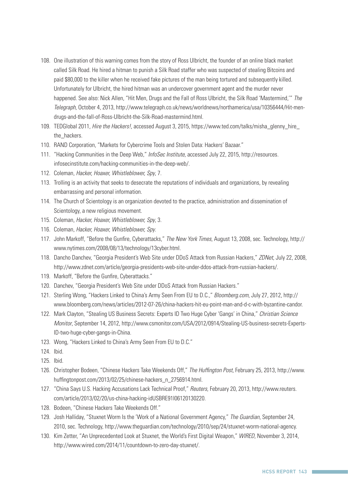- 108. One illustration of this warning comes from the story of Ross Ulbricht, the founder of an online black market called Silk Road. He hired a hitman to punish a Silk Road staffer who was suspected of stealing Bitcoins and paid \$80,000 to the killer when he received fake pictures of the man being tortured and subsequently killed. Unfortunately for Ulbricht, the hired hitman was an undercover government agent and the murder never happened. See also: Nick Allen, "Hit Men, Drugs and the Fall of Ross Ulbricht, the Silk Road 'Mastermind,'" *The Telegraph*, October 4, 2013, http://www.telegraph.co.uk/news/worldnews/northamerica/usa/10356444/Hit-mendrugs-and-the-fall-of-Ross-Ulbricht-the-Silk-Road-mastermind.html.
- 109. TEDGlobal 2011, *Hire the Hackers!*, accessed August 3, 2015, https://www.ted.com/talks/misha\_glenny\_hire\_ the hackers.
- 110. RAND Corporation, "Markets for Cybercrime Tools and Stolen Data: Hackers' Bazaar."
- 111. "Hacking Communities in the Deep Web," *InfoSec Institute*, accessed July 22, 2015, http://resources. infosecinstitute.com/hacking-communities-in-the-deep-web/.
- 112. Coleman, *Hacker, Hoaxer, Whistleblower, Spy*, 7.
- 113. Trolling is an activity that seeks to desecrate the reputations of individuals and organizations, by revealing embarrassing and personal information.
- 114. The Church of Scientology is an organization devoted to the practice, administration and dissemination of Scientology, a new religious movement.
- 115. Coleman, *Hacker, Hoaxer, Whistleblower, Spy*, 3.
- 116. Coleman, *Hacker, Hoaxer, Whistleblower, Spy*.
- 117. John Markoff, "Before the Gunfire, Cyberattacks," *The New York Times*, August 13, 2008, sec. Technology, http:// www.nytimes.com/2008/08/13/technology/13cyber.html.
- 118. Dancho Danchev, "Georgia President's Web Site under DDoS Attack from Russian Hackers," *ZDNet*, July 22, 2008, http://www.zdnet.com/article/georgia-presidents-web-site-under-ddos-attack-from-russian-hackers/.
- 119. Markoff, "Before the Gunfire, Cyberattacks."
- 120. Danchev, "Georgia President's Web Site under DDoS Attack from Russian Hackers."
- 121. Sterling Wong, "Hackers Linked to China's Army Seen From EU to D.C.," *Bloomberg.com*, July 27, 2012, http:// www.bloomberg.com/news/articles/2012-07-26/china-hackers-hit-eu-point-man-and-d-c-with-byzantine-candor.
- 122. Mark Clayton, "Stealing US Business Secrets: Experts ID Two Huge Cyber 'Gangs' in China," *Christian Science Monitor*, September 14, 2012, http://www.csmonitor.com/USA/2012/0914/Stealing-US-business-secrets-Experts-ID-two-huge-cyber-gangs-in-China.
- 123. Wong, "Hackers Linked to China's Army Seen From EU to D.C."
- 124. Ibid.
- 125. Ibid.
- 126. Christopher Bodeen, "Chinese Hackers Take Weekends Off," *The Huffington Post*, February 25, 2013, http://www. huffingtonpost.com/2013/02/25/chinese-hackers\_n\_2756914.html.
- 127. "China Says U.S. Hacking Accusations Lack Technical Proof," *Reuters*, February 20, 2013, http://www.reuters. com/article/2013/02/20/us-china-hacking-idUSBRE91I06120130220.
- 128. Bodeen, "Chinese Hackers Take Weekends Off."
- 129. Josh Halliday, "Stuxnet Worm Is the 'Work of a National Government Agency," *The Guardian*, September 24, 2010, sec. Technology, http://www.theguardian.com/technology/2010/sep/24/stuxnet-worm-national-agency.
- 130. Kim Zetter, "An Unprecedented Look at Stuxnet, the World's First Digital Weapon," *WIRED*, November 3, 2014, http://www.wired.com/2014/11/countdown-to-zero-day-stuxnet/.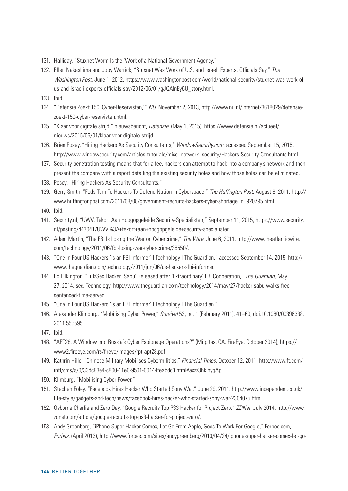- 131. Halliday, "Stuxnet Worm Is the 'Work of a National Government Agency."
- 132. Ellen Nakashima and Joby Warrick, "Stuxnet Was Work of U.S. and Israeli Experts, Officials Say," *The Washington Post*, June 1, 2012, https://www.washingtonpost.com/world/national-security/stuxnet-was-work-ofus-and-israeli-experts-officials-say/2012/06/01/gJQAlnEy6U\_story.html.
- 133. Ibid.
- 134. "Defensie Zoekt 150 'Cyber-Reservisten,'" *NU*, November 2, 2013, http://www.nu.nl/internet/3618029/defensiezoekt-150-cyber-reservisten.html.
- 135. "Klaar voor digitale strijd," nieuwsbericht, *Defensie*, (May 1, 2015), https://www.defensie.nl/actueel/ nieuws/2015/05/01/klaar-voor-digitale-strijd.
- 136. Brien Posey, "Hiring Hackers As Security Consultants," *WindowSecurity.com*, accessed September 15, 2015, http://www.windowsecurity.com/articles-tutorials/misc\_network\_security/Hackers-Security-Consultants.html.
- 137. Security penetration testing means that for a fee, hackers can attempt to hack into a company's network and then present the company with a report detailing the existing security holes and how those holes can be eliminated.
- 138. Posey, "Hiring Hackers As Security Consultants."
- 139. Gerry Smith, "Feds Turn To Hackers To Defend Nation in Cyberspace," *The Huffington Post*, August 8, 2011, http:// www.huffingtonpost.com/2011/08/08/government-recruits-hackers-cyber-shortage\_n\_920795.html.
- 140. Ibid.
- 141. Security.nl, "UWV: Tekort Aan Hoogopgeleide Security-Specialisten," September 11, 2015, https://www.security. nl/posting/443041/UWV%3A+tekort+aan+hoogopgeleide+security-specialisten.
- 142. Adam Martin, "The FBI Is Losing the War on Cybercrime," *The Wire*, June 6, 2011, http://www.theatlanticwire. com/technology/2011/06/fbi-losing-war-cyber-crime/38550/.
- 143. "One in Four US Hackers 'Is an FBI Informer' | Technology | The Guardian," accessed September 14, 2015, http:// www.theguardian.com/technology/2011/jun/06/us-hackers-fbi-informer.
- 144. Ed Pilkington, "LulzSec Hacker 'Sabu' Released after 'Extraordinary' FBI Cooperation," *The Guardian*, May 27, 2014, sec. Technology, http://www.theguardian.com/technology/2014/may/27/hacker-sabu-walks-freesentenced-time-served.
- 145. "One in Four US Hackers 'Is an FBI Informer' I Technology I The Guardian."
- 146. Alexander Klimburg, "Mobilising Cyber Power," *Survival* 53, no. 1 (February 2011): 41–60, doi:10.1080/00396338. 2011.555595.
- 147. Ibid.
- 148. "APT28: A Window Into Russia's Cyber Espionage Operations?" (Milpitas, CA: FireEye, October 2014), https:// www2.fireeye.com/rs/fireye/images/rpt-apt28.pdf.
- 149. Kathrin Hille, "Chinese Military Mobilises Cybermilitias," *Financial Times*, October 12, 2011, http://www.ft.com/ intl/cms/s/0/33dc83e4-c800-11e0-9501-00144feabdc0.html#axzz3hkIhyqAp.
- 150. Klimburg, "Mobilising Cyber Power."
- 151. Stephen Foley, "Facebook Hires Hacker Who Started Sony War," June 29, 2011, http://www.independent.co.uk/ life-style/gadgets-and-tech/news/facebook-hires-hacker-who-started-sony-war-2304075.html.
- 152. Osborne Charlie and Zero Day, "Google Recruits Top PS3 Hacker for Project Zero," *ZDNet*, July 2014, http://www. zdnet.com/article/google-recruits-top-ps3-hacker-for-project-zero/.
- 153. Andy Greenberg, "iPhone Super-Hacker Comex, Let Go From Apple, Goes To Work For Google," Forbes.com, *Forbes*, (April 2013), http://www.forbes.com/sites/andygreenberg/2013/04/24/iphone-super-hacker-comex-let-go-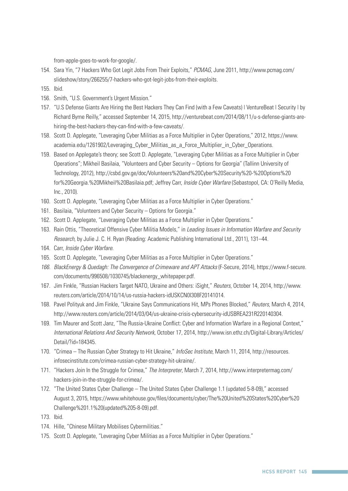from-apple-goes-to-work-for-google/.

- 154. Sara Yin, "7 Hackers Who Got Legit Jobs From Their Exploits," *PCMAG*, June 2011, http://www.pcmag.com/ slideshow/story/266255/7-hackers-who-got-legit-jobs-from-their-exploits.
- 155. Ibid.
- 156. Smith, "U.S. Government's Urgent Mission."
- 157. "U.S Defense Giants Are Hiring the Best Hackers They Can Find (with a Few Caveats) | VentureBeat | Security | by Richard Byrne Reilly," accessed September 14, 2015, http://venturebeat.com/2014/08/11/u-s-defense-giants-arehiring-the-best-hackers-they-can-find-with-a-few-caveats/.
- 158. Scott D. Applegate, "Leveraging Cyber Militias as a Force Multiplier in Cyber Operations," 2012, https://www. academia.edu/1261902/Leveraging\_Cyber\_Militias\_as\_a\_Force\_Multiplier\_in\_Cyber\_Operations.
- 159. Based on Applegate's theory; see Scott D. Applegate, "Leveraging Cyber Militias as a Force Multiplier in Cyber Operations"; Mikheil Basilaia, "Volunteers and Cyber Security – Options for Georgia" (Tallinn University of Technology, 2012), http://csbd.gov.ge/doc/Volunteers%20and%20Cyber%20Security%20-%20Options%20 for%20Georgia.%20Mikheil%20Basilaia.pdf; Jeffrey Carr, *Inside Cyber Warfare* (Sebastopol, CA: O'Reilly Media, Inc., 2010).
- 160. Scott D. Applegate, "Leveraging Cyber Militias as a Force Multiplier in Cyber Operations."
- 161. Basilaia, "Volunteers and Cyber Security Options for Georgia."
- 162. Scott D. Applegate, "Leveraging Cyber Militias as a Force Multiplier in Cyber Operations."
- 163. Rain Ottis, "Theoretical Offensive Cyber Militia Models," in *Leading Issues in Information Warfare and Security Research*, by Julie J. C. H. Ryan (Reading: Academic Publishing International Ltd., 2011), 131–44.
- 164. Carr, *Inside Cyber Warfare*.
- 165. Scott D. Applegate, "Leveraging Cyber Militias as a Force Multiplier in Cyber Operations."
- *166. BlackEnergy & Quedagh: The Convergence of Crimeware and APT Attacks* (F-Secure, 2014), https://www.f-secure. com/documents/996508/1030745/blackenergy\_whitepaper.pdf.
- 167. Jim Finkle, "Russian Hackers Target NATO, Ukraine and Others: iSight," *Reuters*, October 14, 2014, http://www. reuters.com/article/2014/10/14/us-russia-hackers-idUSKCN0I308F20141014.
- 168. Pavel Polityuk and Jim Finkle, "Ukraine Says Communications Hit, MPs Phones Blocked," *Reuters*, March 4, 2014, http://www.reuters.com/article/2014/03/04/us-ukraine-crisis-cybersecurity-idUSBREA231R220140304.
- 169. Tim Maurer and Scott Janz, "The Russia-Ukraine Conflict: Cyber and Information Warfare in a Regional Context," *International Relations And Security Network*, October 17, 2014, http://www.isn.ethz.ch/Digital-Library/Articles/ Detail/?id=184345.
- 170. "Crimea The Russian Cyber Strategy to Hit Ukraine," *InfoSec Institute*, March 11, 2014, http://resources. infosecinstitute.com/crimea-russian-cyber-strategy-hit-ukraine/.
- 171. "Hackers Join In the Struggle for Crimea," *The Interpreter*, March 7, 2014, http://www.interpretermag.com/ hackers-join-in-the-struggle-for-crimea/.
- 172. "The United States Cyber Challenge The United States Cyber Challenge 1.1 (updated 5-8-09)," accessed August 3, 2015, https://www.whitehouse.gov/files/documents/cyber/The%20United%20States%20Cyber%20 Challenge%201.1%20(updated%205-8-09).pdf.
- 173. Ibid.
- 174. Hille, "Chinese Military Mobilises Cybermilitias."
- 175. Scott D. Applegate, "Leveraging Cyber Militias as a Force Multiplier in Cyber Operations."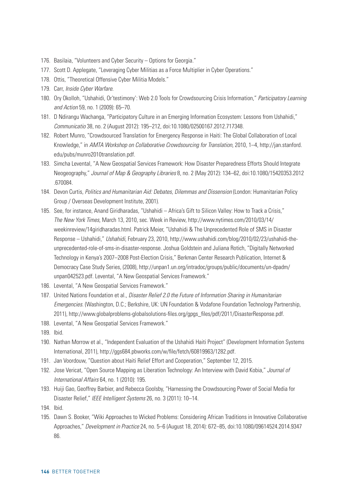- 176. Basilaia, "Volunteers and Cyber Security Options for Georgia."
- 177. Scott D. Applegate, "Leveraging Cyber Militias as a Force Multiplier in Cyber Operations."
- 178. Ottis, "Theoretical Offensive Cyber Militia Models."
- 179. Carr, *Inside Cyber Warfare*.
- 180. Ory Okolloh, "Ushahidi, Or'testimony': Web 2.0 Tools for Crowdsourcing Crisis Information," *Participatory Learning and Action* 59, no. 1 (2009): 65–70.
- 181. D Ndirangu Wachanga, "Participatory Culture in an Emerging Information Ecosystem: Lessons from Ushahidi," *Communicatio* 38, no. 2 (August 2012): 195–212, doi:10.1080/02500167.2012.717348.
- 182. Robert Munro, "Crowdsourced Translation for Emergency Response in Haiti: The Global Collaboration of Local Knowledge," in *AMTA Workshop on Collaborative Crowdsourcing for Translation*, 2010, 1–4, http://jan.stanford. edu/pubs/munro2010translation.pdf.
- 183. Simcha Levental, "A New Geospatial Services Framework: How Disaster Preparedness Efforts Should Integrate Neogeography," *Journal of Map & Geography Libraries* 8, no. 2 (May 2012): 134–62, doi:10.1080/15420353.2012 .670084.
- 184. Devon Curtis, *Politics and Humanitarian Aid: Debates, Dilemmas and Dissension* (London: Humanitarian Policy Group / Overseas Development Institute, 2001).
- 185. See, for instance, Anand Giridharadas, "Ushahidi Africa's Gift to Silicon Valley: How to Track a Crisis," *The New York Times*, March 13, 2010, sec. Week in Review, http://www.nytimes.com/2010/03/14/ weekinreview/14giridharadas.html. Patrick Meier, "Ushahidi & The Unprecedented Role of SMS in Disaster Response – Ushahidi," *Ushahidi*, February 23, 2010, http://www.ushahidi.com/blog/2010/02/23/ushahidi-theunprecedented-role-of-sms-in-disaster-response. Joshua Goldstein and Juliana Rotich, "Digitally Networked Technology in Kenya's 2007–2008 Post-Election Crisis," Berkman Center Research Publication, Internet & Democracy Case Study Series, (2008), http://unpan1.un.org/intradoc/groups/public/documents/un-dpadm/ unpan042523.pdf. Levental, "A New Geospatial Services Framework."
- 186. Levental, "A New Geospatial Services Framework."
- 187. United Nations Foundation et al., *Disaster Relief 2.0 the Future of Information Sharing in Humanitarian Emergencies.* (Washington, D.C.; Berkshire, UK: UN Foundation & Vodafone Foundation Technology Partnership, 2011), http://www.globalproblems-globalsolutions-files.org/gpgs\_files/pdf/2011/DisasterResponse.pdf.
- 188. Levental, "A New Geospatial Services Framework."
- 189. Ibid.
- 190. Nathan Morrow et al., "Independent Evaluation of the Ushahidi Haiti Project" (Development Information Systems International, 2011), http://ggs684.pbworks.com/w/file/fetch/60819963/1282.pdf.
- 191. Jan Voordouw, "Question about Haiti Relief Effort and Cooperation," September 12, 2015.
- 192. Jose Vericat, "Open Source Mapping as Liberation Technology: An Interview with David Kobia," *Journal of International Affairs* 64, no. 1 (2010): 195.
- 193. Huiji Gao, Geoffrey Barbier, and Rebecca Goolsby, "Harnessing the Crowdsourcing Power of Social Media for Disaster Relief," *IEEE Intelligent Systems* 26, no. 3 (2011): 10–14.
- 194. Ibid.
- 195. Dawn S. Booker, "Wiki Approaches to Wicked Problems: Considering African Traditions in Innovative Collaborative Approaches," *Development in Practice* 24, no. 5–6 (August 18, 2014): 672–85, doi:10.1080/09614524.2014.9347 86.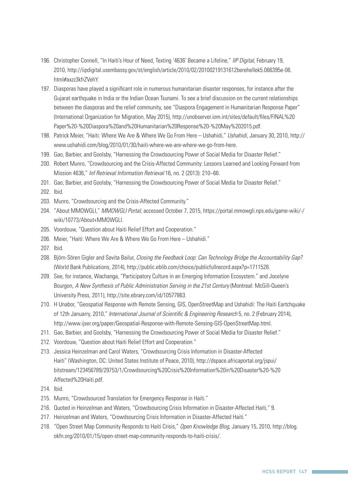- 196. Christopher Connell, "In Haiti's Hour of Need, Texting '4636' Became a Lifeline," *IIP Digital*, February 19, 2010, http://iipdigital.usembassy.gov/st/english/article/2010/02/20100219131612berehellek5.066395e-06. html#axzz3kfrZVehY.
- 197. Diasporas have played a significant role in numerous humanitarian disaster responses, for instance after the Gujarat earthquake in India or the Indian Ocean Tsunami. To see a brief discussion on the current relationships between the diasporas and the relief community, see "Diaspora Engagement in Humanitarian Response Paper" (International Organization for Migration, May 2015), http://unobserver.iom.int/sites/default/files/FINAL%20 Paper%20-%20Diaspora%20and%20Humanitarian%20Response%20-%20May%202015.pdf.
- 198. Patrick Meier, "Haiti: Where We Are & Where We Go From Here Ushahidi," *Ushahidi*, January 30, 2010, http:// www.ushahidi.com/blog/2010/01/30/haiti-where-we-are-where-we-go-from-here.
- 199. Gao, Barbier, and Goolsby, "Harnessing the Crowdsourcing Power of Social Media for Disaster Relief."
- 200. Robert Munro, "Crowdsourcing and the Crisis-Affected Community: Lessons Learned and Looking Forward from Mission 4636," *Inf Retrieval Information Retrieval* 16, no. 2 (2013): 210–66.
- 201. Gao, Barbier, and Goolsby, "Harnessing the Crowdsourcing Power of Social Media for Disaster Relief."
- 202. Ibid.
- 203. Munro, "Crowdsourcing and the Crisis-Affected Community."
- 204. "About MMOWGLI," *MMOWGLI Portal*, accessed October 7, 2015, https://portal.mmowgli.nps.edu/game-wiki/-/ wiki/10773/About+MMOWGLI.
- 205. Voordouw, "Question about Haiti Relief Effort and Cooperation."
- 206. Meier, "Haiti: Where We Are & Where We Go From Here Ushahidi."
- 207. Ibid.
- 208. Björn-Sören Gigler and Savita Bailur, *Closing the Feedback Loop: Can Technology Bridge the Accountability Gap?* (World Bank Publications, 2014), http://public.eblib.com/choice/publicfullrecord.aspx?p=1711528.
- 209. See, for instance, Wachanga, "Participatory Culture in an Emerging Information Ecosystem." and Jocelyne Bourgon, *A New Synthesis of Public Administration Serving in the 21st Century* (Montreal: McGill-Queen's University Press, 2011), http://site.ebrary.com/id/10577863.
- 210. H Unabor, "Geospatial Response with Remote Sensing, GIS, OpenStreetMap and Ushahidi: The Haiti Eartchquake of 12th Januarry, 2010," *International Journal of Scientific & Engineering Research* 5, no. 2 (February 2014), http://www.ijser.org/paper/Geospatial-Response-with-Remote-Sensing-GIS-OpenStreetMap.html.
- 211. Gao, Barbier, and Goolsby, "Harnessing the Crowdsourcing Power of Social Media for Disaster Relief."
- 212. Voordouw, "Question about Haiti Relief Effort and Cooperation."
- 213. Jessica Heinzelman and Carol Waters, "Crowdsourcing Crisis Information in Disaster-Affected Haiti" (Washington, DC: United States Institute of Peace, 2010), http://dspace.africaportal.org/jspui/ bitstream/123456789/29753/1/Crowdsourcing%20Crisis%20Information%20in%20Disaster%20-%20 Affected%20Haiti.pdf.
- 214. Ibid.
- 215. Munro, "Crowdsourced Translation for Emergency Response in Haiti."
- 216. Quoted in Heinzelman and Waters, "Crowdsourcing Crisis Information in Disaster-Affected Haiti," 9.
- 217. Heinzelman and Waters, "Crowdsourcing Crisis Information in Disaster-Affected Haiti."
- 218. "Open Street Map Community Responds to Haiti Crisis," *Open Knowledge Blog*, January 15, 2010, http://blog. okfn.org/2010/01/15/open-street-map-community-responds-to-haiti-crisis/.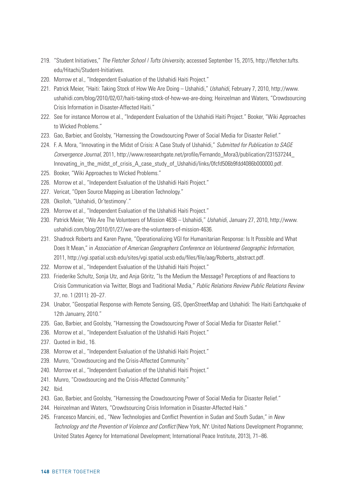- 219. "Student Initiatives," *The Fletcher School | Tufts University*, accessed September 15, 2015, http://fletcher.tufts. edu/Hitachi/Student-Initiatives.
- 220. Morrow et al., "Independent Evaluation of the Ushahidi Haiti Project."
- 221. Patrick Meier, "Haiti: Taking Stock of How We Are Doing Ushahidi," *Ushahidi*, February 7, 2010, http://www. ushahidi.com/blog/2010/02/07/haiti-taking-stock-of-how-we-are-doing; Heinzelman and Waters, "Crowdsourcing Crisis Information in Disaster-Affected Haiti."
- 222. See for instance Morrow et al., "Independent Evaluation of the Ushahidi Haiti Project." Booker, "Wiki Approaches to Wicked Problems."
- 223. Gao, Barbier, and Goolsby, "Harnessing the Crowdsourcing Power of Social Media for Disaster Relief."
- 224. F. A. Mora, "Innovating in the Midst of Crisis: A Case Study of Ushahidi," *Submitted for Publication to SAGE Convergence Journal*, 2011, http://www.researchgate.net/profile/Fernando\_Mora3/publication/231537244\_ Innovating\_in\_the\_midst\_of\_crisis\_A\_case\_study\_of\_Ushahidi/links/0fcfd506b9fdd4086b000000.pdf.
- 225. Booker, "Wiki Approaches to Wicked Problems."
- 226. Morrow et al., "Independent Evaluation of the Ushahidi Haiti Project."
- 227. Vericat, "Open Source Mapping as Liberation Technology."
- 228. Okolloh, "Ushahidi, Or'testimony'."
- 229. Morrow et al., "Independent Evaluation of the Ushahidi Haiti Project."
- 230. Patrick Meier, "We Are The Volunteers of Mission 4636 Ushahidi," *Ushahidi*, January 27, 2010, http://www. ushahidi.com/blog/2010/01/27/we-are-the-volunteers-of-mission-4636.
- 231. Shadrock Roberts and Karen Payne, "Operationalizing VGI for Humanitarian Response: Is It Possible and What Does It Mean," in *Association of American Geographers Conference on Volunteered Geographic Information*, 2011, http://vgi.spatial.ucsb.edu/sites/vgi.spatial.ucsb.edu/files/file/aag/Roberts\_abstract.pdf.
- 232. Morrow et al., "Independent Evaluation of the Ushahidi Haiti Project."
- 233. Friederike Schultz, Sonja Utz, and Anja Göritz, "Is the Medium the Message? Perceptions of and Reactions to Crisis Communication via Twitter, Blogs and Traditional Media," *Public Relations Review Public Relations Review* 37, no. 1 (2011): 20–27.
- 234. Unabor, "Geospatial Response with Remote Sensing, GIS, OpenStreetMap and Ushahidi: The Haiti Eartchquake of 12th Januarry, 2010."
- 235. Gao, Barbier, and Goolsby, "Harnessing the Crowdsourcing Power of Social Media for Disaster Relief."
- 236. Morrow et al., "Independent Evaluation of the Ushahidi Haiti Project."
- 237. Quoted in Ibid., 16.
- 238. Morrow et al., "Independent Evaluation of the Ushahidi Haiti Project."
- 239. Munro, "Crowdsourcing and the Crisis-Affected Community."
- 240. Morrow et al., "Independent Evaluation of the Ushahidi Haiti Project."
- 241. Munro, "Crowdsourcing and the Crisis-Affected Community."
- 242. Ibid.
- 243. Gao, Barbier, and Goolsby, "Harnessing the Crowdsourcing Power of Social Media for Disaster Relief."
- 244. Heinzelman and Waters, "Crowdsourcing Crisis Information in Disaster-Affected Haiti."
- 245. Francesco Mancini, ed., "New Technologies and Conflict Prevention in Sudan and South Sudan," in *New Technology and the Prevention of Violence and Conflict* (New York, NY: United Nations Development Programme; United States Agency for International Development; International Peace Institute, 2013), 71–86.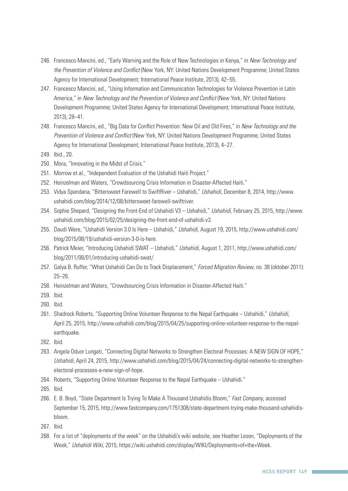- 246. Francesco Mancini, ed., "Early Warning and the Role of New Technologies in Kenya," in *New Technology and the Prevention of Violence and Conflict* (New York, NY: United Nations Development Programme; United States Agency for International Development; International Peace Institute, 2013), 42–55.
- 247. Francesco Mancini, ed., "Using Information and Communication Technologies for Violence Prevention in Latin America," in *New Technology and the Prevention of Violence and Conflict* (New York, NY: United Nations Development Programme; United States Agency for International Development; International Peace Institute, 2013), 28–41.
- 248. Francesco Mancini, ed., "Big Data for Conflict Prevention: New Oil and Old Fires," in *New Technology and the Prevention of Violence and Conflict* (New York, NY: United Nations Development Programme; United States Agency for International Development; International Peace Institute, 2013), 4–27.
- 249. Ibid., 20.
- 250. Mora, "Innovating in the Midst of Crisis."
- 251. Morrow et al., "Independent Evaluation of the Ushahidi Haiti Project."
- 252. Heinzelman and Waters, "Crowdsourcing Crisis Information in Disaster-Affected Haiti."
- 253. Vidya Spandana, "Bittersweet Farewell to SwiftRiver Ushahidi," *Ushahidi*, December 8, 2014, http://www. ushahidi.com/blog/2014/12/08/bittersweet-farewell-swiftriver.
- 254. Sophie Shepard, "Designing the Front-End of Ushahidi V3 Ushahidi," *Ushahidi*, February 25, 2015, http://www. ushahidi.com/blog/2015/02/25/designing-the-front-end-of-ushahidi-v3.
- 255. Daudi Were, "Ushahidi Version 3.0 Is Here Ushahidi," *Ushahidi*, August 19, 2015, http://www.ushahidi.com/ blog/2015/08/19/ushahidi-version-3-0-is-here.
- 256. Patrick Meier, "Introducing Ushahidi SWAT Ushahidi," *Ushahidi*, August 1, 2011, http://www.ushahidi.com/ blog/2011/08/01/introducing-ushahidi-swat/.
- 257. Galya B. Ruffer, "What Ushahidi Can Do to Track Displacement," *Forced Migration Review*, no. 38 (oktober 2011): 25–26.
- 258. Heinzelman and Waters, "Crowdsourcing Crisis Information in Disaster-Affected Haiti."
- 259. Ibid.
- 260. Ibid.
- 261. Shadrock Roberts, "Supporting Online Volunteer Response to the Nepal Earthquake Ushahidi," *Ushahidi*, April 25, 2015, http://www.ushahidi.com/blog/2015/04/25/supporting-online-volunteer-response-to-the-nepalearthquake.
- 262. Ibid.
- 263. Angela Oduor Lungati, "Connecting Digital Networks to Strengthen Electoral Processes: A NEW SIGN OF HOPE," *Ushahidi*, April 24, 2015, http://www.ushahidi.com/blog/2015/04/24/connecting-digital-networks-to-strengthenelectoral-processes-a-new-sign-of-hope.
- 264. Roberts, "Supporting Online Volunteer Response to the Nepal Earthquake Ushahidi."
- 265. Ibid.
- 266. E. B. Boyd, "State Department Is Trying To Make A Thousand Ushahidis Bloom," *Fast Company*, accessed September 15, 2015, http://www.fastcompany.com/1751308/state-department-trying-make-thousand-ushahidisbloom.
- 267. Ibid.
- 268. For a list of "deployments of the week" on the Ushahidi's wiki website, see Heather Leson, "Deployments of the Week," *Ushahidi Wiki*, 2015, https://wiki.ushahidi.com/display/WIKI/Deployments+of+the+Week.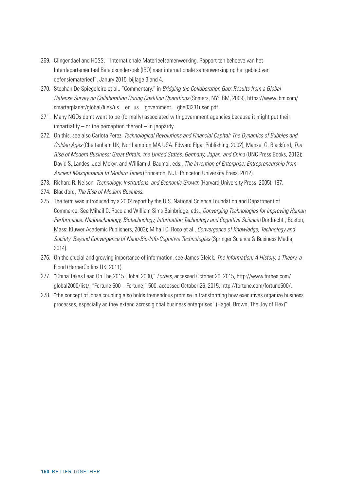- 269. Clingendael and HCSS, " Internationale Materieelsamenwerking. Rapport ten behoeve van het Interdepartementaal Beleidsonderzoek (IBO) naar internationale samenwerking op het gebied van defensiematerieel", Janury 2015, bijlage 3 and 4.
- 270. Stephan De Spiegeleire et al., "Commentary," in *Bridging the Collaboration Gap: Results from a Global Defense Survey on Collaboration During Coalition Operations* (Somers, NY: IBM, 2009), https://www.ibm.com/ smarterplanet/global/files/us\_en\_us\_government\_gbe03231usen.pdf.
- 271. Many NGOs don't want to be (formally) associated with government agencies because it might put their impartiality – or the perception thereof – in jeopardy.
- 272. On this, see also Carlota Perez, *Technological Revolutions and Financial Capital: The Dynamics of Bubbles and Golden Ages* (Cheltenham UK; Northampton MA USA: Edward Elgar Publishing, 2002); Mansel G. Blackford, *The Rise of Modern Business: Great Britain, the United States, Germany, Japan, and China* (UNC Press Books, 2012); David S. Landes, Joel Mokyr, and William J. Baumol, eds., *The Invention of Enterprise: Entrepreneurship from Ancient Mesopotamia to Modern Times* (Princeton, N.J.: Princeton University Press, 2012).
- 273. Richard R. Nelson, *Technology, Institutions, and Economic Growth* (Harvard University Press, 2005), 197.
- 274. Blackford, *The Rise of Modern Business*.
- 275. The term was introduced by a 2002 report by the U.S. National Science Foundation and Department of Commerce. See Mihail C. Roco and William Sims Bainbridge, eds., *Converging Technologies for Improving Human Performance: Nanotechnology, Biotechnology, Information Technology and Cognitive Science* (Dordrecht ; Boston, Mass: Kluwer Academic Publishers, 2003); Mihail C. Roco et al., *Convergence of Knowledge, Technology and Society: Beyond Convergence of Nano-Bio-Info-Cognitive Technologies* (Springer Science & Business Media, 2014).
- 276. On the crucial and growing importance of information, see James Gleick, *The Information: A History, a Theory, a*  Flood (HarperCollins UK, 2011).
- 277. "China Takes Lead On The 2015 Global 2000," *Forbes*, accessed October 26, 2015, http://www.forbes.com/ global2000/list/; "Fortune 500 – Fortune," 500, accessed October 26, 2015, http://fortune.com/fortune500/.
- 278. "the concept of loose coupling also holds tremendous promise in transforming how executives organize business processes, especially as they extend across global business enterprises" (Hagel, Brown, The Joy of Flex)"